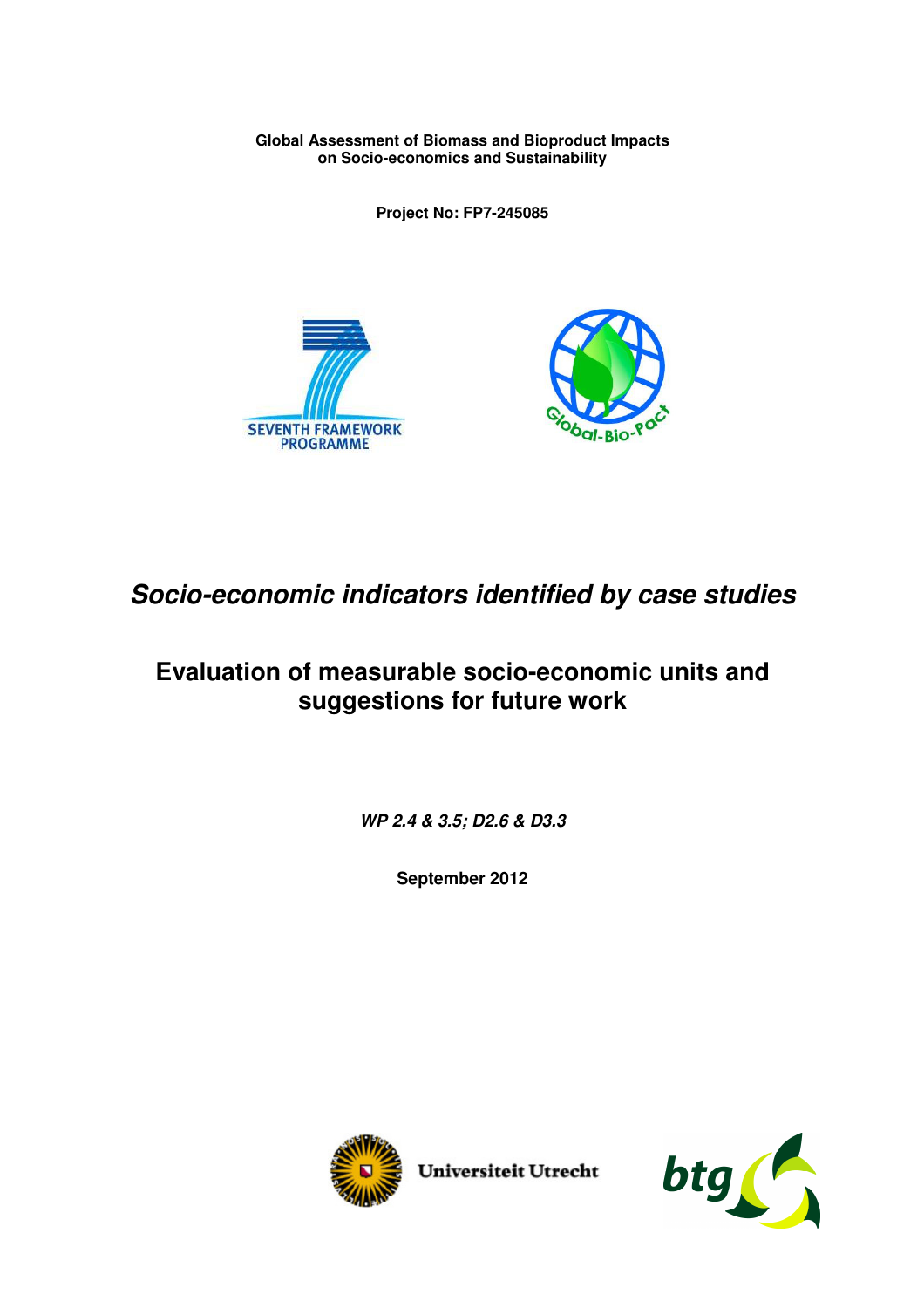**Global Assessment of Biomass and Bioproduct Impacts on Socio-economics and Sustainability** 

**Project No: FP7-245085** 





# *Socio-economic indicators identified by case studies*

# **Evaluation of measurable socio-economic units and suggestions for future work**

*WP 2.4 & 3.5; D2.6 & D3.3* 

**September 2012** 



Universiteit Utrecht

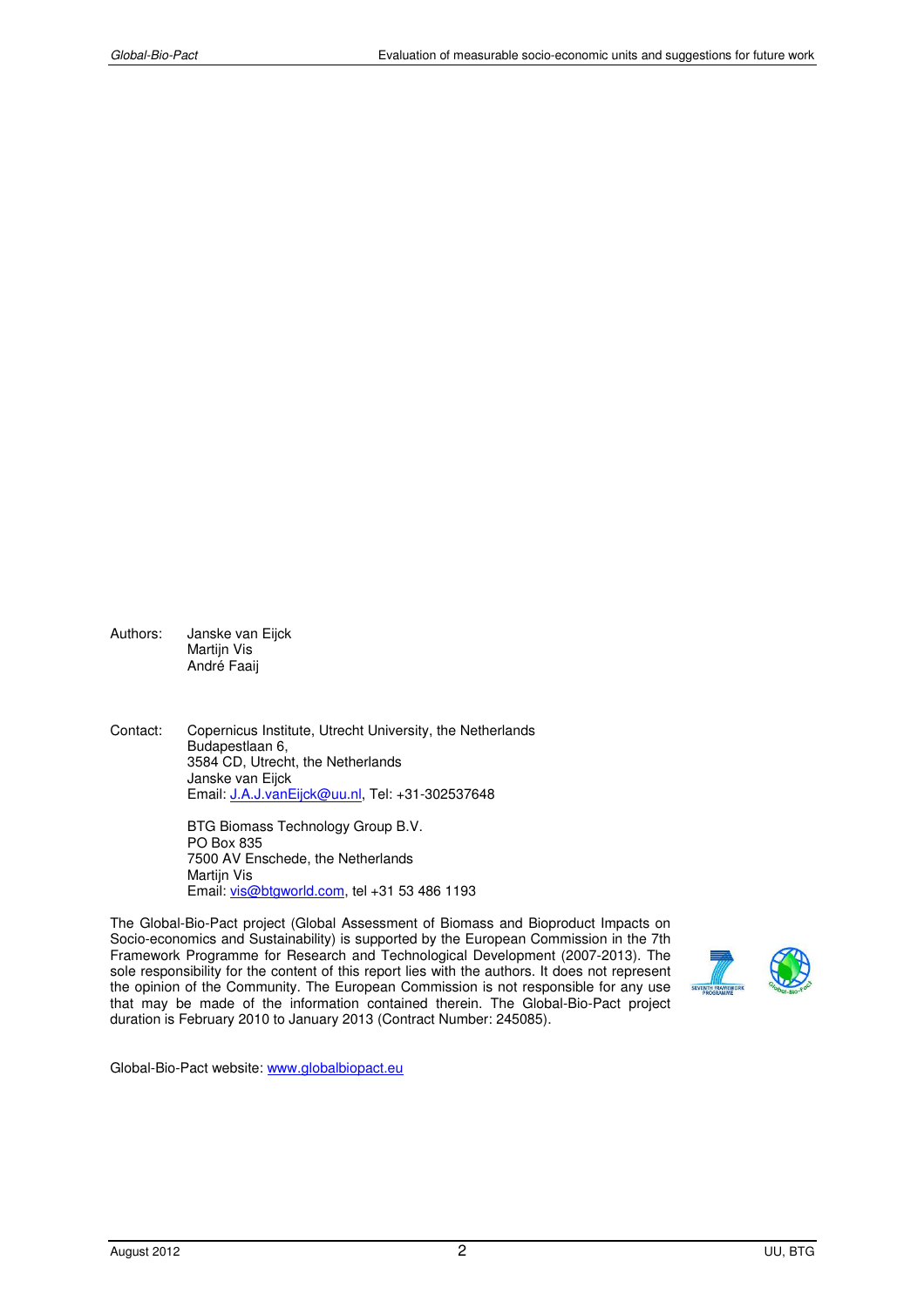Authors: Janske van Eijck Martijn Vis André Faaij

Contact: Copernicus Institute, Utrecht University, the Netherlands Budapestlaan 6, 3584 CD, Utrecht, the Netherlands Janske van Eijck Email: J.A.J.vanEijck@uu.nl, Tel: +31-302537648

> BTG Biomass Technology Group B.V. PO Box 835 7500 AV Enschede, the Netherlands Martijn Vis Email: vis@btgworld.com, tel +31 53 486 1193

The Global-Bio-Pact project (Global Assessment of Biomass and Bioproduct Impacts on Socio-economics and Sustainability) is supported by the European Commission in the 7th Framework Programme for Research and Technological Development (2007-2013). The sole responsibility for the content of this report lies with the authors. It does not represent the opinion of the Community. The European Commission is not responsible for any use that may be made of the information contained therein. The Global-Bio-Pact project duration is February 2010 to January 2013 (Contract Number: 245085).



Global-Bio-Pact website: www.globalbiopact.eu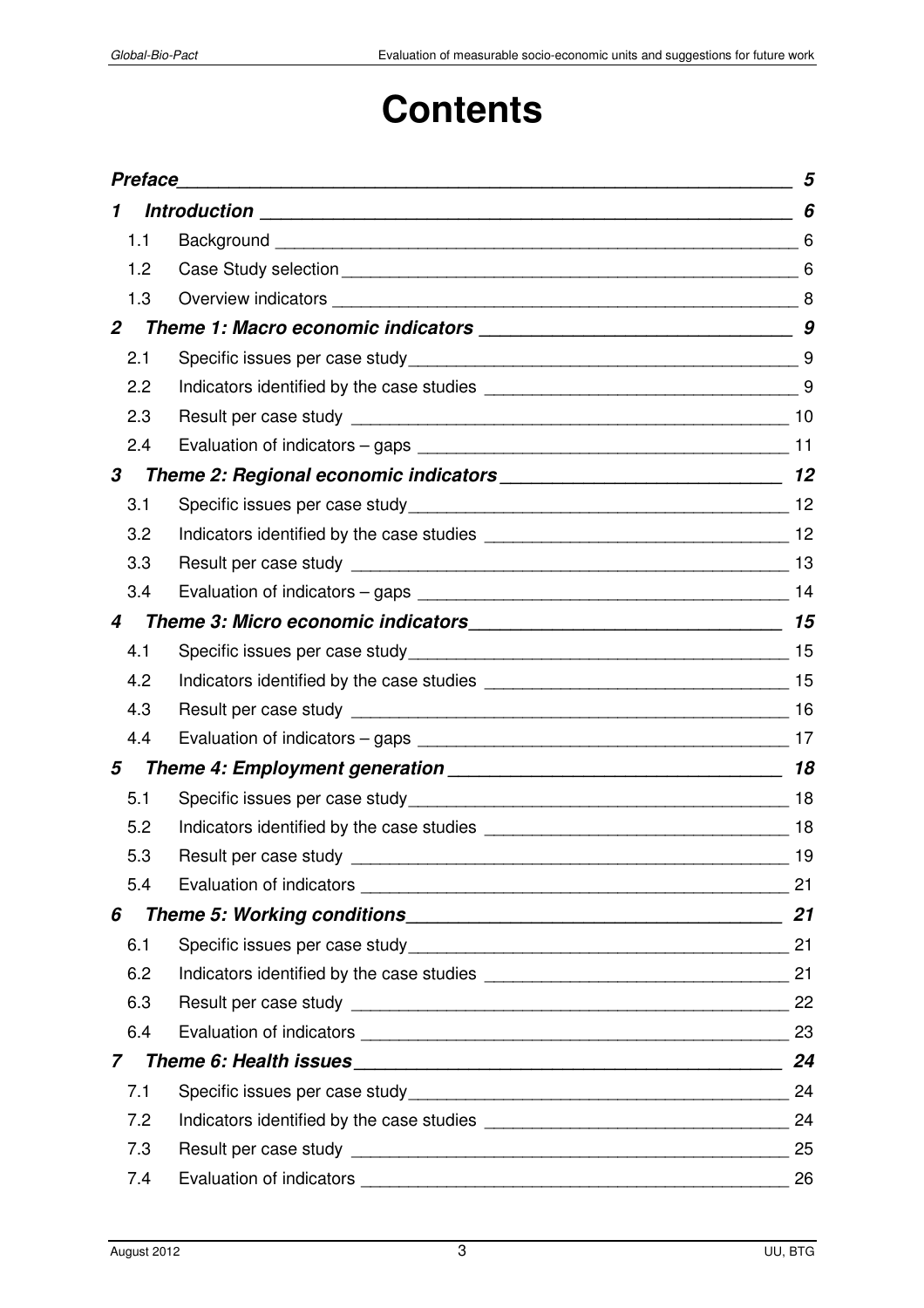# **Contents**

| <b>Preface</b><br>1 |                                                                   | 5  |
|---------------------|-------------------------------------------------------------------|----|
|                     |                                                                   | 6  |
| 1.1                 |                                                                   |    |
| 1.2                 |                                                                   |    |
| 1.3                 |                                                                   |    |
| $\overline{2}$      |                                                                   |    |
| 2.1                 |                                                                   |    |
| 2.2                 |                                                                   |    |
| 2.3                 |                                                                   |    |
| 2.4                 |                                                                   |    |
| 3                   |                                                                   |    |
| 3.1                 |                                                                   |    |
| 3.2                 |                                                                   |    |
| 3.3                 |                                                                   |    |
| 3.4                 |                                                                   |    |
| 4                   |                                                                   |    |
| 4.1                 |                                                                   |    |
| 4.2                 |                                                                   |    |
| 4.3                 |                                                                   |    |
| 4.4                 |                                                                   |    |
| 5                   |                                                                   |    |
| 5.1                 |                                                                   |    |
| 5.2                 | Indicators identified by the case studies <b>Exercise 2008</b> 18 |    |
| 5.3                 | Result per case study                                             | 19 |
| 5.4                 |                                                                   | 21 |
| 6                   |                                                                   |    |
| 6.1                 |                                                                   |    |
| 6.2                 |                                                                   |    |
| 6.3                 |                                                                   | 22 |
| 6.4                 |                                                                   | 23 |
| $\overline{7}$      |                                                                   |    |
| 7.1                 |                                                                   |    |
| 7.2                 |                                                                   |    |
| 7.3                 |                                                                   | 25 |
| 7.4                 | Evaluation of indicators                                          | 26 |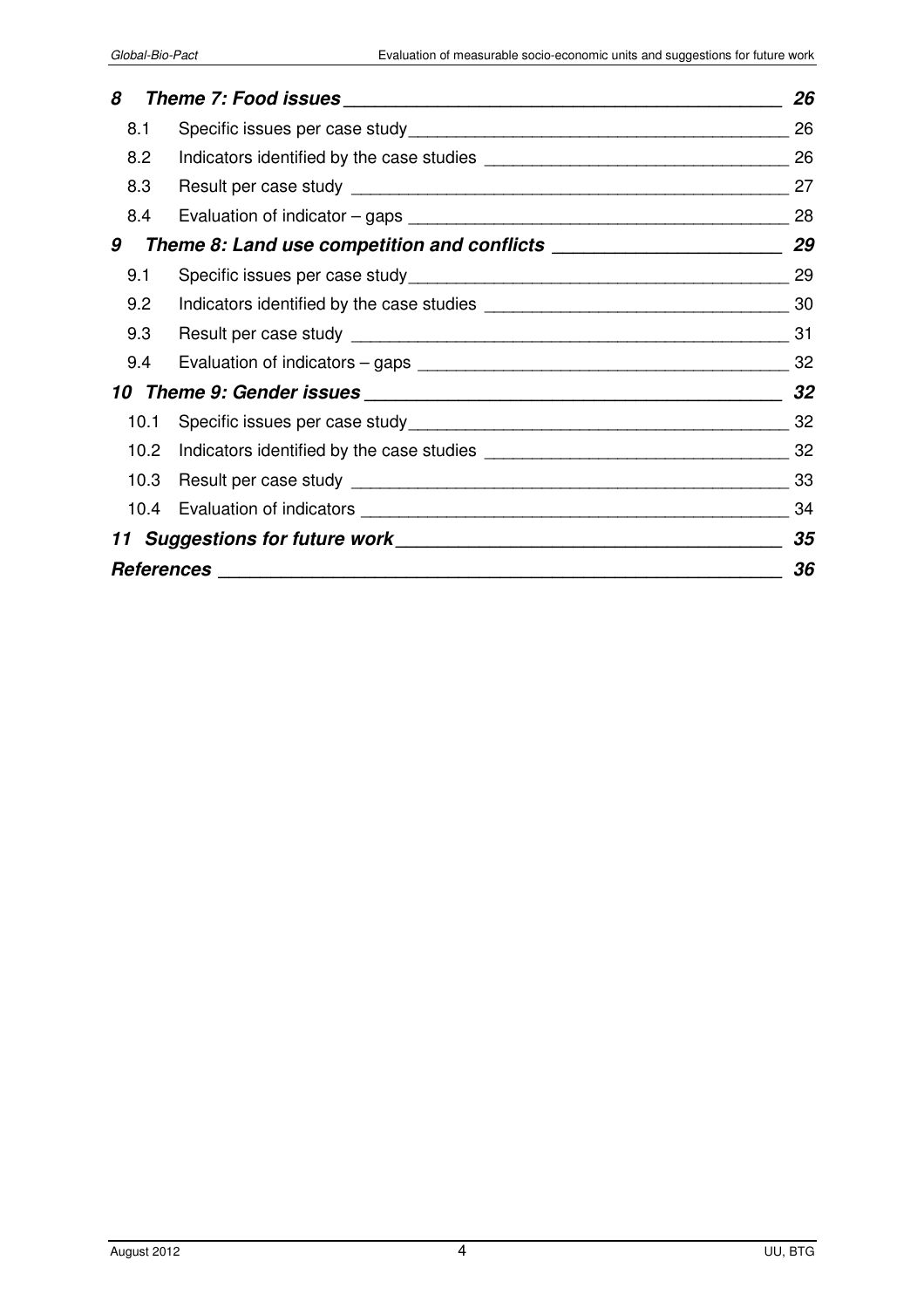| 8                 | 26 |
|-------------------|----|
| 8.1               | 26 |
| 8.2               | 26 |
| 8.3               | 27 |
| 8.4               | 28 |
| 9                 | 29 |
| 9.1               | 29 |
| 9.2               | 30 |
| 9.3               | 31 |
| 9.4               | 32 |
|                   | 32 |
| 10.1              | 32 |
| 10.2 <sub>2</sub> | 32 |
|                   | 33 |
|                   | 34 |
|                   | 35 |
|                   | 36 |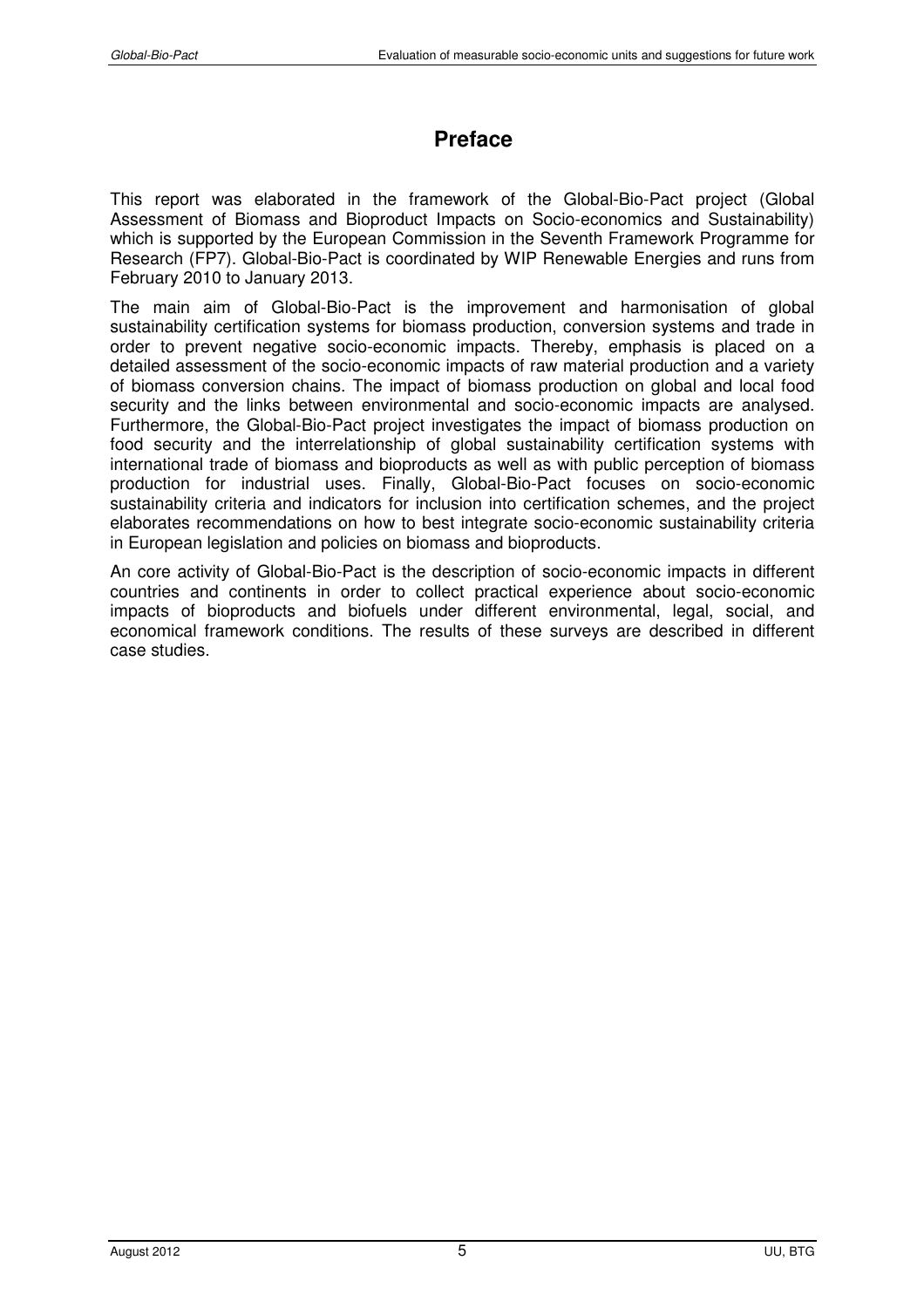# **Preface**

This report was elaborated in the framework of the Global-Bio-Pact project (Global Assessment of Biomass and Bioproduct Impacts on Socio-economics and Sustainability) which is supported by the European Commission in the Seventh Framework Programme for Research (FP7). Global-Bio-Pact is coordinated by WIP Renewable Energies and runs from February 2010 to January 2013.

The main aim of Global-Bio-Pact is the improvement and harmonisation of global sustainability certification systems for biomass production, conversion systems and trade in order to prevent negative socio-economic impacts. Thereby, emphasis is placed on a detailed assessment of the socio-economic impacts of raw material production and a variety of biomass conversion chains. The impact of biomass production on global and local food security and the links between environmental and socio-economic impacts are analysed. Furthermore, the Global-Bio-Pact project investigates the impact of biomass production on food security and the interrelationship of global sustainability certification systems with international trade of biomass and bioproducts as well as with public perception of biomass production for industrial uses. Finally, Global-Bio-Pact focuses on socio-economic sustainability criteria and indicators for inclusion into certification schemes, and the project elaborates recommendations on how to best integrate socio-economic sustainability criteria in European legislation and policies on biomass and bioproducts.

An core activity of Global-Bio-Pact is the description of socio-economic impacts in different countries and continents in order to collect practical experience about socio-economic impacts of bioproducts and biofuels under different environmental, legal, social, and economical framework conditions. The results of these surveys are described in different case studies.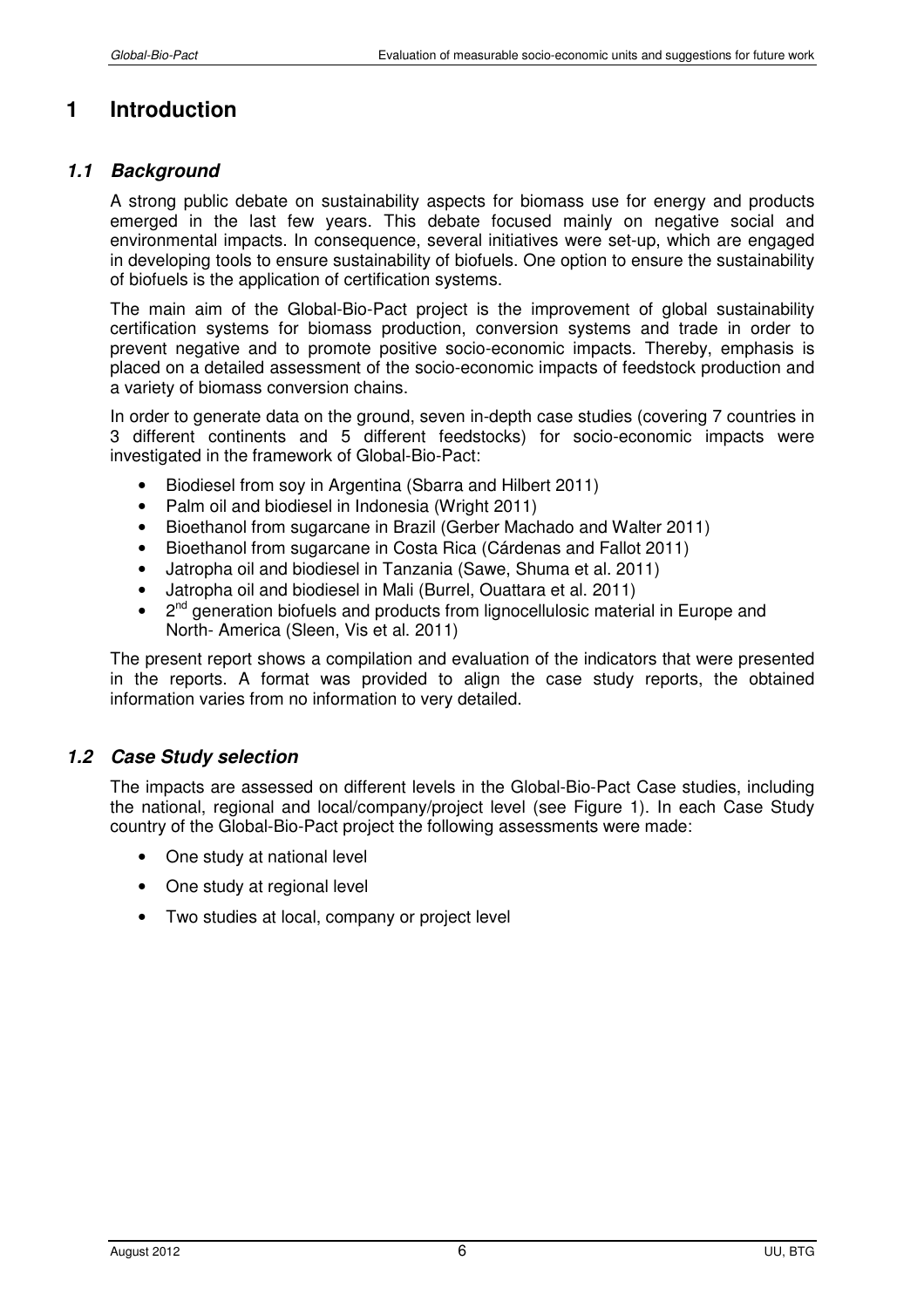# **1 Introduction**

#### *1.1 Background*

A strong public debate on sustainability aspects for biomass use for energy and products emerged in the last few years. This debate focused mainly on negative social and environmental impacts. In consequence, several initiatives were set-up, which are engaged in developing tools to ensure sustainability of biofuels. One option to ensure the sustainability of biofuels is the application of certification systems.

The main aim of the Global-Bio-Pact project is the improvement of global sustainability certification systems for biomass production, conversion systems and trade in order to prevent negative and to promote positive socio-economic impacts. Thereby, emphasis is placed on a detailed assessment of the socio-economic impacts of feedstock production and a variety of biomass conversion chains.

In order to generate data on the ground, seven in-depth case studies (covering 7 countries in 3 different continents and 5 different feedstocks) for socio-economic impacts were investigated in the framework of Global-Bio-Pact:

- Biodiesel from soy in Argentina (Sbarra and Hilbert 2011)
- Palm oil and biodiesel in Indonesia (Wright 2011)
- Bioethanol from sugarcane in Brazil (Gerber Machado and Walter 2011)
- Bioethanol from sugarcane in Costa Rica (Cárdenas and Fallot 2011)
- Jatropha oil and biodiesel in Tanzania (Sawe, Shuma et al. 2011)
- Jatropha oil and biodiesel in Mali (Burrel, Ouattara et al. 2011)
- 2<sup>nd</sup> generation biofuels and products from lignocellulosic material in Europe and North- America (Sleen, Vis et al. 2011)

The present report shows a compilation and evaluation of the indicators that were presented in the reports. A format was provided to align the case study reports, the obtained information varies from no information to very detailed.

## *1.2 Case Study selection*

The impacts are assessed on different levels in the Global-Bio-Pact Case studies, including the national, regional and local/company/project level (see Figure 1). In each Case Study country of the Global-Bio-Pact project the following assessments were made:

- One study at national level
- One study at regional level
- Two studies at local, company or project level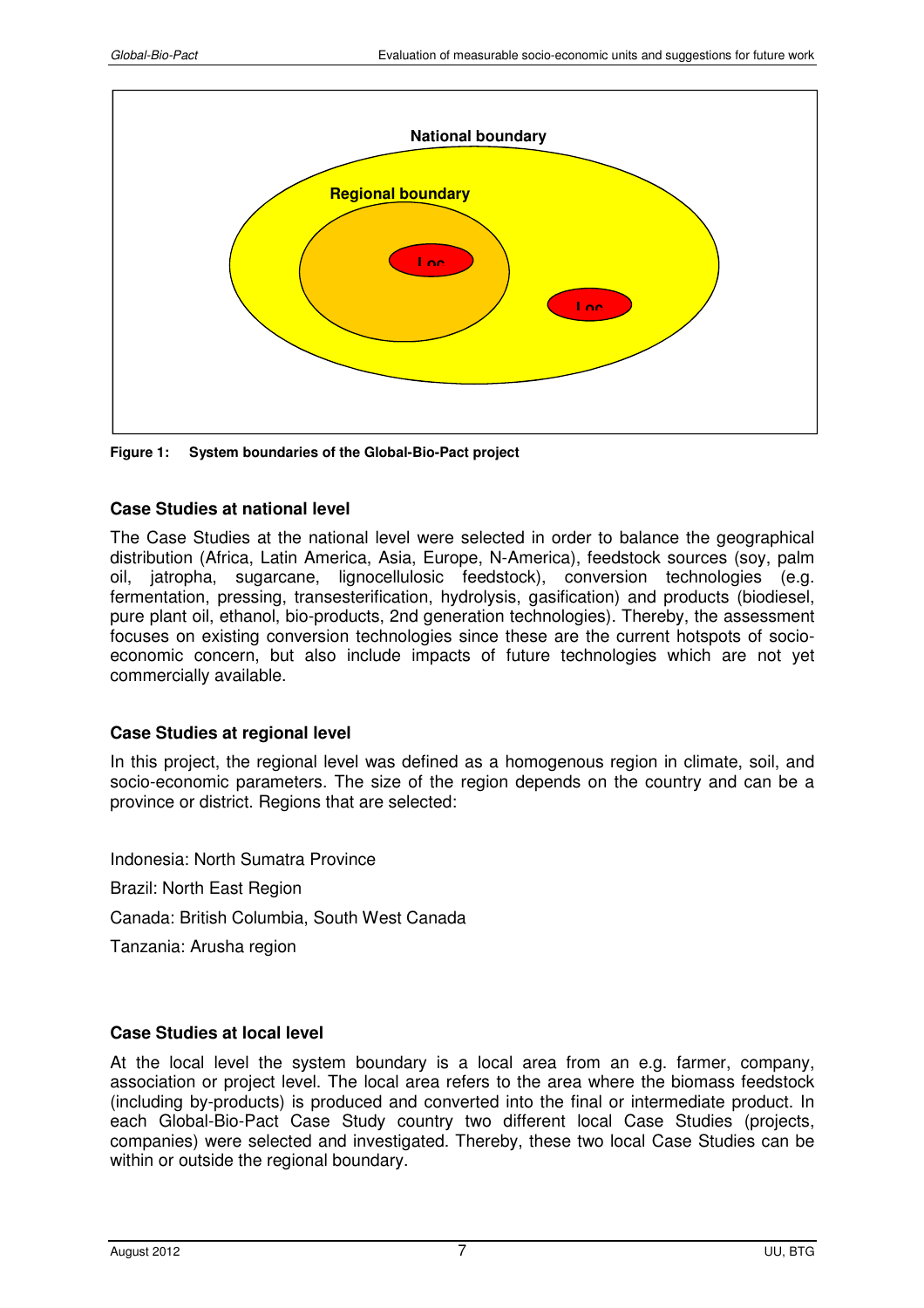

**Figure 1: System boundaries of the Global-Bio-Pact project** 

#### **Case Studies at national level**

The Case Studies at the national level were selected in order to balance the geographical distribution (Africa, Latin America, Asia, Europe, N-America), feedstock sources (soy, palm oil, jatropha, sugarcane, lignocellulosic feedstock), conversion technologies (e.g. fermentation, pressing, transesterification, hydrolysis, gasification) and products (biodiesel, pure plant oil, ethanol, bio-products, 2nd generation technologies). Thereby, the assessment focuses on existing conversion technologies since these are the current hotspots of socioeconomic concern, but also include impacts of future technologies which are not yet commercially available.

#### **Case Studies at regional level**

In this project, the regional level was defined as a homogenous region in climate, soil, and socio-economic parameters. The size of the region depends on the country and can be a province or district. Regions that are selected:

Indonesia: North Sumatra Province Brazil: North East Region Canada: British Columbia, South West Canada Tanzania: Arusha region

## **Case Studies at local level**

At the local level the system boundary is a local area from an e.g. farmer, company, association or project level. The local area refers to the area where the biomass feedstock (including by-products) is produced and converted into the final or intermediate product. In each Global-Bio-Pact Case Study country two different local Case Studies (projects, companies) were selected and investigated. Thereby, these two local Case Studies can be within or outside the regional boundary.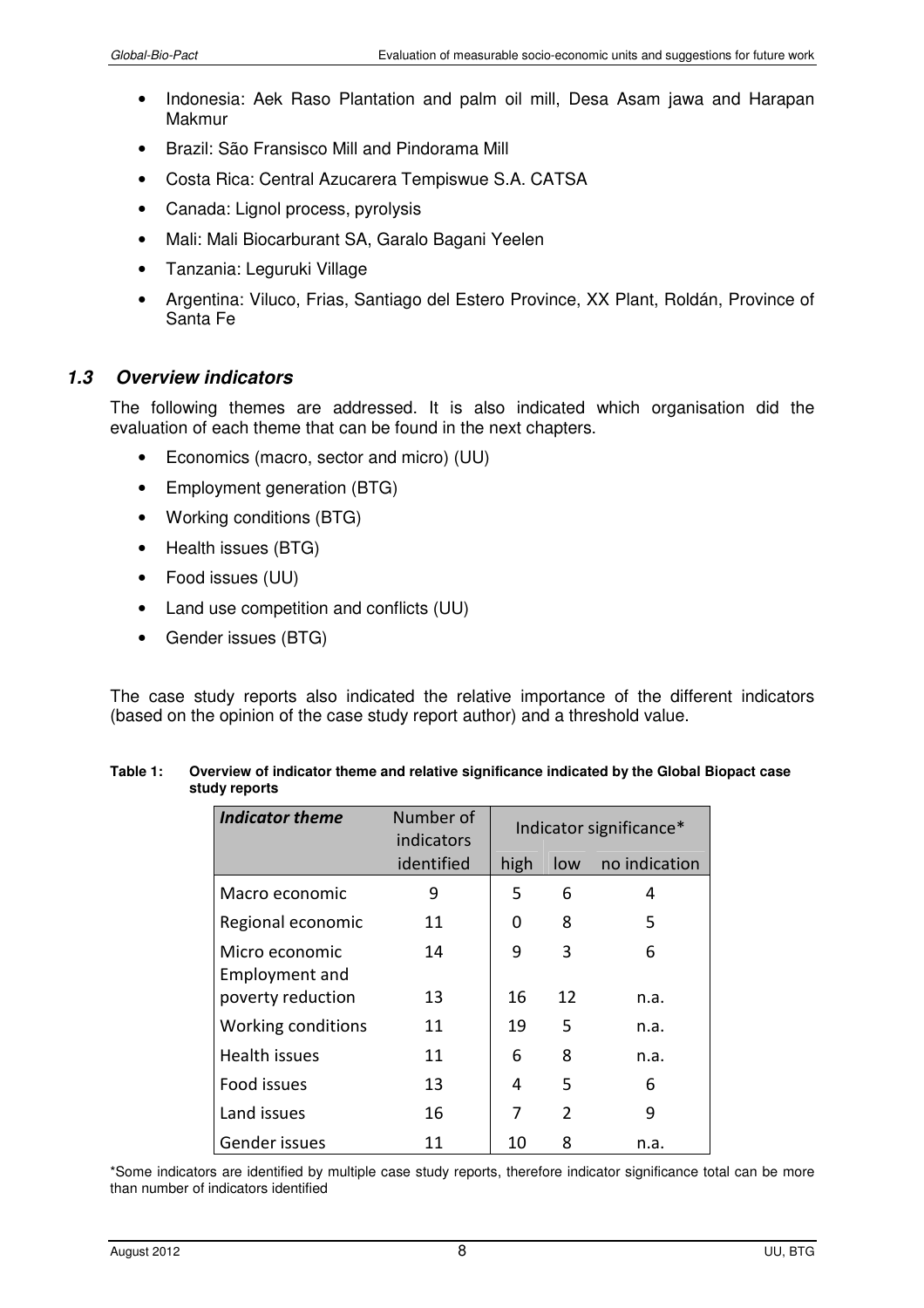- Indonesia: Aek Raso Plantation and palm oil mill, Desa Asam jawa and Harapan Makmur
- Brazil: São Fransisco Mill and Pindorama Mill
- Costa Rica: Central Azucarera Tempiswue S.A. CATSA
- Canada: Lignol process, pyrolysis
- Mali: Mali Biocarburant SA, Garalo Bagani Yeelen
- Tanzania: Leguruki Village
- Argentina: Viluco, Frias, Santiago del Estero Province, XX Plant, Roldán, Province of Santa Fe

## *1.3 Overview indicators*

The following themes are addressed. It is also indicated which organisation did the evaluation of each theme that can be found in the next chapters.

- Economics (macro, sector and micro) (UU)
- Employment generation (BTG)
- Working conditions (BTG)
- Health issues (BTG)
- Food issues (UU)
- Land use competition and conflicts (UU)
- Gender issues (BTG)

The case study reports also indicated the relative importance of the different indicators (based on the opinion of the case study report author) and a threshold value.

| <b>Indicator theme</b>           | Number of<br>indicators | Indicator significance* |                |               |
|----------------------------------|-------------------------|-------------------------|----------------|---------------|
|                                  | identified              | high                    | low            | no indication |
| Macro economic                   | 9                       | 5                       | 6              | 4             |
| Regional economic                | 11                      | 0                       | 8              | 5             |
| Micro economic<br>Employment and | 14                      | 9                       | 3              | 6             |
| poverty reduction                | 13                      | 16                      | 12             | n.a.          |
| Working conditions               | 11                      | 19                      | 5              | n.a.          |
| Health issues                    | 11                      | 6                       | 8              | n.a.          |
| Food issues                      | 13                      | 4                       | 5              | 6             |
| Land issues                      | 16                      | 7                       | $\overline{2}$ | 9             |
| Gender issues                    | 11                      | 10                      | 8              | n.a.          |

#### **Table 1: Overview of indicator theme and relative significance indicated by the Global Biopact case study reports**

\*Some indicators are identified by multiple case study reports, therefore indicator significance total can be more than number of indicators identified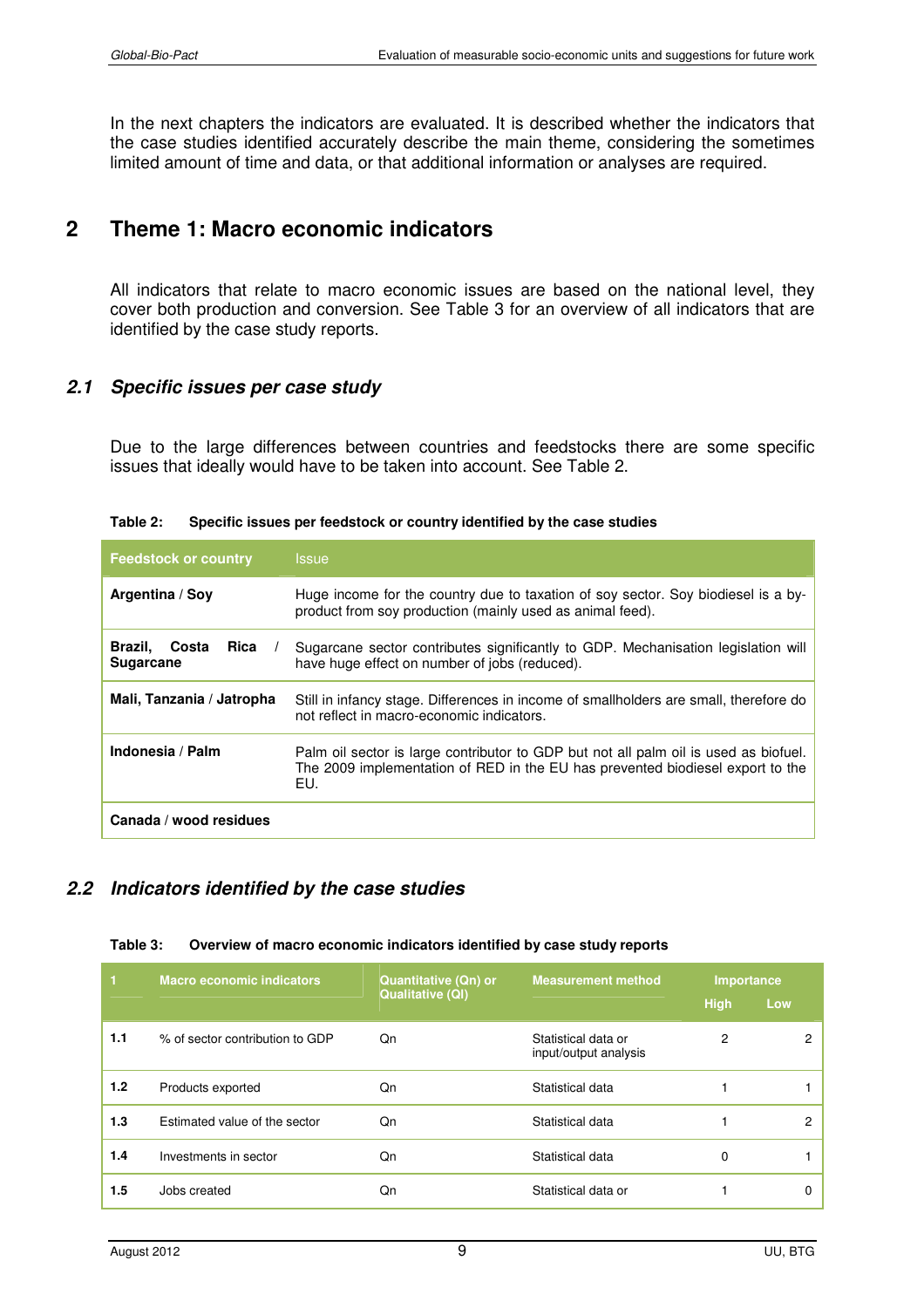In the next chapters the indicators are evaluated. It is described whether the indicators that the case studies identified accurately describe the main theme, considering the sometimes limited amount of time and data, or that additional information or analyses are required.

# **2 Theme 1: Macro economic indicators**

All indicators that relate to macro economic issues are based on the national level, they cover both production and conversion. See Table 3 for an overview of all indicators that are identified by the case study reports.

#### *2.1 Specific issues per case study*

Due to the large differences between countries and feedstocks there are some specific issues that ideally would have to be taken into account. See Table 2.

| <b>Feedstock or country</b>               | <i><b>Issue</b></i>                                                                                                                                                           |  |  |
|-------------------------------------------|-------------------------------------------------------------------------------------------------------------------------------------------------------------------------------|--|--|
| Argentina / Soy                           | Huge income for the country due to taxation of soy sector. Soy biodiesel is a by-<br>product from soy production (mainly used as animal feed).                                |  |  |
| Rica<br>Brazil. Costa<br><b>Sugarcane</b> | Sugarcane sector contributes significantly to GDP. Mechanisation legislation will<br>have huge effect on number of jobs (reduced).                                            |  |  |
| Mali, Tanzania / Jatropha                 | Still in infancy stage. Differences in income of smallholders are small, therefore do<br>not reflect in macro-economic indicators.                                            |  |  |
| Indonesia / Palm                          | Palm oil sector is large contributor to GDP but not all palm oil is used as biofuel.<br>The 2009 implementation of RED in the EU has prevented biodiesel export to the<br>EU. |  |  |
| Canada / wood residues                    |                                                                                                                                                                               |  |  |

#### **Table 2: Specific issues per feedstock or country identified by the case studies**

#### *2.2 Indicators identified by the case studies*

#### **Table 3: Overview of macro economic indicators identified by case study reports**

| п   | <b>Macro economic indicators</b> | <b>Quantitative (Qn) or</b><br><b>Qualitative (QI)</b> | <b>Measurement method</b>                    | Importance<br><b>High</b> | Low |
|-----|----------------------------------|--------------------------------------------------------|----------------------------------------------|---------------------------|-----|
| 1.1 | % of sector contribution to GDP  | Qn                                                     | Statistical data or<br>input/output analysis | 2                         |     |
| 1.2 | Products exported                | Qn                                                     | Statistical data                             |                           |     |
| 1.3 | Estimated value of the sector    | Qn                                                     | Statistical data                             |                           | 2   |
| 1.4 | Investments in sector            | Qn                                                     | Statistical data                             | 0                         |     |
| 1.5 | Jobs created                     | Qn                                                     | Statistical data or                          |                           |     |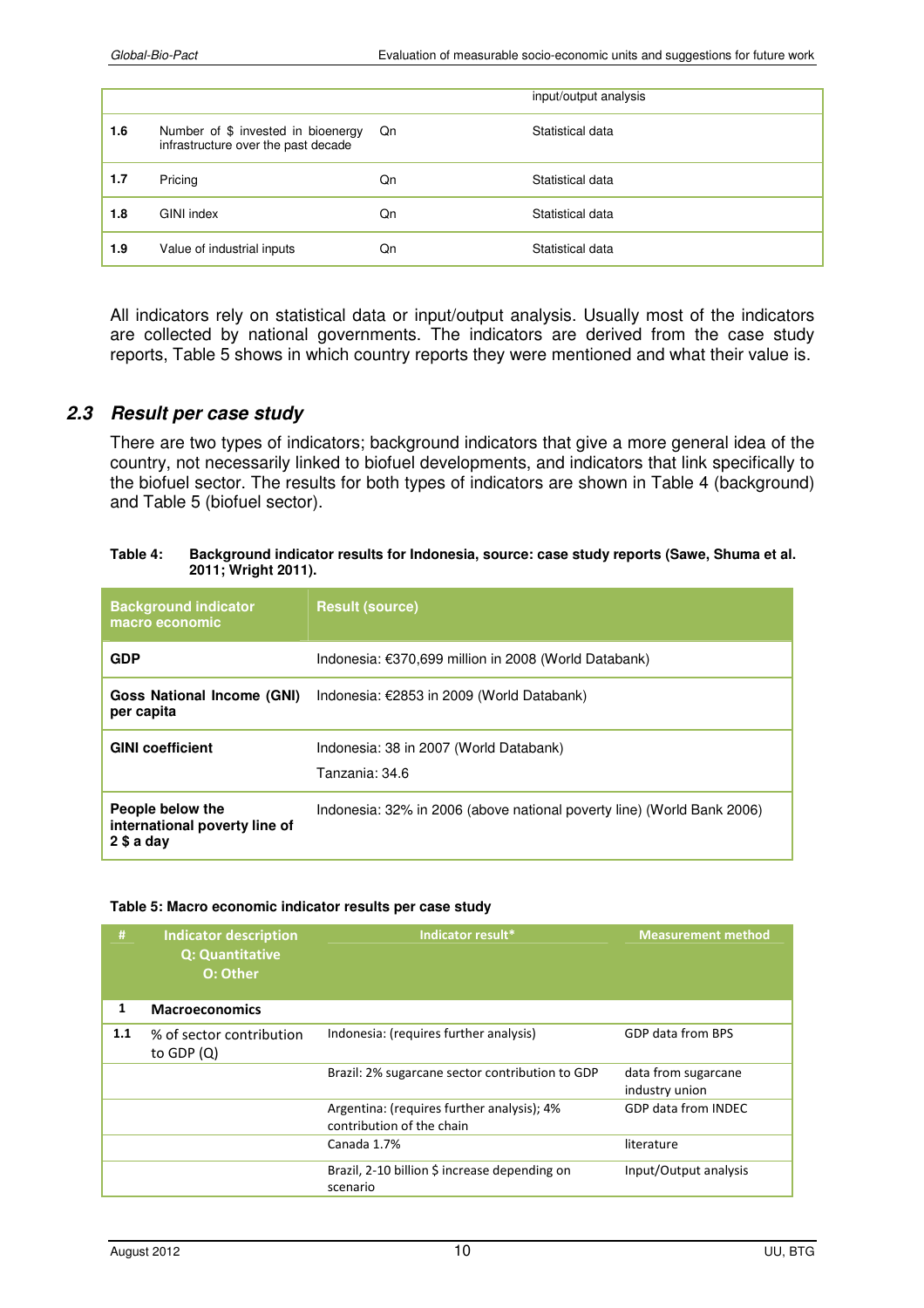|     |                                                                           |    | input/output analysis |
|-----|---------------------------------------------------------------------------|----|-----------------------|
| 1.6 | Number of \$ invested in bioenergy<br>infrastructure over the past decade | Qn | Statistical data      |
| 1.7 | Pricing                                                                   | Qn | Statistical data      |
| 1.8 | GINI index                                                                | Qn | Statistical data      |
| 1.9 | Value of industrial inputs                                                | Qn | Statistical data      |

All indicators rely on statistical data or input/output analysis. Usually most of the indicators are collected by national governments. The indicators are derived from the case study reports, Table 5 shows in which country reports they were mentioned and what their value is.

#### *2.3 Result per case study*

There are two types of indicators; background indicators that give a more general idea of the country, not necessarily linked to biofuel developments, and indicators that link specifically to the biofuel sector. The results for both types of indicators are shown in Table 4 (background) and Table 5 (biofuel sector).

#### **Table 4: Background indicator results for Indonesia, source: case study reports (Sawe, Shuma et al. 2011; Wright 2011).**

| <b>Background indicator</b><br>macro economic                  | <b>Result (source)</b>                                                 |  |
|----------------------------------------------------------------|------------------------------------------------------------------------|--|
| <b>GDP</b>                                                     | Indonesia: €370,699 million in 2008 (World Databank)                   |  |
| <b>Goss National Income (GNI)</b><br>per capita                | Indonesia: €2853 in 2009 (World Databank)                              |  |
| <b>GINI coefficient</b>                                        | Indonesia: 38 in 2007 (World Databank)<br>Tanzania: 34.6               |  |
| People below the<br>international poverty line of<br>2 \$a day | Indonesia: 32% in 2006 (above national poverty line) (World Bank 2006) |  |

#### **Table 5: Macro economic indicator results per case study**

| #   | <b>Indicator description</b><br><b>Q: Quantitative</b><br>O: Other | Indicator result*                                                       | <b>Measurement method</b>             |
|-----|--------------------------------------------------------------------|-------------------------------------------------------------------------|---------------------------------------|
| 1   | <b>Macroeconomics</b>                                              |                                                                         |                                       |
| 1.1 | % of sector contribution<br>to GDP $(Q)$                           | Indonesia: (requires further analysis)                                  | GDP data from BPS                     |
|     |                                                                    | Brazil: 2% sugarcane sector contribution to GDP                         | data from sugarcane<br>industry union |
|     |                                                                    | Argentina: (requires further analysis); 4%<br>contribution of the chain | GDP data from INDEC                   |
|     |                                                                    | Canada 1.7%                                                             | literature                            |
|     |                                                                    | Brazil, 2-10 billion \$ increase depending on<br>scenario               | Input/Output analysis                 |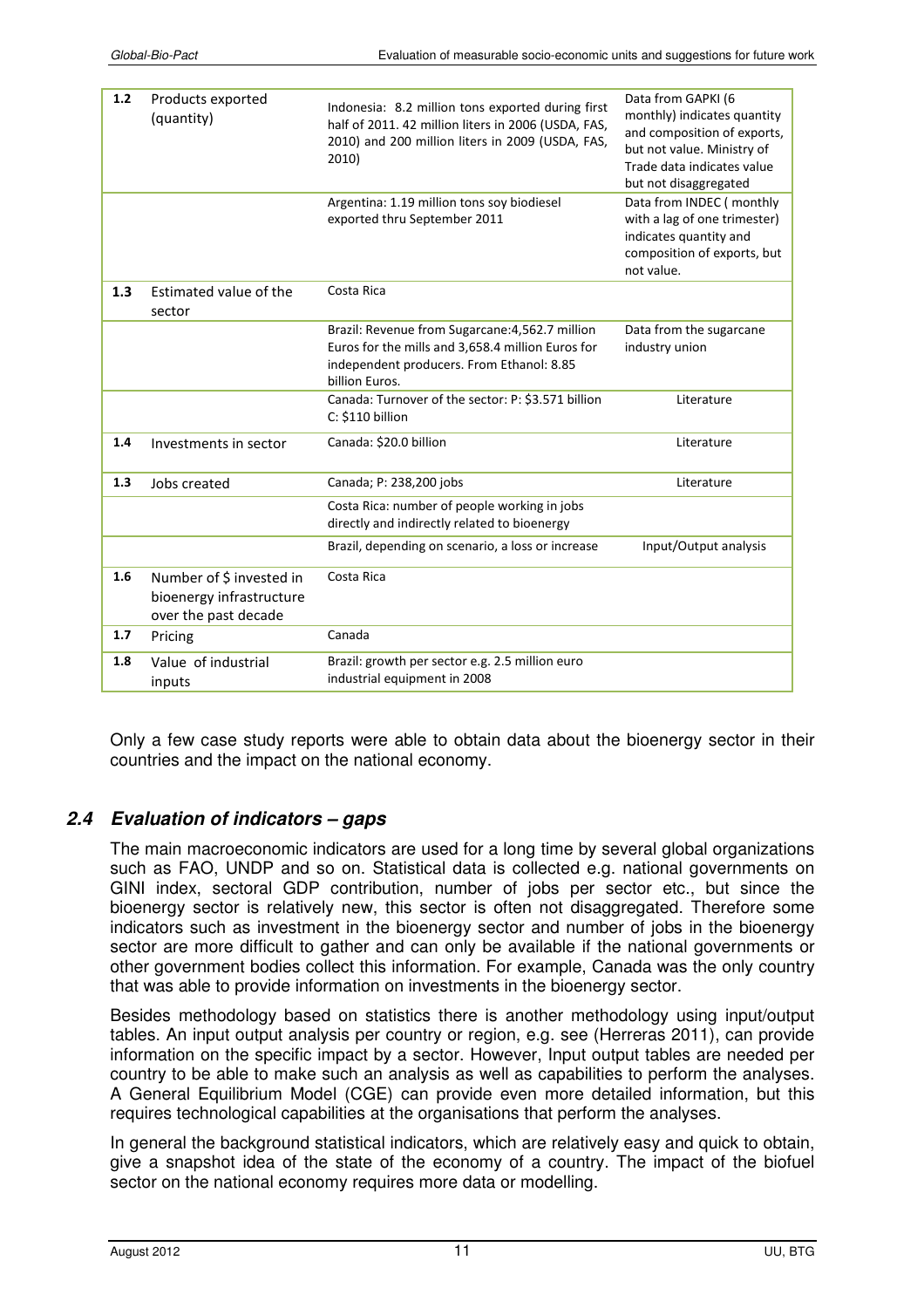| 1.2 | Products exported<br>(quantity)                                              | Indonesia: 8.2 million tons exported during first<br>half of 2011. 42 million liters in 2006 (USDA, FAS,<br>2010) and 200 million liters in 2009 (USDA, FAS,<br>2010) | Data from GAPKI (6<br>monthly) indicates quantity<br>and composition of exports,<br>but not value. Ministry of<br>Trade data indicates value<br>but not disaggregated |
|-----|------------------------------------------------------------------------------|-----------------------------------------------------------------------------------------------------------------------------------------------------------------------|-----------------------------------------------------------------------------------------------------------------------------------------------------------------------|
|     |                                                                              | Argentina: 1.19 million tons soy biodiesel<br>exported thru September 2011                                                                                            | Data from INDEC (monthly<br>with a lag of one trimester)<br>indicates quantity and<br>composition of exports, but<br>not value.                                       |
| 1.3 | Estimated value of the<br>sector                                             | Costa Rica                                                                                                                                                            |                                                                                                                                                                       |
|     |                                                                              | Brazil: Revenue from Sugarcane: 4,562.7 million<br>Euros for the mills and 3,658.4 million Euros for<br>independent producers. From Ethanol: 8.85<br>billion Euros.   | Data from the sugarcane<br>industry union                                                                                                                             |
|     |                                                                              | Canada: Turnover of the sector: P: \$3.571 billion<br>C: \$110 billion                                                                                                | Literature                                                                                                                                                            |
| 1.4 | Investments in sector                                                        | Canada: \$20.0 billion                                                                                                                                                | Literature                                                                                                                                                            |
| 1.3 | Jobs created                                                                 | Canada; P: 238,200 jobs                                                                                                                                               | Literature                                                                                                                                                            |
|     |                                                                              | Costa Rica: number of people working in jobs<br>directly and indirectly related to bioenergy                                                                          |                                                                                                                                                                       |
|     |                                                                              | Brazil, depending on scenario, a loss or increase                                                                                                                     | Input/Output analysis                                                                                                                                                 |
| 1.6 | Number of \$ invested in<br>bioenergy infrastructure<br>over the past decade | Costa Rica                                                                                                                                                            |                                                                                                                                                                       |
| 1.7 | Pricing                                                                      | Canada                                                                                                                                                                |                                                                                                                                                                       |
| 1.8 | Value of industrial<br>inputs                                                | Brazil: growth per sector e.g. 2.5 million euro<br>industrial equipment in 2008                                                                                       |                                                                                                                                                                       |

Only a few case study reports were able to obtain data about the bioenergy sector in their countries and the impact on the national economy.

## *2.4 Evaluation of indicators – gaps*

The main macroeconomic indicators are used for a long time by several global organizations such as FAO, UNDP and so on. Statistical data is collected e.g. national governments on GINI index, sectoral GDP contribution, number of jobs per sector etc., but since the bioenergy sector is relatively new, this sector is often not disaggregated. Therefore some indicators such as investment in the bioenergy sector and number of jobs in the bioenergy sector are more difficult to gather and can only be available if the national governments or other government bodies collect this information. For example, Canada was the only country that was able to provide information on investments in the bioenergy sector.

Besides methodology based on statistics there is another methodology using input/output tables. An input output analysis per country or region, e.g. see (Herreras 2011), can provide information on the specific impact by a sector. However, Input output tables are needed per country to be able to make such an analysis as well as capabilities to perform the analyses. A General Equilibrium Model (CGE) can provide even more detailed information, but this requires technological capabilities at the organisations that perform the analyses.

In general the background statistical indicators, which are relatively easy and quick to obtain, give a snapshot idea of the state of the economy of a country. The impact of the biofuel sector on the national economy requires more data or modelling.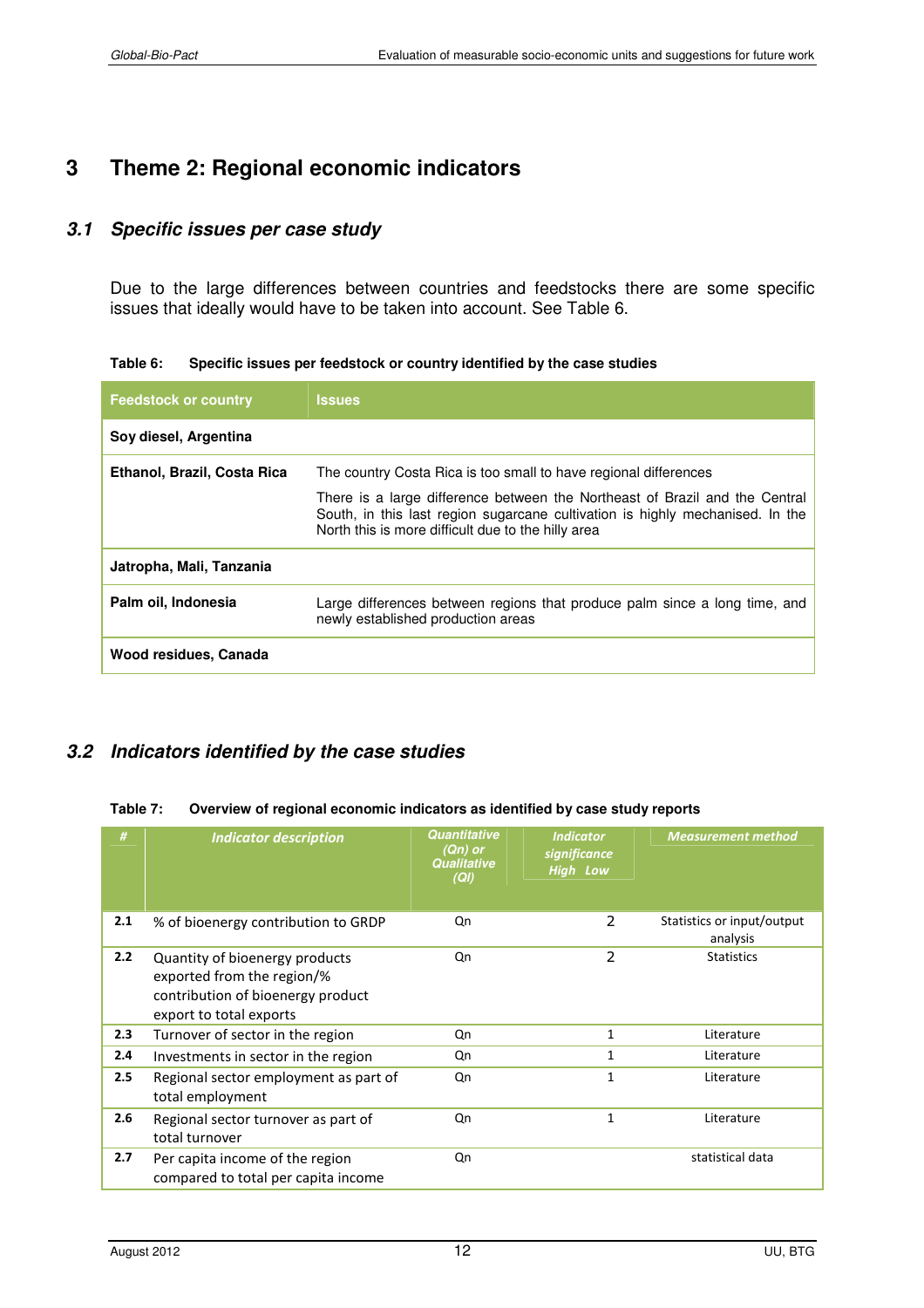# **3 Theme 2: Regional economic indicators**

#### *3.1 Specific issues per case study*

Due to the large differences between countries and feedstocks there are some specific issues that ideally would have to be taken into account. See Table 6.

**Table 6: Specific issues per feedstock or country identified by the case studies** 

| <b>Feedstock or country</b> | <b>Issues</b>                                                                                                                                                                                                      |  |
|-----------------------------|--------------------------------------------------------------------------------------------------------------------------------------------------------------------------------------------------------------------|--|
| Soy diesel, Argentina       |                                                                                                                                                                                                                    |  |
| Ethanol, Brazil, Costa Rica | The country Costa Rica is too small to have regional differences                                                                                                                                                   |  |
|                             | There is a large difference between the Northeast of Brazil and the Central<br>South, in this last region sugarcane cultivation is highly mechanised. In the<br>North this is more difficult due to the hilly area |  |
| Jatropha, Mali, Tanzania    |                                                                                                                                                                                                                    |  |
| Palm oil, Indonesia         | Large differences between regions that produce palm since a long time, and<br>newly established production areas                                                                                                   |  |
| Wood residues, Canada       |                                                                                                                                                                                                                    |  |

## *3.2 Indicators identified by the case studies*

#### **Table 7: Overview of regional economic indicators as identified by case study reports**

| #   | <b>Indicator description</b>                                                                                                 | Quantitative<br>(Qn) or<br>Qualitative<br>(QI) | <b>Indicator</b><br>significance<br><b>High Low</b> | <b>Measurement method</b>              |
|-----|------------------------------------------------------------------------------------------------------------------------------|------------------------------------------------|-----------------------------------------------------|----------------------------------------|
| 2.1 | % of bioenergy contribution to GRDP                                                                                          | Qn                                             | 2                                                   | Statistics or input/output<br>analysis |
| 2.2 | Quantity of bioenergy products<br>exported from the region/%<br>contribution of bioenergy product<br>export to total exports | Qn                                             | 2                                                   | <b>Statistics</b>                      |
| 2.3 | Turnover of sector in the region                                                                                             | Qn                                             | 1                                                   | Literature                             |
| 2.4 | Investments in sector in the region                                                                                          | Qn                                             | $\mathbf{1}$                                        | Literature                             |
| 2.5 | Regional sector employment as part of<br>total employment                                                                    | Qn                                             | 1                                                   | Literature                             |
| 2.6 | Regional sector turnover as part of<br>total turnover                                                                        | Qn                                             | $\mathbf{1}$                                        | Literature                             |
| 2.7 | Per capita income of the region<br>compared to total per capita income                                                       | Qn                                             |                                                     | statistical data                       |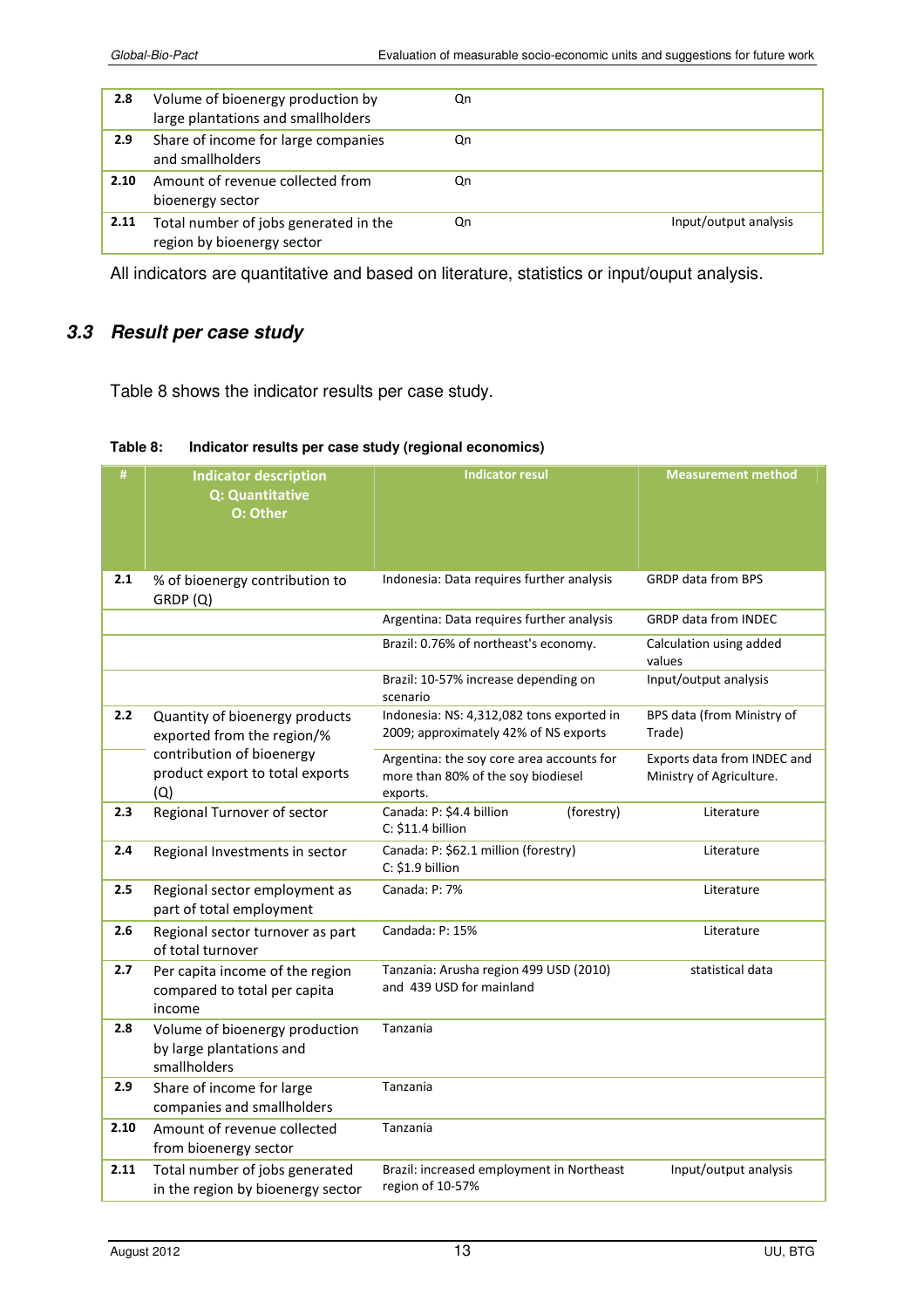| 2.8  | Volume of bioenergy production by<br>large plantations and smallholders | Qn |                       |
|------|-------------------------------------------------------------------------|----|-----------------------|
| 2.9  | Share of income for large companies<br>and smallholders                 | Qn |                       |
| 2.10 | Amount of revenue collected from<br>bioenergy sector                    | Qn |                       |
| 2.11 | Total number of jobs generated in the<br>region by bioenergy sector     | Qn | Input/output analysis |

All indicators are quantitative and based on literature, statistics or input/ouput analysis.

## *3.3 Result per case study*

Table 8 shows the indicator results per case study.

| #    | <b>Indicator description</b><br>Q: Quantitative<br>O: Other                | <b>Indicator resul</b>                                                                      | <b>Measurement method</b>                               |
|------|----------------------------------------------------------------------------|---------------------------------------------------------------------------------------------|---------------------------------------------------------|
| 2.1  | % of bioenergy contribution to<br>GRDP(Q)                                  | Indonesia: Data requires further analysis                                                   | <b>GRDP data from BPS</b>                               |
|      |                                                                            | Argentina: Data requires further analysis                                                   | <b>GRDP data from INDEC</b>                             |
|      |                                                                            | Brazil: 0.76% of northeast's economy.                                                       | Calculation using added<br>values                       |
|      |                                                                            | Brazil: 10-57% increase depending on<br>scenario                                            | Input/output analysis                                   |
| 2.2  | Quantity of bioenergy products<br>exported from the region/%               | Indonesia: NS: 4,312,082 tons exported in<br>2009; approximately 42% of NS exports          | BPS data (from Ministry of<br>Trade)                    |
|      | contribution of bioenergy<br>product export to total exports<br>(Q)        | Argentina: the soy core area accounts for<br>more than 80% of the soy biodiesel<br>exports. | Exports data from INDEC and<br>Ministry of Agriculture. |
| 2.3  | Regional Turnover of sector                                                | Canada: P: \$4.4 billion<br>(forestry)<br>C: \$11.4 billion                                 | Literature                                              |
| 2.4  | Regional Investments in sector                                             | Canada: P: \$62.1 million (forestry)<br>C: \$1.9 billion                                    | Literature                                              |
| 2.5  | Regional sector employment as<br>part of total employment                  | Canada: P: 7%                                                                               | Literature                                              |
| 2.6  | Regional sector turnover as part<br>of total turnover                      | Candada: P: 15%                                                                             | Literature                                              |
| 2.7  | Per capita income of the region<br>compared to total per capita<br>income  | Tanzania: Arusha region 499 USD (2010)<br>and 439 USD for mainland                          | statistical data                                        |
| 2.8  | Volume of bioenergy production<br>by large plantations and<br>smallholders | Tanzania                                                                                    |                                                         |
| 2.9  | Share of income for large<br>companies and smallholders                    | Tanzania                                                                                    |                                                         |
| 2.10 | Amount of revenue collected<br>from bioenergy sector                       | Tanzania                                                                                    |                                                         |
| 2.11 | Total number of jobs generated<br>in the region by bioenergy sector        | Brazil: increased employment in Northeast<br>region of 10-57%                               | Input/output analysis                                   |

#### **Table 8: Indicator results per case study (regional economics)**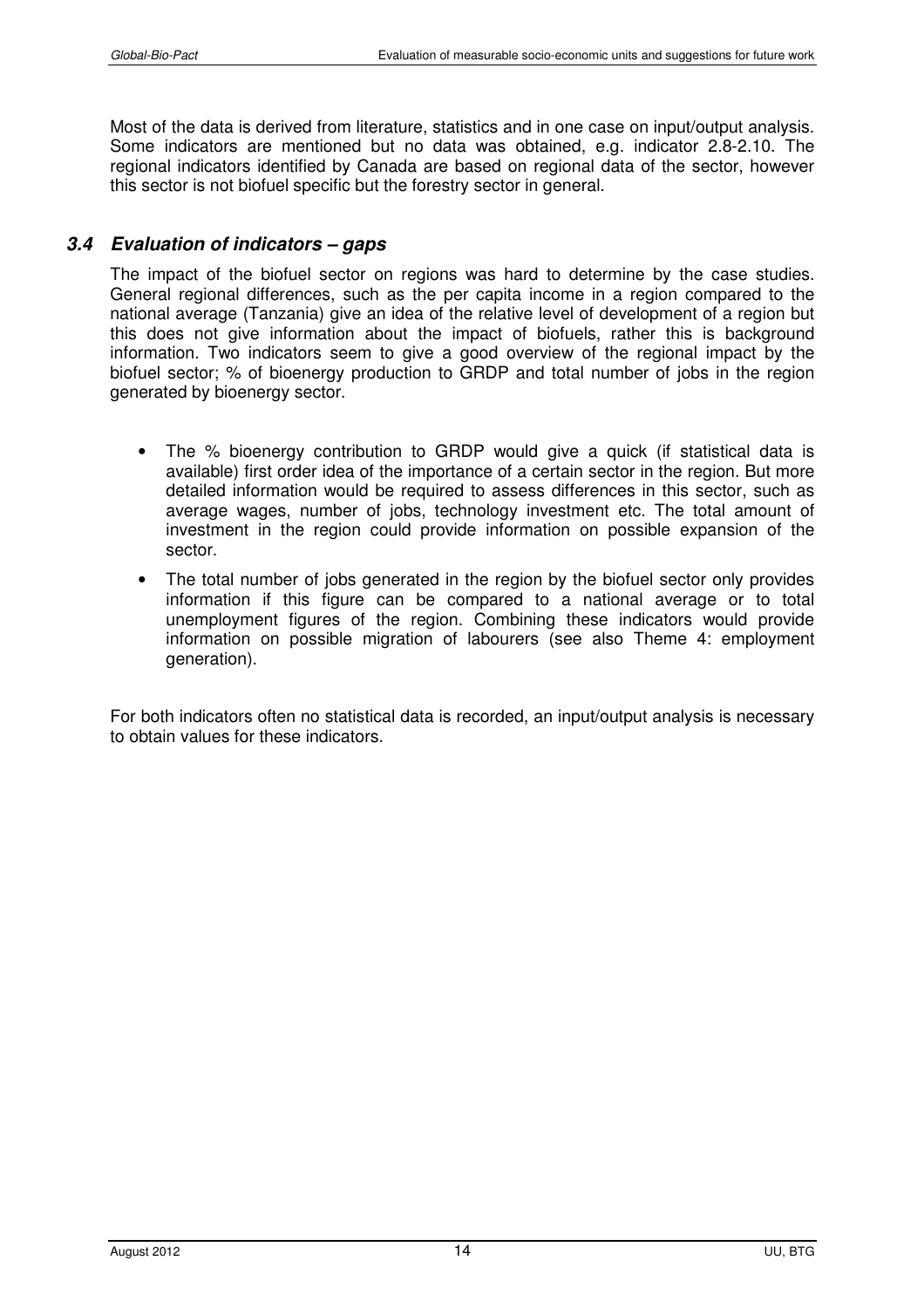Most of the data is derived from literature, statistics and in one case on input/output analysis. Some indicators are mentioned but no data was obtained, e.g. indicator 2.8-2.10. The regional indicators identified by Canada are based on regional data of the sector, however this sector is not biofuel specific but the forestry sector in general.

## *3.4 Evaluation of indicators – gaps*

The impact of the biofuel sector on regions was hard to determine by the case studies. General regional differences, such as the per capita income in a region compared to the national average (Tanzania) give an idea of the relative level of development of a region but this does not give information about the impact of biofuels, rather this is background information. Two indicators seem to give a good overview of the regional impact by the biofuel sector; % of bioenergy production to GRDP and total number of jobs in the region generated by bioenergy sector.

- The % bioenergy contribution to GRDP would give a quick (if statistical data is available) first order idea of the importance of a certain sector in the region. But more detailed information would be required to assess differences in this sector, such as average wages, number of jobs, technology investment etc. The total amount of investment in the region could provide information on possible expansion of the sector.
- The total number of jobs generated in the region by the biofuel sector only provides information if this figure can be compared to a national average or to total unemployment figures of the region. Combining these indicators would provide information on possible migration of labourers (see also Theme 4: employment generation).

For both indicators often no statistical data is recorded, an input/output analysis is necessary to obtain values for these indicators.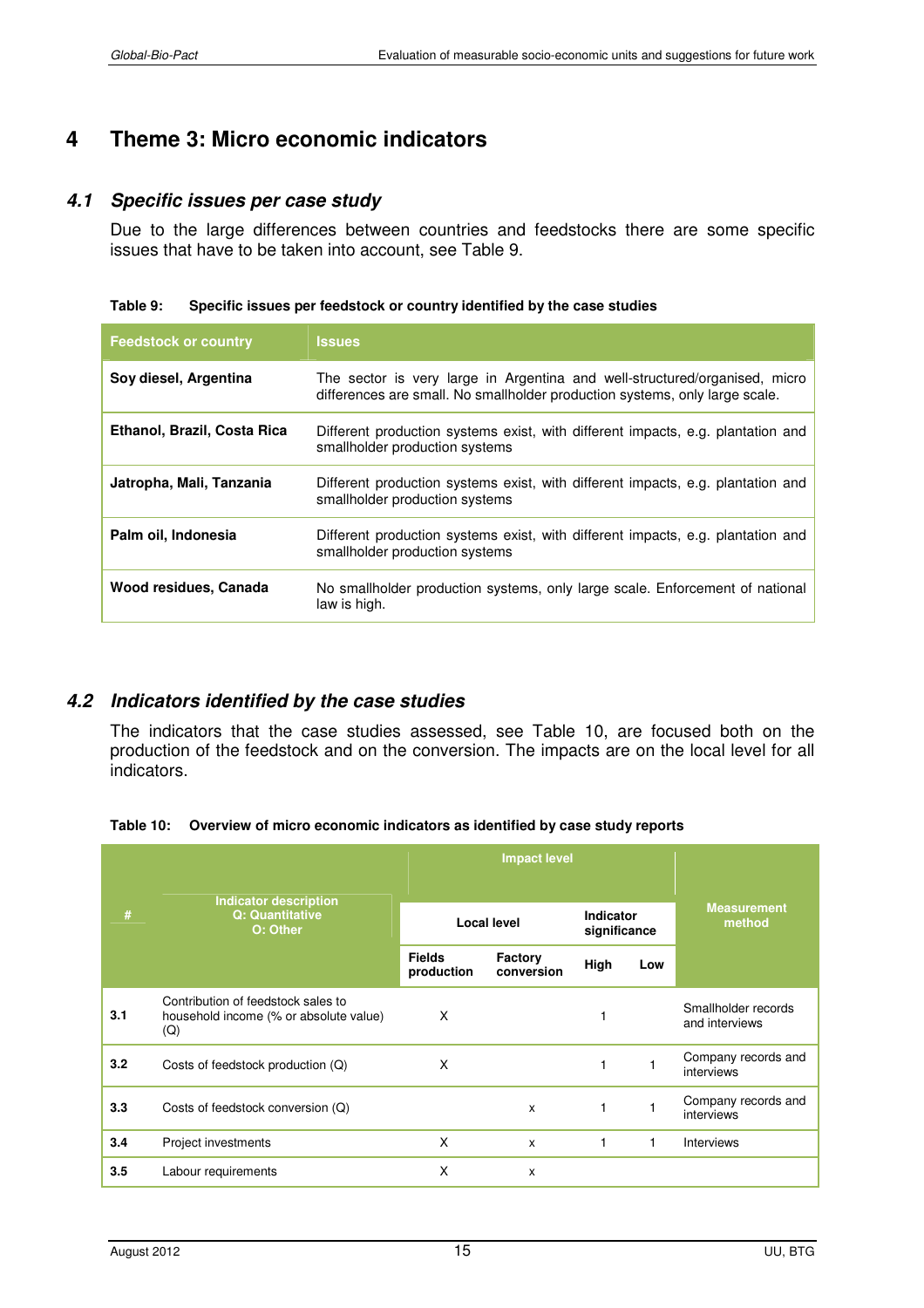# **4 Theme 3: Micro economic indicators**

#### *4.1 Specific issues per case study*

Due to the large differences between countries and feedstocks there are some specific issues that have to be taken into account, see Table 9.

#### **Table 9: Specific issues per feedstock or country identified by the case studies**

| <b>Feedstock or country</b> | <b>Issues</b>                                                                                                                                             |
|-----------------------------|-----------------------------------------------------------------------------------------------------------------------------------------------------------|
| Soy diesel, Argentina       | The sector is very large in Argentina and well-structured/organised, micro<br>differences are small. No smallholder production systems, only large scale. |
| Ethanol, Brazil, Costa Rica | Different production systems exist, with different impacts, e.g. plantation and<br>smallholder production systems                                         |
| Jatropha, Mali, Tanzania    | Different production systems exist, with different impacts, e.g. plantation and<br>smallholder production systems                                         |
| Palm oil, Indonesia         | Different production systems exist, with different impacts, e.g. plantation and<br>smallholder production systems                                         |
| Wood residues, Canada       | No smallholder production systems, only large scale. Enforcement of national<br>law is high.                                                              |

#### *4.2 Indicators identified by the case studies*

The indicators that the case studies assessed, see Table 10, are focused both on the production of the feedstock and on the conversion. The impacts are on the local level for all indicators.

**Table 10: Overview of micro economic indicators as identified by case study reports** 

| #   |                                                                                     |                             | <b>Impact level</b>   | <b>Measurement</b><br>method |     |                                       |
|-----|-------------------------------------------------------------------------------------|-----------------------------|-----------------------|------------------------------|-----|---------------------------------------|
|     | Indicator description<br><b>Q: Quantitative</b><br>O: Other                         | <b>Local level</b>          |                       |                              |     | Indicator<br>significance             |
|     |                                                                                     | <b>Fields</b><br>production | Factory<br>conversion | High                         | Low |                                       |
| 3.1 | Contribution of feedstock sales to<br>household income (% or absolute value)<br>(Q) | X                           |                       |                              |     | Smallholder records<br>and interviews |
| 3.2 | Costs of feedstock production (Q)                                                   | X                           |                       | 1                            | 1   | Company records and<br>interviews     |
| 3.3 | Costs of feedstock conversion (Q)                                                   |                             | $\mathsf{x}$          | 1                            |     | Company records and<br>interviews     |
| 3.4 | Project investments                                                                 | X                           | X                     |                              | 1   | <b>Interviews</b>                     |
| 3.5 | Labour requirements                                                                 | X                           | x                     |                              |     |                                       |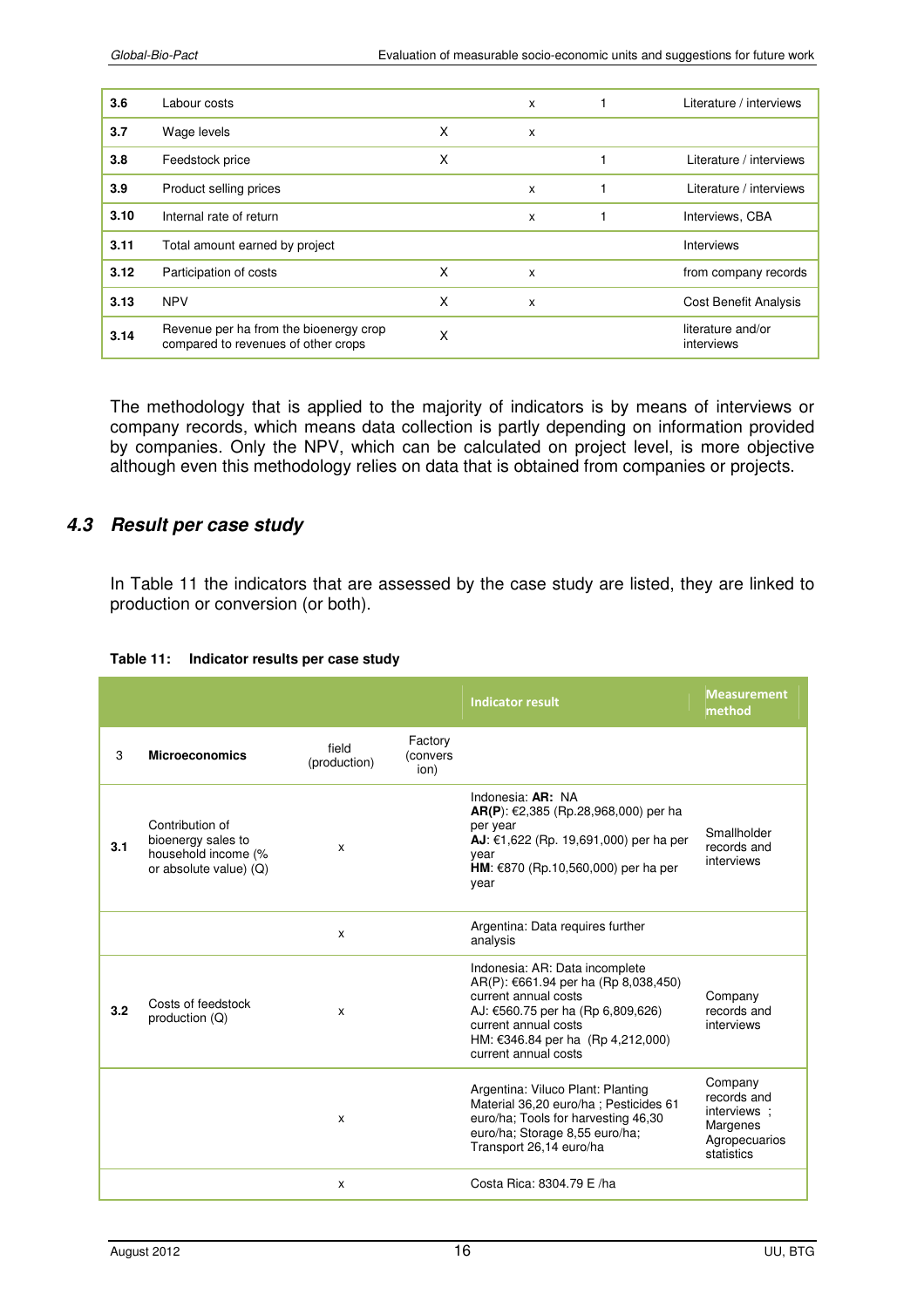| 3.6  | Labour costs                                                                  |   | X | Literature / interviews         |
|------|-------------------------------------------------------------------------------|---|---|---------------------------------|
| 3.7  | Wage levels                                                                   | X | X |                                 |
| 3.8  | Feedstock price                                                               | X |   | Literature / interviews         |
| 3.9  | Product selling prices                                                        |   | X | Literature / interviews         |
| 3.10 | Internal rate of return                                                       |   | X | Interviews, CBA                 |
| 3.11 | Total amount earned by project                                                |   |   | <b>Interviews</b>               |
| 3.12 | Participation of costs                                                        | X | X | from company records            |
| 3.13 | <b>NPV</b>                                                                    | X | x | <b>Cost Benefit Analysis</b>    |
| 3.14 | Revenue per ha from the bioenergy crop<br>compared to revenues of other crops | X |   | literature and/or<br>interviews |

The methodology that is applied to the majority of indicators is by means of interviews or company records, which means data collection is partly depending on information provided by companies. Only the NPV, which can be calculated on project level, is more objective although even this methodology relies on data that is obtained from companies or projects.

#### *4.3 Result per case study*

In Table 11 the indicators that are assessed by the case study are listed, they are linked to production or conversion (or both).

|     |                                                                                        |                       |                             | <b>Indicator result</b>                                                                                                                                                                                                                         | <b>Measurement</b><br>method                                                      |
|-----|----------------------------------------------------------------------------------------|-----------------------|-----------------------------|-------------------------------------------------------------------------------------------------------------------------------------------------------------------------------------------------------------------------------------------------|-----------------------------------------------------------------------------------|
| 3   | <b>Microeconomics</b>                                                                  | field<br>(production) | Factory<br>(convers<br>ion) |                                                                                                                                                                                                                                                 |                                                                                   |
| 3.1 | Contribution of<br>bioenergy sales to<br>household income (%<br>or absolute value) (Q) | X                     |                             | Indonesia: $AR: NA$<br><b>AR(P)</b> : €2,385 (Rp.28,968,000) per ha<br>per year<br><b>AJ</b> : €1,622 (Rp. 19,691,000) per ha per<br>year<br><b>HM</b> : €870 (Rp.10,560,000) per ha per<br>year                                                | Smallholder<br>records and<br>interviews                                          |
|     |                                                                                        | X                     |                             | Argentina: Data requires further<br>analysis                                                                                                                                                                                                    |                                                                                   |
| 3.2 | Costs of feedstock<br>production (Q)                                                   | X                     |                             | Indonesia: AR: Data incomplete<br>$AR(P): \text{\textsterling}661.94$ per ha (Rp 8,038,450)<br>current annual costs<br>AJ: $£560.75$ per ha (Rp 6,809,626)<br>current annual costs<br>HM: €346.84 per ha (Rp 4,212,000)<br>current annual costs | Company<br>records and<br>interviews                                              |
|     |                                                                                        | x                     |                             | Argentina: Viluco Plant: Planting<br>Material 36,20 euro/ha ; Pesticides 61<br>euro/ha; Tools for harvesting 46,30<br>euro/ha; Storage 8,55 euro/ha;<br>Transport 26,14 euro/ha                                                                 | Company<br>records and<br>interviews ;<br>Margenes<br>Agropecuarios<br>statistics |
|     |                                                                                        | x                     |                             | Costa Rica: 8304.79 E /ha                                                                                                                                                                                                                       |                                                                                   |

#### **Table 11: Indicator results per case study**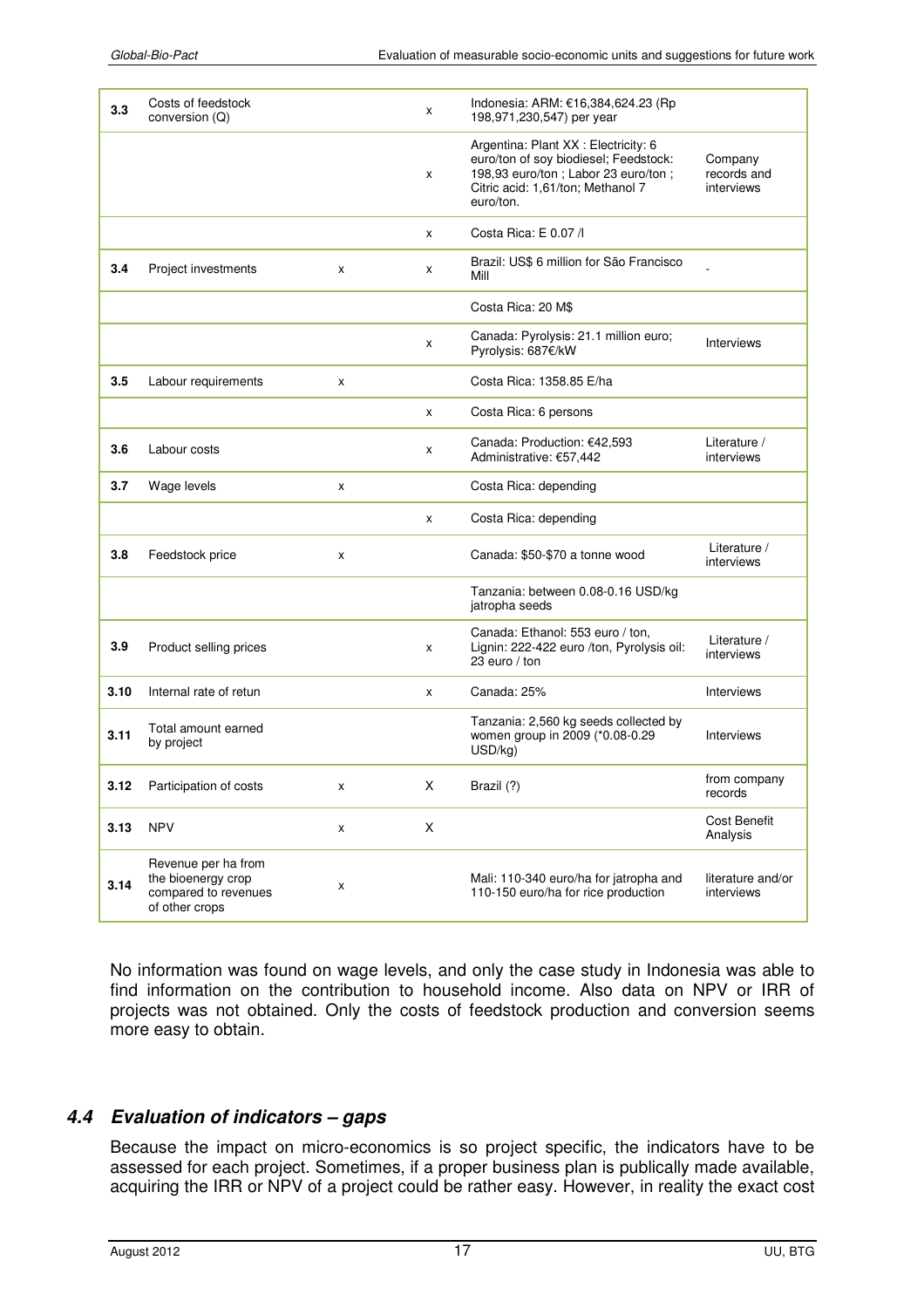| 3.3  | Costs of feedstock<br>conversion (Q)                                                |   | x | Indonesia: ARM: €16,384,624.23 (Rp<br>198,971,230,547) per year                                                                                                          |                                      |
|------|-------------------------------------------------------------------------------------|---|---|--------------------------------------------------------------------------------------------------------------------------------------------------------------------------|--------------------------------------|
|      |                                                                                     |   | x | Argentina: Plant XX : Electricity: 6<br>euro/ton of soy biodiesel; Feedstock:<br>198,93 euro/ton ; Labor 23 euro/ton ;<br>Citric acid: 1,61/ton; Methanol 7<br>euro/ton. | Company<br>records and<br>interviews |
|      |                                                                                     |   | X | Costa Rica: E 0.07 /                                                                                                                                                     |                                      |
| 3.4  | Project investments                                                                 | x | x | Brazil: US\$ 6 million for São Francisco<br>Mill                                                                                                                         |                                      |
|      |                                                                                     |   |   | Costa Rica: 20 M\$                                                                                                                                                       |                                      |
|      |                                                                                     |   | x | Canada: Pyrolysis: 21.1 million euro;<br>Pyrolysis: 687€/kW                                                                                                              | Interviews                           |
| 3.5  | Labour requirements                                                                 | x |   | Costa Rica: 1358.85 E/ha                                                                                                                                                 |                                      |
|      |                                                                                     |   | X | Costa Rica: 6 persons                                                                                                                                                    |                                      |
| 3.6  | Labour costs                                                                        |   | x | Canada: Production: €42,593<br>Administrative: €57,442                                                                                                                   | Literature /<br>interviews           |
| 3.7  | Wage levels                                                                         | x |   | Costa Rica: depending                                                                                                                                                    |                                      |
|      |                                                                                     |   | x | Costa Rica: depending                                                                                                                                                    |                                      |
| 3.8  | Feedstock price                                                                     | x |   | Canada: \$50-\$70 a tonne wood                                                                                                                                           | Literature /<br>interviews           |
|      |                                                                                     |   |   | Tanzania: between 0.08-0.16 USD/kg<br>jatropha seeds                                                                                                                     |                                      |
| 3.9  | Product selling prices                                                              |   | x | Canada: Ethanol: 553 euro / ton,<br>Lignin: 222-422 euro /ton, Pyrolysis oil:<br>23 euro / ton                                                                           | Literature /<br>interviews           |
| 3.10 | Internal rate of retun                                                              |   | x | Canada: 25%                                                                                                                                                              | <b>Interviews</b>                    |
| 3.11 | Total amount earned<br>by project                                                   |   |   | Tanzania: 2,560 kg seeds collected by<br>women group in 2009 (*0.08-0.29<br>USD/kg                                                                                       | <b>Interviews</b>                    |
| 3.12 | Participation of costs                                                              | x | Χ | Brazil (?)                                                                                                                                                               | from company<br>records              |
| 3.13 | <b>NPV</b>                                                                          | x | X |                                                                                                                                                                          | <b>Cost Benefit</b><br>Analysis      |
| 3.14 | Revenue per ha from<br>the bioenergy crop<br>compared to revenues<br>of other crops | x |   | Mali: 110-340 euro/ha for jatropha and<br>110-150 euro/ha for rice production                                                                                            | literature and/or<br>interviews      |

No information was found on wage levels, and only the case study in Indonesia was able to find information on the contribution to household income. Also data on NPV or IRR of projects was not obtained. Only the costs of feedstock production and conversion seems more easy to obtain.

## *4.4 Evaluation of indicators – gaps*

Because the impact on micro-economics is so project specific, the indicators have to be assessed for each project. Sometimes, if a proper business plan is publically made available, acquiring the IRR or NPV of a project could be rather easy. However, in reality the exact cost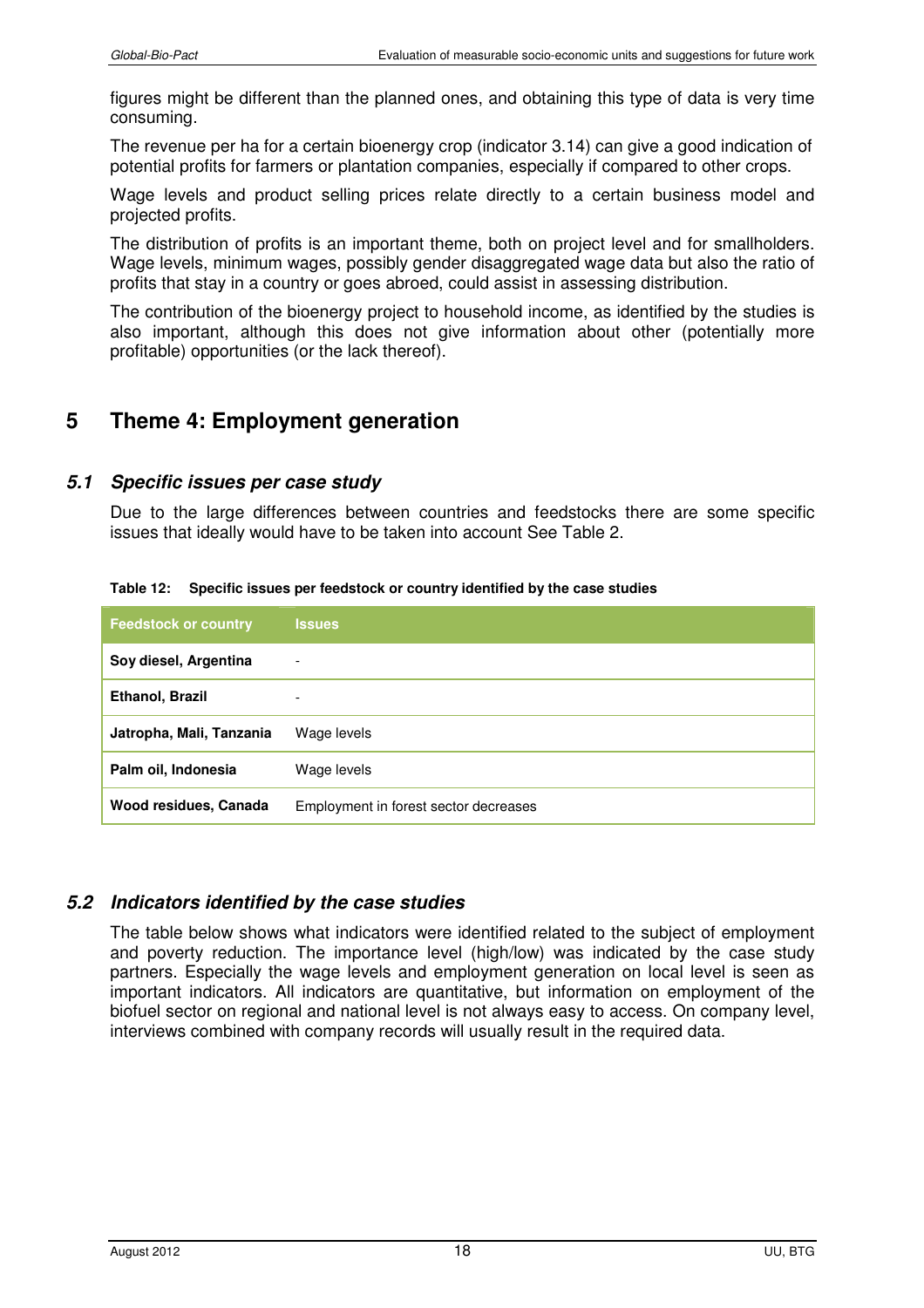figures might be different than the planned ones, and obtaining this type of data is very time consuming.

The revenue per ha for a certain bioenergy crop (indicator 3.14) can give a good indication of potential profits for farmers or plantation companies, especially if compared to other crops.

Wage levels and product selling prices relate directly to a certain business model and projected profits.

The distribution of profits is an important theme, both on project level and for smallholders. Wage levels, minimum wages, possibly gender disaggregated wage data but also the ratio of profits that stay in a country or goes abroed, could assist in assessing distribution.

The contribution of the bioenergy project to household income, as identified by the studies is also important, although this does not give information about other (potentially more profitable) opportunities (or the lack thereof).

# **5 Theme 4: Employment generation**

#### *5.1 Specific issues per case study*

Due to the large differences between countries and feedstocks there are some specific issues that ideally would have to be taken into account See Table 2.

| <b>Feedstock or country</b> | <b>Issues</b>                         |
|-----------------------------|---------------------------------------|
| Soy diesel, Argentina       | $\overline{\phantom{a}}$              |
| Ethanol, Brazil             | $\overline{\phantom{0}}$              |
| Jatropha, Mali, Tanzania    | Wage levels                           |
| Palm oil, Indonesia         | Wage levels                           |
| Wood residues, Canada       | Employment in forest sector decreases |

**Table 12: Specific issues per feedstock or country identified by the case studies** 

## *5.2 Indicators identified by the case studies*

The table below shows what indicators were identified related to the subject of employment and poverty reduction. The importance level (high/low) was indicated by the case study partners. Especially the wage levels and employment generation on local level is seen as important indicators. All indicators are quantitative, but information on employment of the biofuel sector on regional and national level is not always easy to access. On company level, interviews combined with company records will usually result in the required data.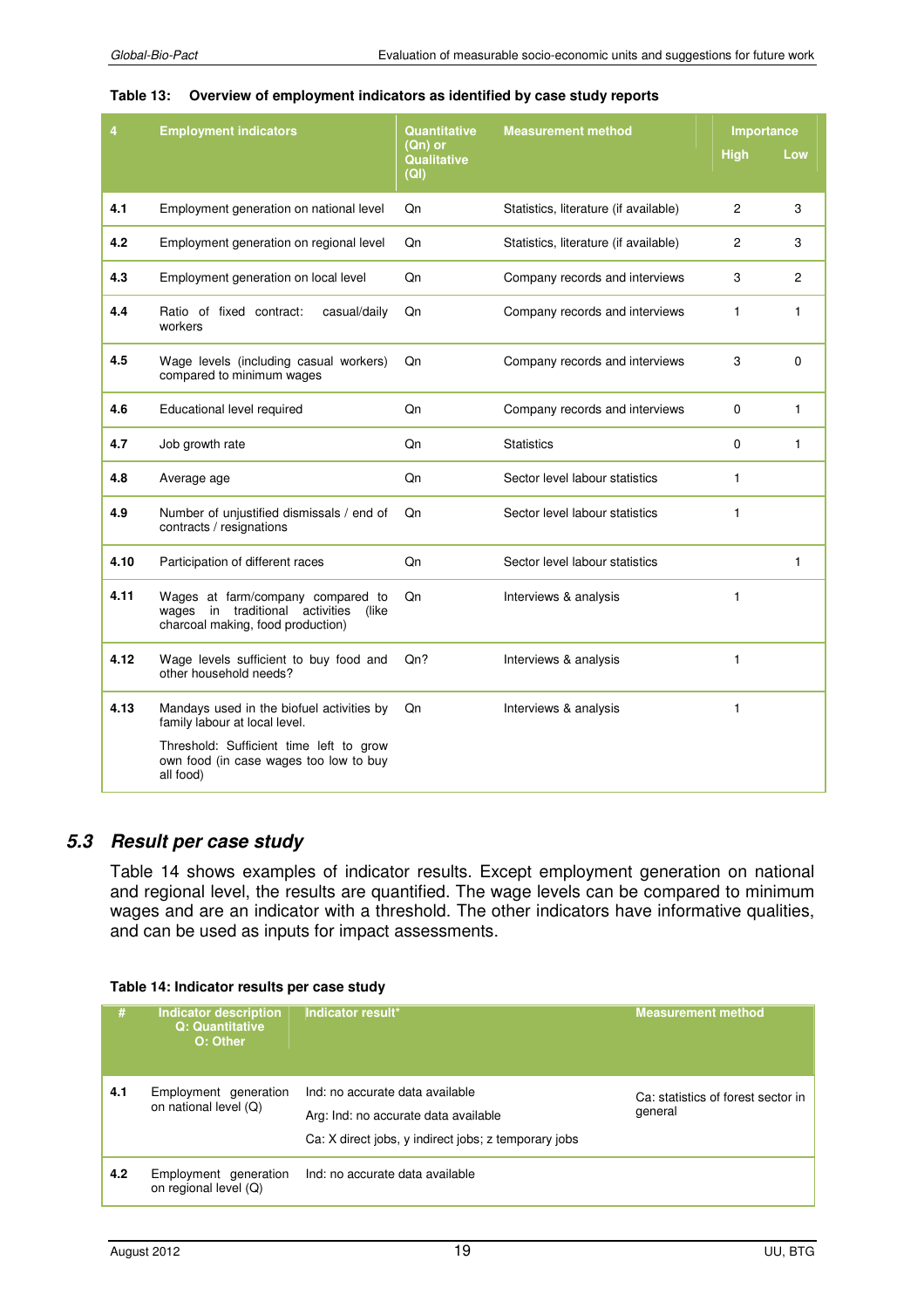| 4    | <b>Employment indicators</b>                                                                                           | Quantitative<br>(Qn) or   | <b>Measurement method</b>             |             | <b>Importance</b> |  |
|------|------------------------------------------------------------------------------------------------------------------------|---------------------------|---------------------------------------|-------------|-------------------|--|
|      |                                                                                                                        | <b>Qualitative</b><br>(Q) |                                       | <b>High</b> | Low               |  |
| 4.1  | Employment generation on national level                                                                                | Qn                        | Statistics, literature (if available) | 2           | 3                 |  |
| 4.2  | Employment generation on regional level                                                                                | Qn                        | Statistics, literature (if available) | 2           | 3                 |  |
| 4.3  | Employment generation on local level                                                                                   | Qn                        | Company records and interviews        | 3           | 2                 |  |
| 4.4  | Ratio of fixed contract:<br>casual/daily<br>workers                                                                    | Qn                        | Company records and interviews        | 1           | 1                 |  |
| 4.5  | Wage levels (including casual workers)<br>compared to minimum wages                                                    | Qn                        | Company records and interviews        | 3           | 0                 |  |
| 4.6  | Educational level required                                                                                             | Qn                        | Company records and interviews        | 0           | $\mathbf{1}$      |  |
| 4.7  | Job growth rate                                                                                                        | Qn                        | <b>Statistics</b>                     | 0           | 1                 |  |
| 4.8  | Average age                                                                                                            | Qn                        | Sector level labour statistics        | 1           |                   |  |
| 4.9  | Number of unjustified dismissals / end of<br>contracts / resignations                                                  | Qn                        | Sector level labour statistics        | 1           |                   |  |
| 4.10 | Participation of different races                                                                                       | Qn                        | Sector level labour statistics        |             | 1                 |  |
| 4.11 | Wages at farm/company compared to<br>in traditional activities<br>wages<br>(like)<br>charcoal making, food production) | Qn                        | Interviews & analysis                 | 1           |                   |  |
| 4.12 | Wage levels sufficient to buy food and<br>other household needs?                                                       | Qn?                       | Interviews & analysis                 | 1           |                   |  |
| 4.13 | Mandays used in the biofuel activities by<br>family labour at local level.                                             | Qn                        | Interviews & analysis                 | 1           |                   |  |
|      | Threshold: Sufficient time left to grow<br>own food (in case wages too low to buy<br>all food)                         |                           |                                       |             |                   |  |

#### **Table 13: Overview of employment indicators as identified by case study reports**

## *5.3 Result per case study*

Table 14 shows examples of indicator results. Except employment generation on national and regional level, the results are quantified. The wage levels can be compared to minimum wages and are an indicator with a threshold. The other indicators have informative qualities, and can be used as inputs for impact assessments.

#### **Table 14: Indicator results per case study**

| #   | <b>Indicator description</b><br>Q: Quantitative<br>O: Other | Indicator result*                                                                                                               | <b>Measurement method</b>                     |
|-----|-------------------------------------------------------------|---------------------------------------------------------------------------------------------------------------------------------|-----------------------------------------------|
| 4.1 | Employment generation<br>on national level (Q)              | Ind: no accurate data available<br>Arg: Ind: no accurate data available<br>Ca: X direct jobs, y indirect jobs; z temporary jobs | Ca: statistics of forest sector in<br>general |
| 4.2 | Employment generation<br>on regional level (Q)              | Ind: no accurate data available                                                                                                 |                                               |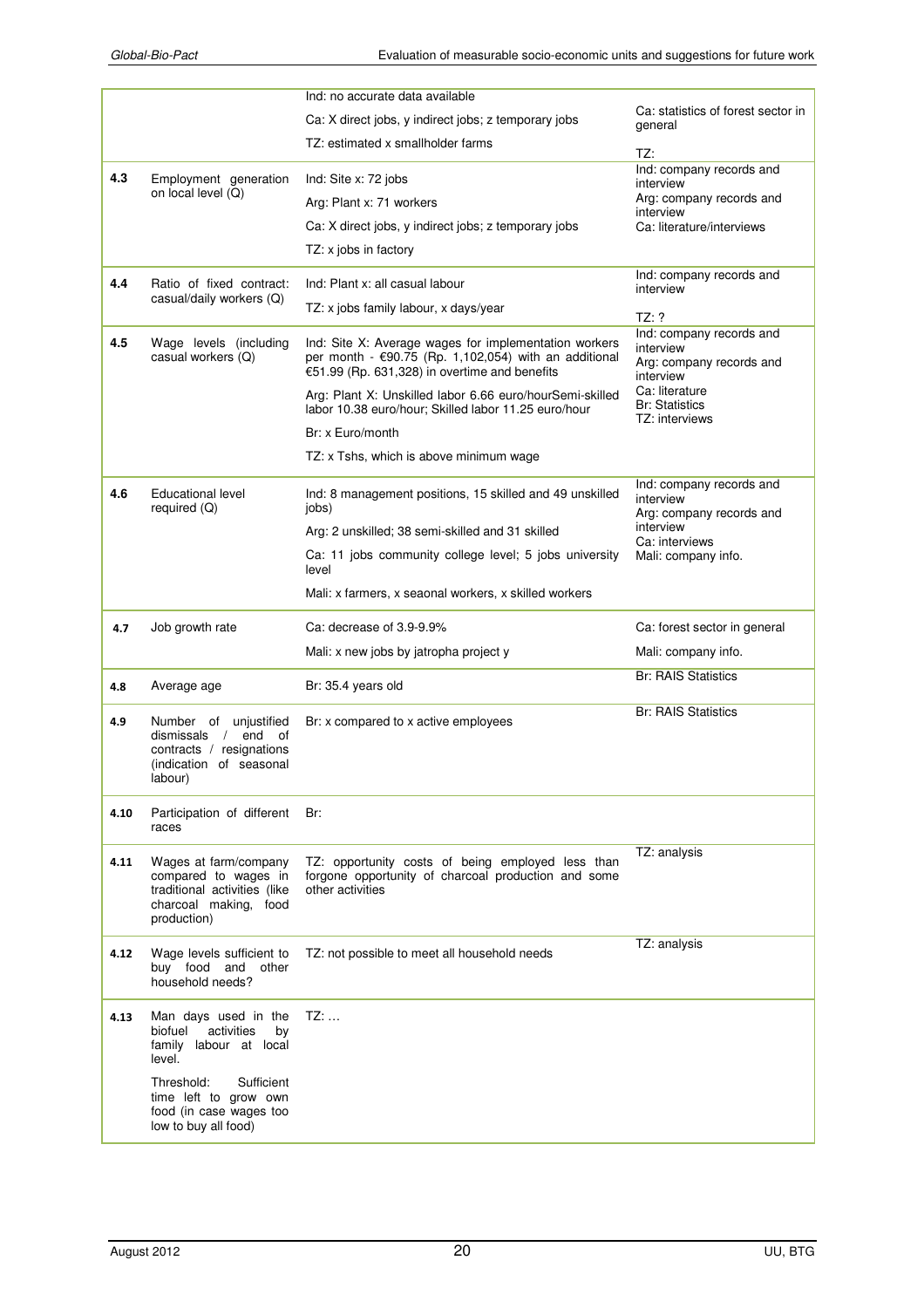|      |                                                                                                                                                                                                 | Ind: no accurate data available                                                                                                                                 |                                                                                         |
|------|-------------------------------------------------------------------------------------------------------------------------------------------------------------------------------------------------|-----------------------------------------------------------------------------------------------------------------------------------------------------------------|-----------------------------------------------------------------------------------------|
|      |                                                                                                                                                                                                 | Ca: X direct jobs, y indirect jobs; z temporary jobs                                                                                                            | Ca: statistics of forest sector in<br>general                                           |
|      |                                                                                                                                                                                                 | TZ: estimated x smallholder farms                                                                                                                               | TZ:                                                                                     |
| 4.3  | Employment generation                                                                                                                                                                           | Ind: Site x: 72 jobs                                                                                                                                            | Ind: company records and<br>interview                                                   |
|      | on local level (Q)                                                                                                                                                                              | Arg: Plant x: 71 workers                                                                                                                                        | Arg: company records and                                                                |
|      |                                                                                                                                                                                                 | Ca: X direct jobs, y indirect jobs; z temporary jobs                                                                                                            | interview<br>Ca: literature/interviews                                                  |
|      |                                                                                                                                                                                                 | TZ: x jobs in factory                                                                                                                                           |                                                                                         |
| 4.4  | Ratio of fixed contract:                                                                                                                                                                        | Ind: Plant x: all casual labour                                                                                                                                 | Ind: company records and<br>interview                                                   |
|      | casual/daily workers (Q)                                                                                                                                                                        | TZ: x jobs family labour, x days/year                                                                                                                           |                                                                                         |
| 4.5  | Wage levels (including<br>casual workers (Q)                                                                                                                                                    | Ind: Site X: Average wages for implementation workers<br>per month - €90.75 (Rp. 1,102,054) with an additional<br>€51.99 (Rp. 631,328) in overtime and benefits | TZ: ?<br>Ind: company records and<br>interview<br>Arg: company records and<br>interview |
|      |                                                                                                                                                                                                 | Arg: Plant X: Unskilled labor 6.66 euro/hourSemi-skilled<br>labor 10.38 euro/hour; Skilled labor 11.25 euro/hour                                                | Ca: literature<br><b>Br: Statistics</b><br>TZ: interviews                               |
|      |                                                                                                                                                                                                 | Br: x Euro/month                                                                                                                                                |                                                                                         |
|      |                                                                                                                                                                                                 | TZ: x Tshs, which is above minimum wage                                                                                                                         |                                                                                         |
| 4.6  | <b>Educational level</b><br>required (Q)                                                                                                                                                        | Ind: 8 management positions, 15 skilled and 49 unskilled<br>jobs)                                                                                               | Ind: company records and<br>interview<br>Arg: company records and                       |
|      |                                                                                                                                                                                                 | Arg: 2 unskilled; 38 semi-skilled and 31 skilled                                                                                                                | interview<br>Ca: interviews                                                             |
|      |                                                                                                                                                                                                 | Ca: 11 jobs community college level; 5 jobs university<br>level                                                                                                 | Mali: company info.                                                                     |
|      |                                                                                                                                                                                                 | Mali: x farmers, x seaonal workers, x skilled workers                                                                                                           |                                                                                         |
| 4.7  | Job growth rate                                                                                                                                                                                 | Ca: decrease of 3.9-9.9%                                                                                                                                        | Ca: forest sector in general                                                            |
|      |                                                                                                                                                                                                 | Mali: x new jobs by jatropha project y                                                                                                                          | Mali: company info.                                                                     |
| 4.8  | Average age                                                                                                                                                                                     | Br: 35.4 years old                                                                                                                                              | <b>Br: RAIS Statistics</b>                                                              |
| 4.9  | Number of unjustified<br>dismissals<br>/ end of<br>contracts / resignations<br>(indication of seasonal<br>labour)                                                                               | Br: x compared to x active employees                                                                                                                            | <b>Br: RAIS Statistics</b>                                                              |
| 4.10 | Participation of different<br>races                                                                                                                                                             | Br:                                                                                                                                                             |                                                                                         |
| 4.11 | Wages at farm/company<br>compared to wages in<br>traditional activities (like<br>charcoal making, food<br>production)                                                                           | TZ: opportunity costs of being employed less than<br>forgone opportunity of charcoal production and some<br>other activities                                    | TZ: analysis                                                                            |
| 4.12 | Wage levels sufficient to<br>buy food and other<br>household needs?                                                                                                                             | TZ: not possible to meet all household needs                                                                                                                    | TZ: analysis                                                                            |
| 4.13 | Man days used in the<br>biofuel<br>activities<br>by<br>family labour at local<br>level.<br>Threshold:<br>Sufficient<br>time left to grow own<br>food (in case wages too<br>low to buy all food) | $TZ:$                                                                                                                                                           |                                                                                         |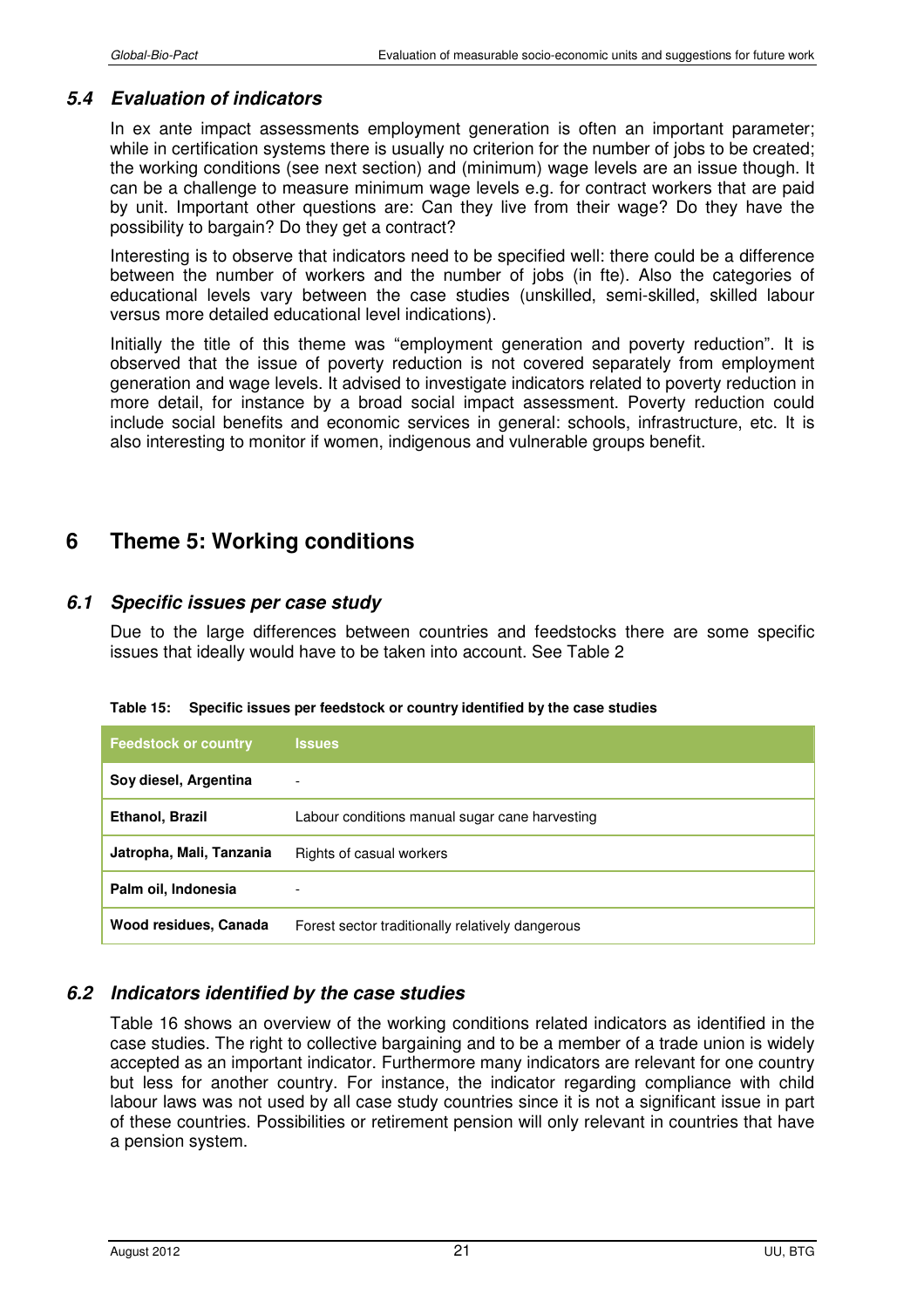### *5.4 Evaluation of indicators*

In ex ante impact assessments employment generation is often an important parameter; while in certification systems there is usually no criterion for the number of jobs to be created; the working conditions (see next section) and (minimum) wage levels are an issue though. It can be a challenge to measure minimum wage levels e.g. for contract workers that are paid by unit. Important other questions are: Can they live from their wage? Do they have the possibility to bargain? Do they get a contract?

Interesting is to observe that indicators need to be specified well: there could be a difference between the number of workers and the number of jobs (in fte). Also the categories of educational levels vary between the case studies (unskilled, semi-skilled, skilled labour versus more detailed educational level indications).

Initially the title of this theme was "employment generation and poverty reduction". It is observed that the issue of poverty reduction is not covered separately from employment generation and wage levels. It advised to investigate indicators related to poverty reduction in more detail, for instance by a broad social impact assessment. Poverty reduction could include social benefits and economic services in general: schools, infrastructure, etc. It is also interesting to monitor if women, indigenous and vulnerable groups benefit.

# **6 Theme 5: Working conditions**

## *6.1 Specific issues per case study*

Due to the large differences between countries and feedstocks there are some specific issues that ideally would have to be taken into account. See Table 2

| <b>Feedstock or country</b> | <b>Issues</b>                                    |
|-----------------------------|--------------------------------------------------|
| Soy diesel, Argentina       | ٠                                                |
| Ethanol, Brazil             | Labour conditions manual sugar cane harvesting   |
| Jatropha, Mali, Tanzania    | Rights of casual workers                         |
| Palm oil, Indonesia         |                                                  |
| Wood residues, Canada       | Forest sector traditionally relatively dangerous |

**Table 15: Specific issues per feedstock or country identified by the case studies** 

## *6.2 Indicators identified by the case studies*

Table 16 shows an overview of the working conditions related indicators as identified in the case studies. The right to collective bargaining and to be a member of a trade union is widely accepted as an important indicator. Furthermore many indicators are relevant for one country but less for another country. For instance, the indicator regarding compliance with child labour laws was not used by all case study countries since it is not a significant issue in part of these countries. Possibilities or retirement pension will only relevant in countries that have a pension system.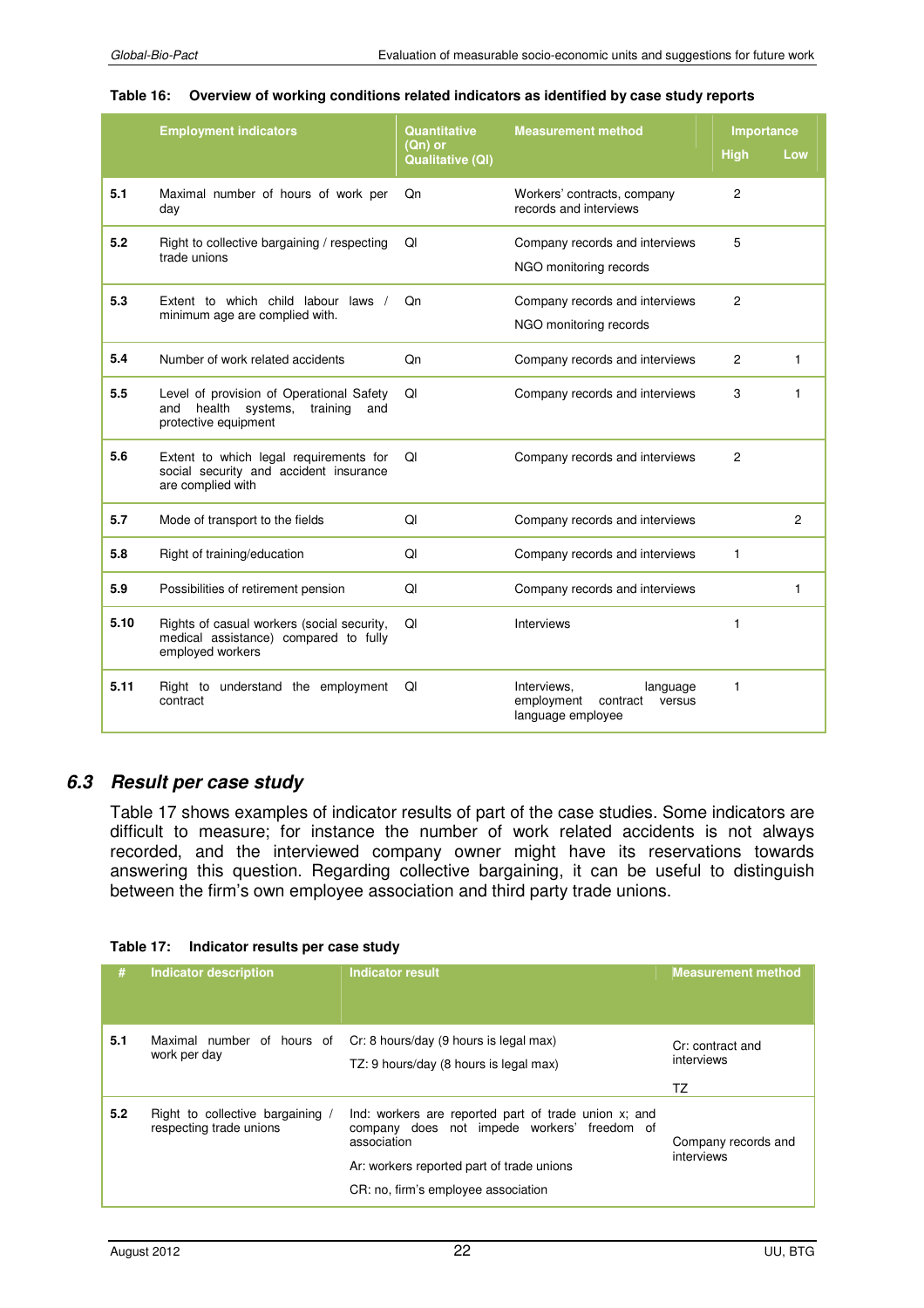#### **Table 16: Overview of working conditions related indicators as identified by case study reports**

|      | <b>Employment indicators</b>                                                                               | Quantitative                       | <b>Measurement method</b>                                                        | Importance     |              |
|------|------------------------------------------------------------------------------------------------------------|------------------------------------|----------------------------------------------------------------------------------|----------------|--------------|
|      |                                                                                                            | (Qn) or<br><b>Qualitative (QI)</b> |                                                                                  | <b>High</b>    | Low          |
| 5.1  | Maximal number of hours of work per<br>day                                                                 | Qn                                 | Workers' contracts, company<br>records and interviews                            | $\overline{c}$ |              |
| 5.2  | Right to collective bargaining / respecting<br>trade unions                                                | QI                                 | Company records and interviews<br>NGO monitoring records                         | 5              |              |
| 5.3  | Extent to which child labour laws /<br>minimum age are complied with.                                      | Qn                                 | Company records and interviews<br>NGO monitoring records                         | $\overline{c}$ |              |
| 5.4  | Number of work related accidents                                                                           | Qn                                 | Company records and interviews                                                   | 2              | $\mathbf{1}$ |
| 5.5  | Level of provision of Operational Safety<br>and health systems,<br>training<br>and<br>protective equipment | QI                                 | Company records and interviews                                                   | 3              | 1            |
| 5.6  | Extent to which legal requirements for<br>social security and accident insurance<br>are complied with      | QI                                 | Company records and interviews                                                   | 2              |              |
| 5.7  | Mode of transport to the fields                                                                            | QI                                 | Company records and interviews                                                   |                | 2            |
| 5.8  | Right of training/education                                                                                | QI                                 | Company records and interviews                                                   | $\mathbf{1}$   |              |
| 5.9  | Possibilities of retirement pension                                                                        | QI                                 | Company records and interviews                                                   |                | 1            |
| 5.10 | Rights of casual workers (social security,<br>medical assistance) compared to fully<br>employed workers    | QI                                 | <b>Interviews</b>                                                                | 1              |              |
| 5.11 | Right to understand the employment<br>contract                                                             | Ql                                 | Interviews,<br>language<br>employment<br>contract<br>versus<br>language employee | 1              |              |

#### *6.3 Result per case study*

Table 17 shows examples of indicator results of part of the case studies. Some indicators are difficult to measure; for instance the number of work related accidents is not always recorded, and the interviewed company owner might have its reservations towards answering this question. Regarding collective bargaining, it can be useful to distinguish between the firm's own employee association and third party trade unions.

|  | Table 17: Indicator results per case study |  |
|--|--------------------------------------------|--|
|--|--------------------------------------------|--|

| #   | <b>Indicator description</b>                                | <b>Indicator result</b>                                                                                                                                                                                | <b>Measurement method</b>            |
|-----|-------------------------------------------------------------|--------------------------------------------------------------------------------------------------------------------------------------------------------------------------------------------------------|--------------------------------------|
| 5.1 | Maximal number of hours of<br>work per day                  | Cr: 8 hours/day (9 hours is legal max)<br>TZ: 9 hours/day (8 hours is legal max)                                                                                                                       | Cr: contract and<br>interviews<br>TZ |
| 5.2 | Right to collective bargaining /<br>respecting trade unions | Ind: workers are reported part of trade union x; and<br>company does not impede workers' freedom of<br>association<br>Ar: workers reported part of trade unions<br>CR: no, firm's employee association | Company records and<br>interviews    |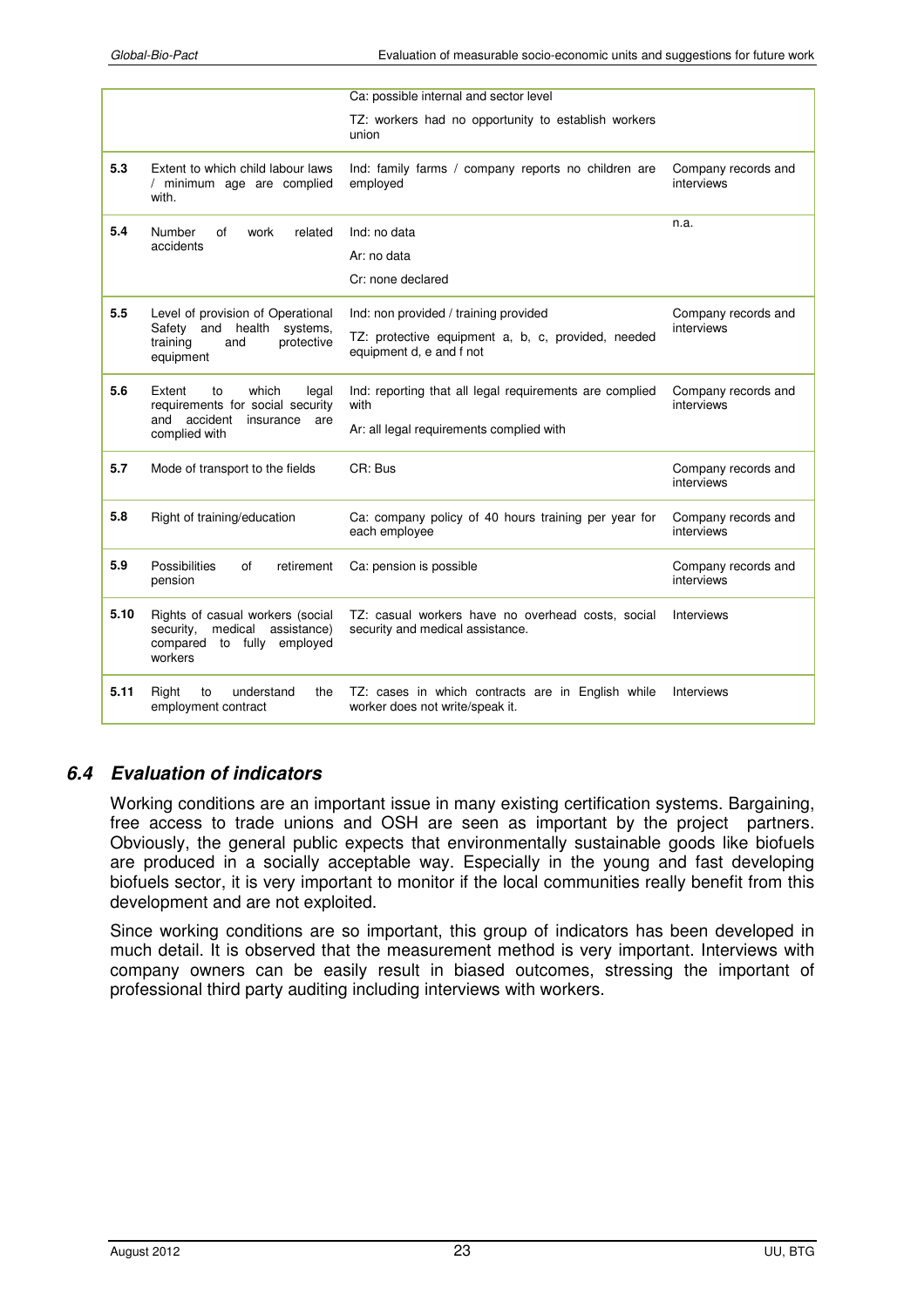|                                                                   |                                                                                                                     | Ca: possible internal and sector level                                                |                                   |
|-------------------------------------------------------------------|---------------------------------------------------------------------------------------------------------------------|---------------------------------------------------------------------------------------|-----------------------------------|
|                                                                   |                                                                                                                     | TZ: workers had no opportunity to establish workers<br>union                          |                                   |
| 5.3                                                               | Extent to which child labour laws<br>/ minimum age are complied<br>with.                                            | Ind: family farms / company reports no children are<br>employed                       | Company records and<br>interviews |
| 5.4                                                               | Number<br>of<br>work<br>related<br>accidents                                                                        | Ind: no data                                                                          | n.a.                              |
|                                                                   |                                                                                                                     | Ar: no data                                                                           |                                   |
|                                                                   |                                                                                                                     | Cr: none declared                                                                     |                                   |
| 5.5                                                               | Level of provision of Operational<br>Safety                                                                         | Ind: non provided / training provided                                                 | Company records and<br>interviews |
| and health systems,<br>training<br>and<br>protective<br>equipment | TZ: protective equipment a, b, c, provided, needed<br>equipment d, e and f not                                      |                                                                                       |                                   |
| 5.6                                                               | Extent<br>which<br>to<br>legal<br>requirements for social security                                                  | Ind: reporting that all legal requirements are complied<br>with                       | Company records and<br>interviews |
| and accident insurance<br>are<br>complied with                    |                                                                                                                     | Ar: all legal requirements complied with                                              |                                   |
| 5.7                                                               | Mode of transport to the fields                                                                                     | CR: Bus                                                                               | Company records and<br>interviews |
| 5.8                                                               | Right of training/education                                                                                         | Ca: company policy of 40 hours training per year for<br>each employee                 | Company records and<br>interviews |
| 5.9                                                               | <b>Possibilities</b><br>of<br>retirement<br>pension                                                                 | Ca: pension is possible                                                               | Company records and<br>interviews |
| 5.10                                                              | Rights of casual workers (social<br>security,<br>medical<br>assistance)<br>compared to fully<br>employed<br>workers | TZ: casual workers have no overhead costs, social<br>security and medical assistance. | Interviews                        |
| 5.11                                                              | understand<br>Right<br>the<br>to<br>employment contract                                                             | TZ: cases in which contracts are in English while<br>worker does not write/speak it.  | <b>Interviews</b>                 |

## *6.4 Evaluation of indicators*

Working conditions are an important issue in many existing certification systems. Bargaining, free access to trade unions and OSH are seen as important by the project partners. Obviously, the general public expects that environmentally sustainable goods like biofuels are produced in a socially acceptable way. Especially in the young and fast developing biofuels sector, it is very important to monitor if the local communities really benefit from this development and are not exploited.

Since working conditions are so important, this group of indicators has been developed in much detail. It is observed that the measurement method is very important. Interviews with company owners can be easily result in biased outcomes, stressing the important of professional third party auditing including interviews with workers.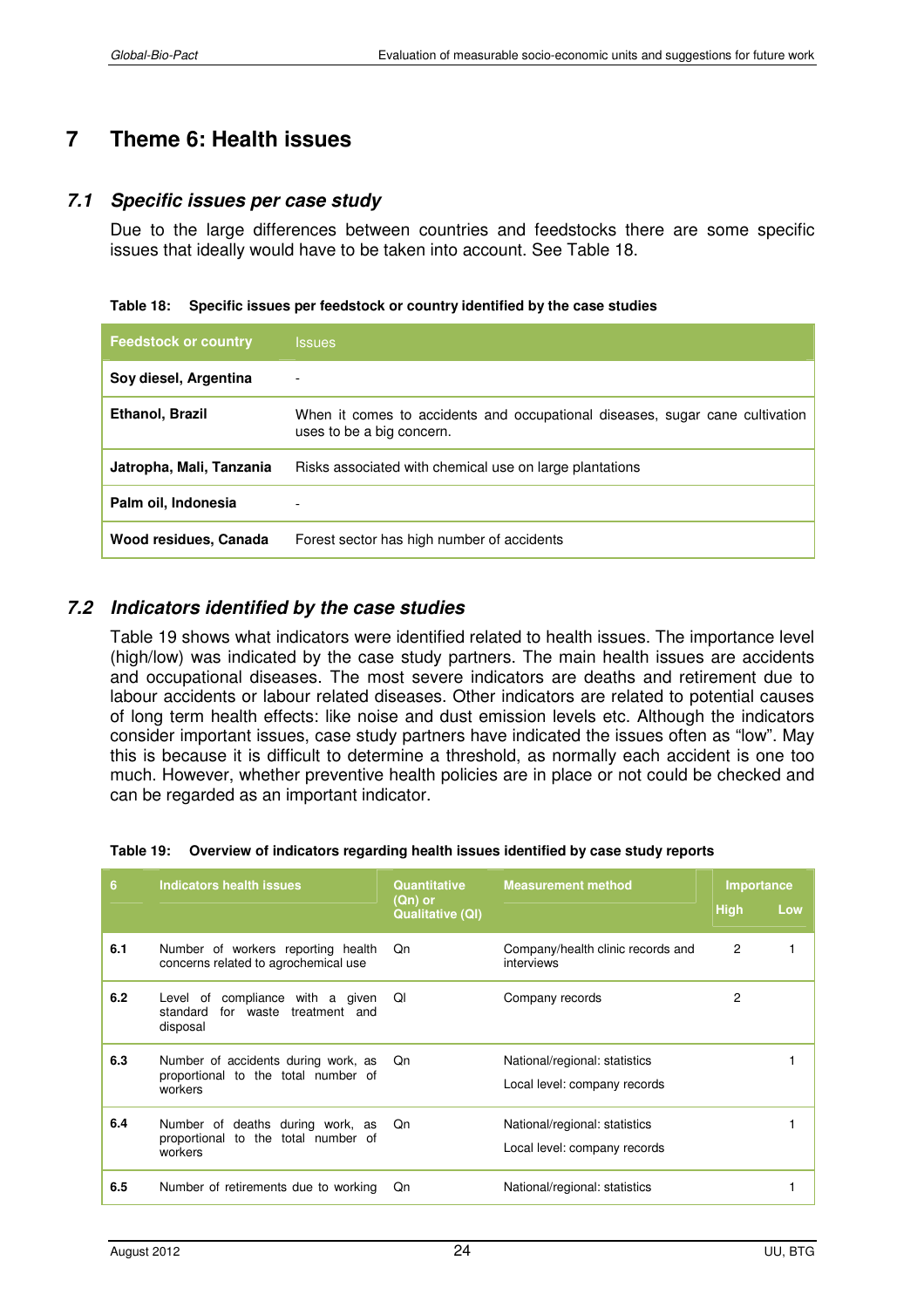# **7 Theme 6: Health issues**

#### *7.1 Specific issues per case study*

Due to the large differences between countries and feedstocks there are some specific issues that ideally would have to be taken into account. See Table 18.

| <b>Feedstock or country</b> | <b>Issues</b>                                                                                             |
|-----------------------------|-----------------------------------------------------------------------------------------------------------|
| Soy diesel, Argentina       | $\overline{\phantom{a}}$                                                                                  |
| Ethanol, Brazil             | When it comes to accidents and occupational diseases, sugar cane cultivation<br>uses to be a big concern. |
| Jatropha, Mali, Tanzania    | Risks associated with chemical use on large plantations                                                   |
| Palm oil, Indonesia         | ٠                                                                                                         |
| Wood residues, Canada       | Forest sector has high number of accidents                                                                |

#### *7.2 Indicators identified by the case studies*

Table 19 shows what indicators were identified related to health issues. The importance level (high/low) was indicated by the case study partners. The main health issues are accidents and occupational diseases. The most severe indicators are deaths and retirement due to labour accidents or labour related diseases. Other indicators are related to potential causes of long term health effects: like noise and dust emission levels etc. Although the indicators consider important issues, case study partners have indicated the issues often as "low". May this is because it is difficult to determine a threshold, as normally each accident is one too much. However, whether preventive health policies are in place or not could be checked and can be regarded as an important indicator.

| Table 19: Overview of indicators regarding health issues identified by case study reports |  |  |
|-------------------------------------------------------------------------------------------|--|--|
|                                                                                           |  |  |

| 6   | Indicators health issues                                                              | <b>Quantitative</b>                | <b>Measurement method</b>                                     | Importance     |     |
|-----|---------------------------------------------------------------------------------------|------------------------------------|---------------------------------------------------------------|----------------|-----|
|     |                                                                                       | (Qn) or<br><b>Qualitative (QI)</b> |                                                               | <b>High</b>    | Low |
| 6.1 | Number of workers reporting health<br>concerns related to agrochemical use            | Qn                                 | Company/health clinic records and<br>interviews               | $\overline{c}$ |     |
| 6.2 | Level of compliance with a given<br>for waste treatment and<br>standard<br>disposal   | Ql                                 | Company records                                               | 2              |     |
| 6.3 | Number of accidents during work, as<br>proportional to the total number of<br>workers | Qn                                 | National/regional: statistics<br>Local level: company records |                |     |
| 6.4 | Number of deaths during work, as<br>proportional to the total number of<br>workers    | Qn                                 | National/regional: statistics<br>Local level: company records |                |     |
| 6.5 | Number of retirements due to working                                                  | Qn                                 | National/regional: statistics                                 |                |     |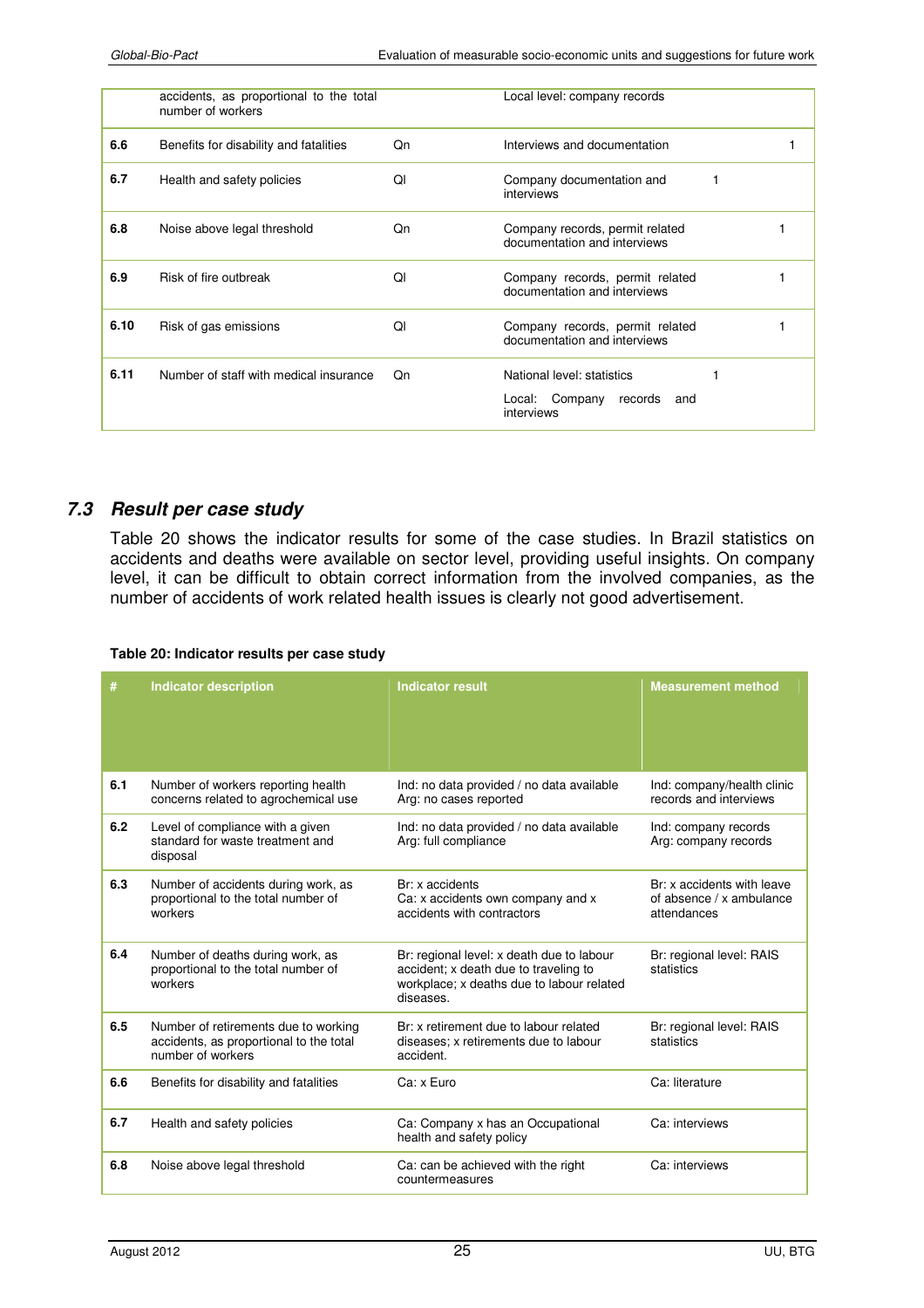|      | accidents, as proportional to the total<br>number of workers |    | Local level: company records                                                 |  |
|------|--------------------------------------------------------------|----|------------------------------------------------------------------------------|--|
| 6.6  | Benefits for disability and fatalities                       | Qn | Interviews and documentation                                                 |  |
| 6.7  | Health and safety policies                                   | ΩI | Company documentation and<br>interviews                                      |  |
| 6.8  | Noise above legal threshold                                  | Qn | Company records, permit related<br>documentation and interviews              |  |
| 6.9  | Risk of fire outbreak                                        | QI | Company records, permit related<br>documentation and interviews              |  |
| 6.10 | Risk of gas emissions                                        | Ql | Company records, permit related<br>documentation and interviews              |  |
| 6.11 | Number of staff with medical insurance                       | Qn | National level: statistics<br>Local: Company<br>records<br>and<br>interviews |  |

#### *7.3 Result per case study*

Table 20 shows the indicator results for some of the case studies. In Brazil statistics on accidents and deaths were available on sector level, providing useful insights. On company level, it can be difficult to obtain correct information from the involved companies, as the number of accidents of work related health issues is clearly not good advertisement.

#### **Table 20: Indicator results per case study**

| #   | <b>Indicator description</b>                                                                         | <b>Indicator result</b>                                                                                                                      | <b>Measurement method</b>                                             |
|-----|------------------------------------------------------------------------------------------------------|----------------------------------------------------------------------------------------------------------------------------------------------|-----------------------------------------------------------------------|
| 6.1 | Number of workers reporting health<br>concerns related to agrochemical use                           | Ind: no data provided / no data available<br>Arg: no cases reported                                                                          | Ind: company/health clinic<br>records and interviews                  |
| 6.2 | Level of compliance with a given<br>standard for waste treatment and<br>disposal                     | Ind: no data provided / no data available<br>Arg: full compliance                                                                            | Ind: company records<br>Arg: company records                          |
| 6.3 | Number of accidents during work, as<br>proportional to the total number of<br>workers                | Br: x accidents<br>Ca: x accidents own company and x<br>accidents with contractors                                                           | Br: x accidents with leave<br>of absence / x ambulance<br>attendances |
| 6.4 | Number of deaths during work, as<br>proportional to the total number of<br>workers                   | Br: regional level: x death due to labour<br>accident; x death due to traveling to<br>workplace; x deaths due to labour related<br>diseases. | Br: regional level: RAIS<br>statistics                                |
| 6.5 | Number of retirements due to working<br>accidents, as proportional to the total<br>number of workers | Br: x retirement due to labour related<br>diseases; x retirements due to labour<br>accident.                                                 | Br: regional level: RAIS<br>statistics                                |
| 6.6 | Benefits for disability and fatalities                                                               | Ca: x Euro                                                                                                                                   | Ca: literature                                                        |
| 6.7 | Health and safety policies                                                                           | Ca: Company x has an Occupational<br>health and safety policy                                                                                | Ca: interviews                                                        |
| 6.8 | Noise above legal threshold                                                                          | Ca: can be achieved with the right<br>countermeasures                                                                                        | Ca: interviews                                                        |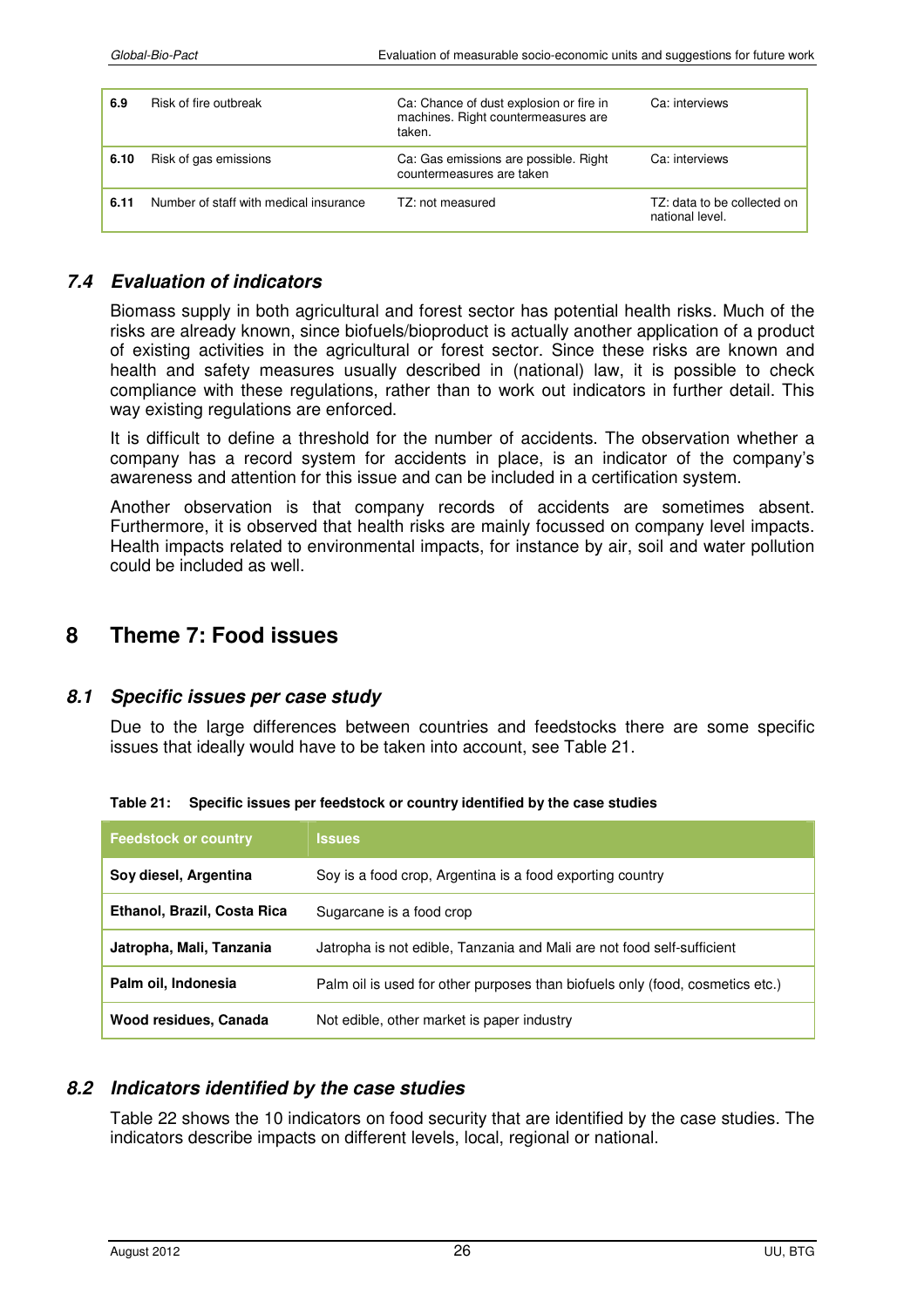| 6.9  | Risk of fire outbreak                  | Ca: Chance of dust explosion or fire in<br>machines. Right countermeasures are<br>taken. | Ca: interviews                                 |
|------|----------------------------------------|------------------------------------------------------------------------------------------|------------------------------------------------|
| 6.10 | Risk of gas emissions                  | Ca: Gas emissions are possible. Right<br>countermeasures are taken                       | Ca: interviews                                 |
| 6.11 | Number of staff with medical insurance | TZ: not measured                                                                         | TZ: data to be collected on<br>national level. |

#### *7.4 Evaluation of indicators*

Biomass supply in both agricultural and forest sector has potential health risks. Much of the risks are already known, since biofuels/bioproduct is actually another application of a product of existing activities in the agricultural or forest sector. Since these risks are known and health and safety measures usually described in (national) law, it is possible to check compliance with these regulations, rather than to work out indicators in further detail. This way existing regulations are enforced.

It is difficult to define a threshold for the number of accidents. The observation whether a company has a record system for accidents in place, is an indicator of the company's awareness and attention for this issue and can be included in a certification system.

Another observation is that company records of accidents are sometimes absent. Furthermore, it is observed that health risks are mainly focussed on company level impacts. Health impacts related to environmental impacts, for instance by air, soil and water pollution could be included as well.

## **8 Theme 7: Food issues**

#### *8.1 Specific issues per case study*

Due to the large differences between countries and feedstocks there are some specific issues that ideally would have to be taken into account, see Table 21.

| <b>Feedstock or country</b> | <b>Issues</b>                                                                 |
|-----------------------------|-------------------------------------------------------------------------------|
| Soy diesel, Argentina       | Soy is a food crop, Argentina is a food exporting country                     |
| Ethanol, Brazil, Costa Rica | Sugarcane is a food crop                                                      |
| Jatropha, Mali, Tanzania    | Jatropha is not edible, Tanzania and Mali are not food self-sufficient        |
| Palm oil, Indonesia         | Palm oil is used for other purposes than biofuels only (food, cosmetics etc.) |
| Wood residues, Canada       | Not edible, other market is paper industry                                    |

**Table 21: Specific issues per feedstock or country identified by the case studies** 

#### *8.2 Indicators identified by the case studies*

Table 22 shows the 10 indicators on food security that are identified by the case studies. The indicators describe impacts on different levels, local, regional or national.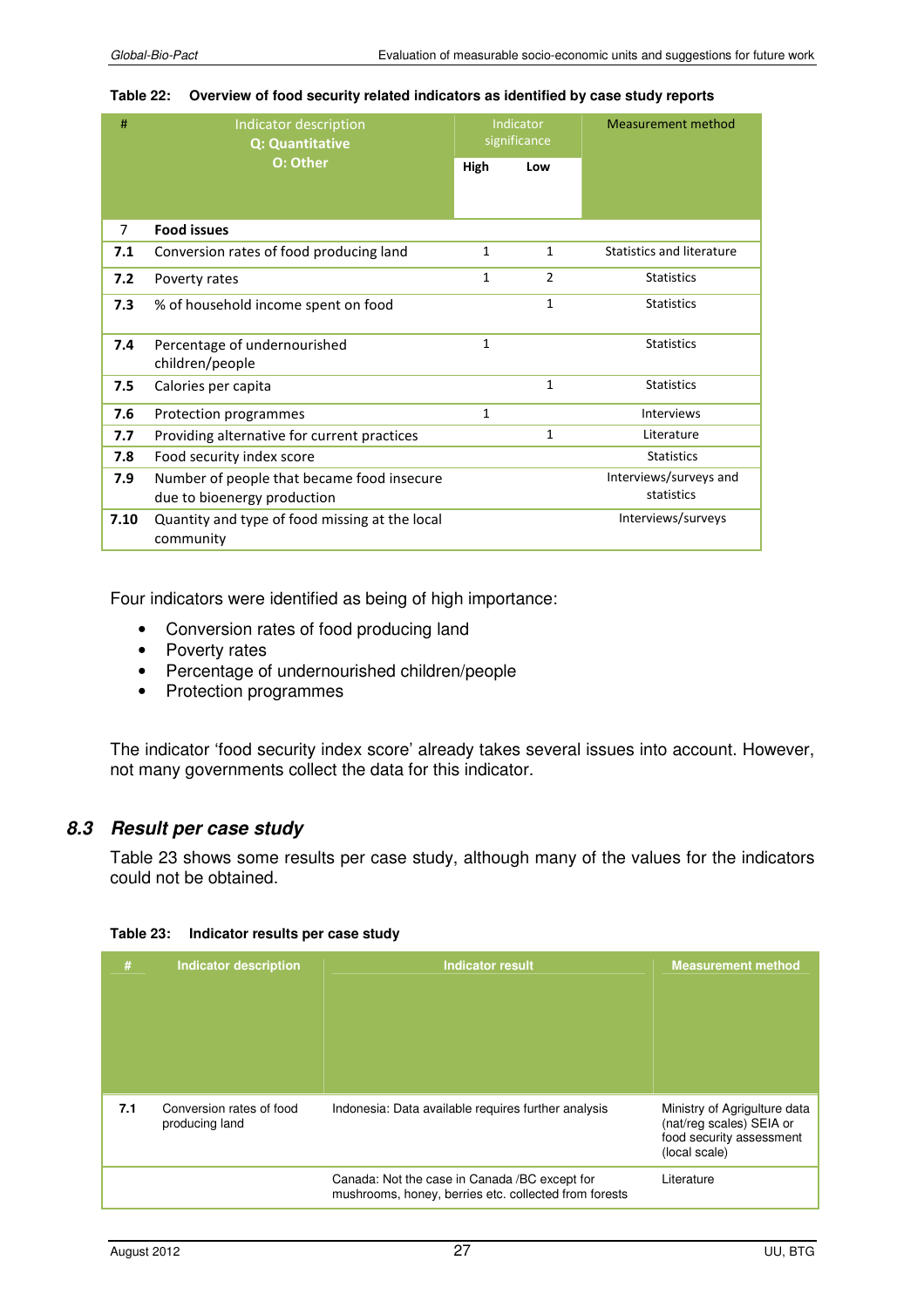|  | Table 22: Overview of food security related indicators as identified by case study reports |
|--|--------------------------------------------------------------------------------------------|
|--|--------------------------------------------------------------------------------------------|

| #    | Indicator description<br><b>Q: Quantitative</b><br>O: Other |              | <b>Indicator</b><br>significance | Measurement method        |  |
|------|-------------------------------------------------------------|--------------|----------------------------------|---------------------------|--|
|      |                                                             |              | Low                              |                           |  |
|      |                                                             |              |                                  |                           |  |
| 7    | <b>Food issues</b>                                          |              |                                  |                           |  |
| 7.1  | Conversion rates of food producing land                     | $\mathbf{1}$ | $\mathbf{1}$                     | Statistics and literature |  |
| 7.2  | Poverty rates                                               | $\mathbf{1}$ | $\overline{2}$                   | <b>Statistics</b>         |  |
| 7.3  | % of household income spent on food                         |              | 1                                | <b>Statistics</b>         |  |
| 7.4  | Percentage of undernourished<br>children/people             | $\mathbf{1}$ |                                  | <b>Statistics</b>         |  |
| 7.5  | Calories per capita                                         |              | $\mathbf{1}$                     | <b>Statistics</b>         |  |
| 7.6  | Protection programmes                                       | $\mathbf{1}$ |                                  | <b>Interviews</b>         |  |
| 7.7  | Providing alternative for current practices                 |              | $\mathbf{1}$                     | Literature                |  |
| 7.8  | Food security index score                                   |              |                                  | <b>Statistics</b>         |  |
| 7.9  | Number of people that became food insecure                  |              |                                  | Interviews/surveys and    |  |
|      | due to bioenergy production                                 |              |                                  | statistics                |  |
| 7.10 | Quantity and type of food missing at the local<br>community |              |                                  | Interviews/surveys        |  |

Four indicators were identified as being of high importance:

- Conversion rates of food producing land
- Poverty rates
- Percentage of undernourished children/people
- Protection programmes

The indicator 'food security index score' already takes several issues into account. However, not many governments collect the data for this indicator.

## *8.3 Result per case study*

Table 23 shows some results per case study, although many of the values for the indicators could not be obtained.

| #   | <b>Indicator description</b>               | <b>Indicator result</b>                                                                                 | <b>Measurement method</b>                                                                             |
|-----|--------------------------------------------|---------------------------------------------------------------------------------------------------------|-------------------------------------------------------------------------------------------------------|
| 7.1 | Conversion rates of food<br>producing land | Indonesia: Data available requires further analysis                                                     | Ministry of Agrigulture data<br>(nat/reg scales) SEIA or<br>food security assessment<br>(local scale) |
|     |                                            | Canada: Not the case in Canada / BC except for<br>mushrooms, honey, berries etc. collected from forests | Literature                                                                                            |

#### **Table 23: Indicator results per case study**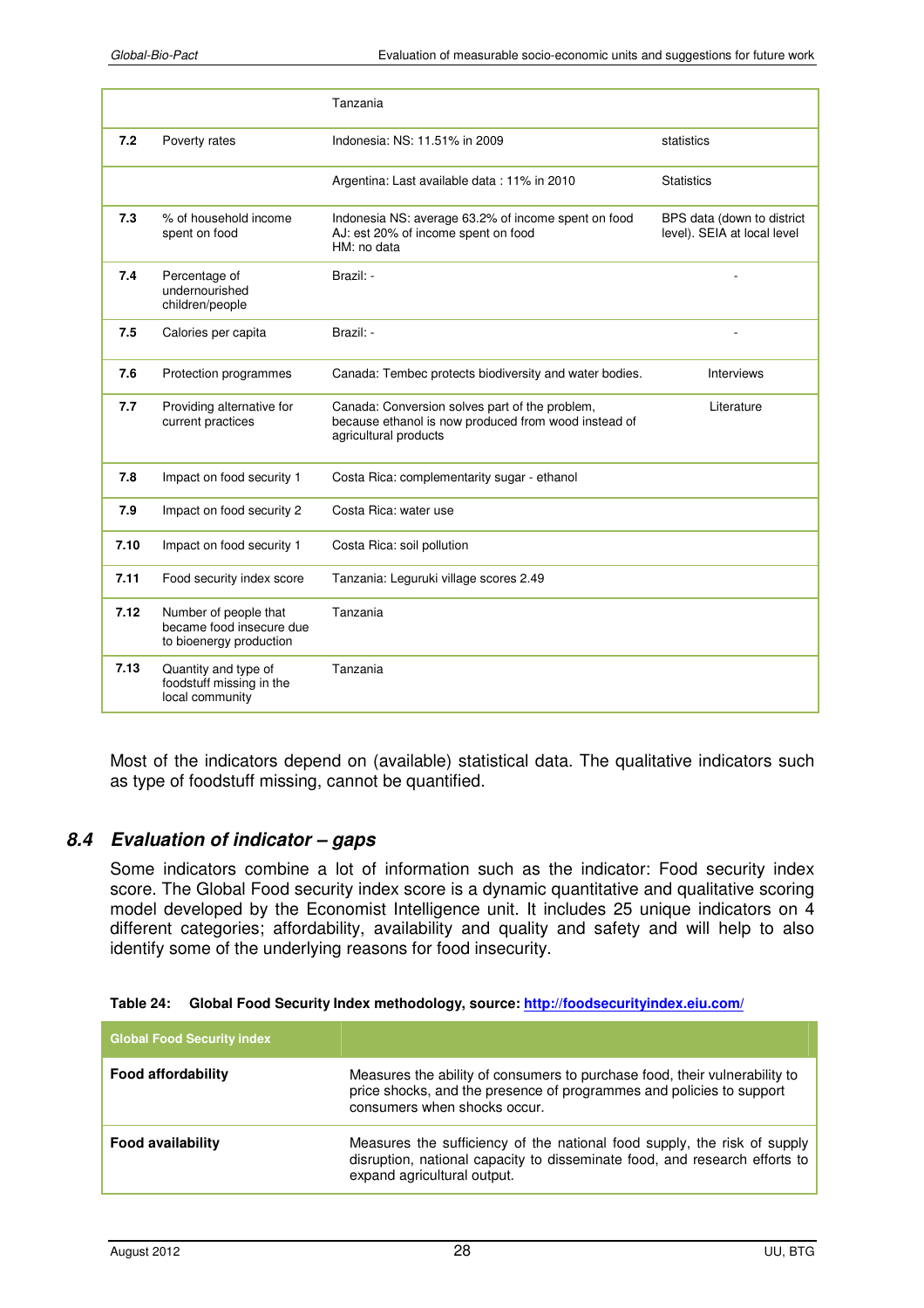|      |                                                                              | Tanzania                                                                                                                        |                                                           |
|------|------------------------------------------------------------------------------|---------------------------------------------------------------------------------------------------------------------------------|-----------------------------------------------------------|
| 7.2  | Poverty rates                                                                | Indonesia: NS: 11.51% in 2009                                                                                                   | statistics                                                |
|      |                                                                              | Argentina: Last available data: 11% in 2010                                                                                     | <b>Statistics</b>                                         |
| 7.3  | % of household income<br>spent on food                                       | Indonesia NS: average 63.2% of income spent on food<br>AJ: est 20% of income spent on food<br>HM: no data                       | BPS data (down to district<br>level). SEIA at local level |
| 7.4  | Percentage of<br>undernourished<br>children/people                           | Brazil: -                                                                                                                       |                                                           |
| 7.5  | Calories per capita                                                          | Brazil: -                                                                                                                       |                                                           |
| 7.6  | Protection programmes                                                        | Canada: Tembec protects biodiversity and water bodies.                                                                          | Interviews                                                |
| 7.7  | Providing alternative for<br>current practices                               | Canada: Conversion solves part of the problem,<br>because ethanol is now produced from wood instead of<br>agricultural products | Literature                                                |
| 7.8  | Impact on food security 1                                                    | Costa Rica: complementarity sugar - ethanol                                                                                     |                                                           |
| 7.9  | Impact on food security 2                                                    | Costa Rica: water use                                                                                                           |                                                           |
| 7.10 | Impact on food security 1                                                    | Costa Rica: soil pollution                                                                                                      |                                                           |
| 7.11 | Food security index score                                                    | Tanzania: Leguruki village scores 2.49                                                                                          |                                                           |
| 7.12 | Number of people that<br>became food insecure due<br>to bioenergy production | Tanzania                                                                                                                        |                                                           |
| 7.13 | Quantity and type of<br>foodstuff missing in the<br>local community          | Tanzania                                                                                                                        |                                                           |

Most of the indicators depend on (available) statistical data. The qualitative indicators such as type of foodstuff missing, cannot be quantified.

#### *8.4 Evaluation of indicator – gaps*

Some indicators combine a lot of information such as the indicator: Food security index score. The Global Food security index score is a dynamic quantitative and qualitative scoring model developed by the Economist Intelligence unit. It includes 25 unique indicators on 4 different categories; affordability, availability and quality and safety and will help to also identify some of the underlying reasons for food insecurity.

| <b>Global Food Security index</b> |                                                                                                                                                                                       |
|-----------------------------------|---------------------------------------------------------------------------------------------------------------------------------------------------------------------------------------|
| <b>Food affordability</b>         | Measures the ability of consumers to purchase food, their vulnerability to<br>price shocks, and the presence of programmes and policies to support<br>consumers when shocks occur.    |
| <b>Food availability</b>          | Measures the sufficiency of the national food supply, the risk of supply<br>disruption, national capacity to disseminate food, and research efforts to<br>expand agricultural output. |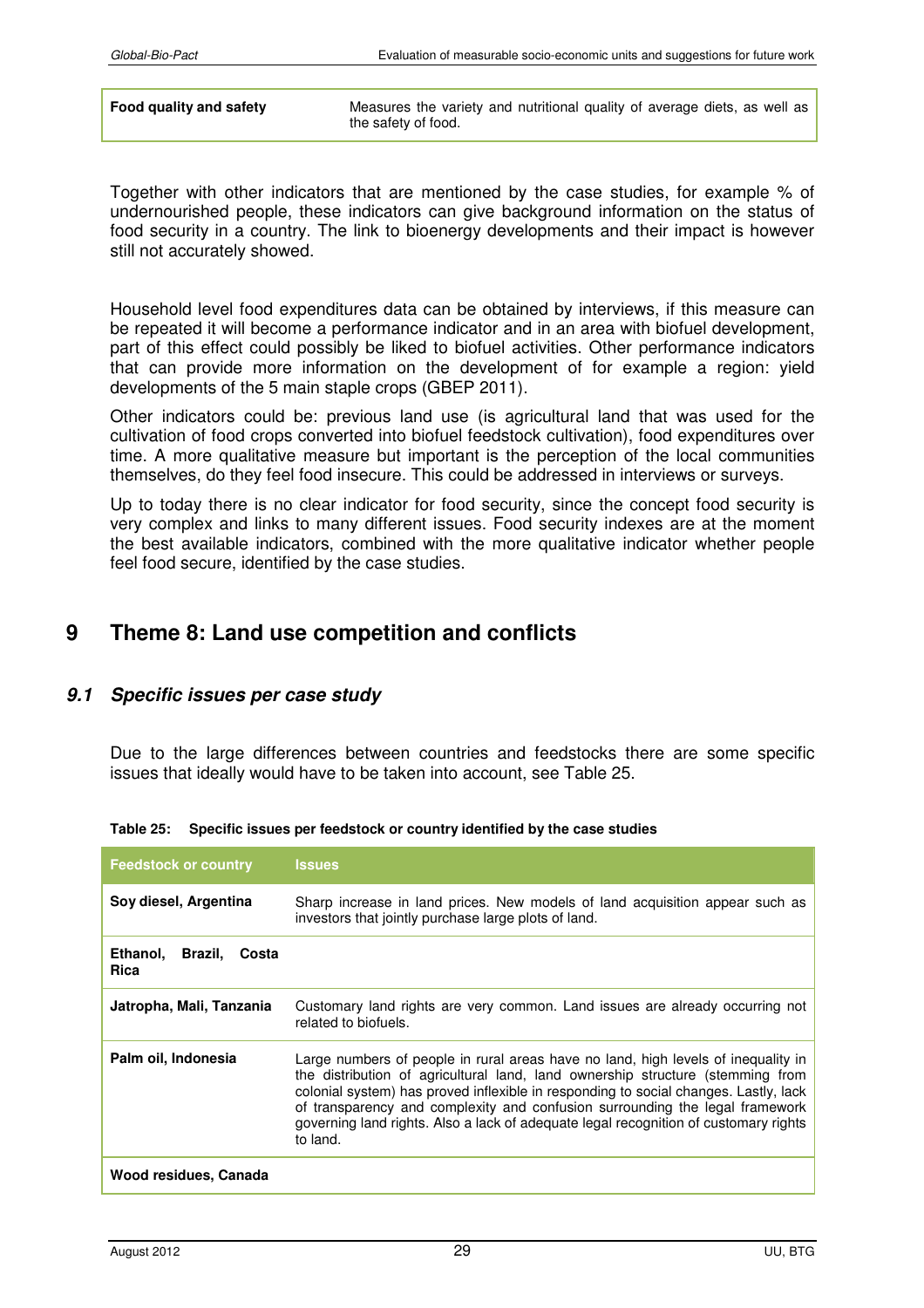| Food quality and safety | Measures the variety and nutritional quality of average diets, as well as |
|-------------------------|---------------------------------------------------------------------------|
|                         | the safety of food.                                                       |

Together with other indicators that are mentioned by the case studies, for example % of undernourished people, these indicators can give background information on the status of food security in a country. The link to bioenergy developments and their impact is however still not accurately showed.

Household level food expenditures data can be obtained by interviews, if this measure can be repeated it will become a performance indicator and in an area with biofuel development, part of this effect could possibly be liked to biofuel activities. Other performance indicators that can provide more information on the development of for example a region: yield developments of the 5 main staple crops (GBEP 2011).

Other indicators could be: previous land use (is agricultural land that was used for the cultivation of food crops converted into biofuel feedstock cultivation), food expenditures over time. A more qualitative measure but important is the perception of the local communities themselves, do they feel food insecure. This could be addressed in interviews or surveys.

Up to today there is no clear indicator for food security, since the concept food security is very complex and links to many different issues. Food security indexes are at the moment the best available indicators, combined with the more qualitative indicator whether people feel food secure, identified by the case studies.

# **9 Theme 8: Land use competition and conflicts**

## *9.1 Specific issues per case study*

Due to the large differences between countries and feedstocks there are some specific issues that ideally would have to be taken into account, see Table 25.

| <b>Feedstock or country</b>              | <b>Issues</b>                                                                                                                                                                                                                                                                                                                                                                                                                                   |
|------------------------------------------|-------------------------------------------------------------------------------------------------------------------------------------------------------------------------------------------------------------------------------------------------------------------------------------------------------------------------------------------------------------------------------------------------------------------------------------------------|
| Soy diesel, Argentina                    | Sharp increase in land prices. New models of land acquisition appear such as<br>investors that jointly purchase large plots of land.                                                                                                                                                                                                                                                                                                            |
| Ethanol,<br>Brazil, Costa<br><b>Rica</b> |                                                                                                                                                                                                                                                                                                                                                                                                                                                 |
| Jatropha, Mali, Tanzania                 | Customary land rights are very common. Land issues are already occurring not<br>related to biofuels.                                                                                                                                                                                                                                                                                                                                            |
| Palm oil, Indonesia                      | Large numbers of people in rural areas have no land, high levels of inequality in<br>the distribution of agricultural land, land ownership structure (stemming from<br>colonial system) has proved inflexible in responding to social changes. Lastly, lack<br>of transparency and complexity and confusion surrounding the legal framework<br>governing land rights. Also a lack of adequate legal recognition of customary rights<br>to land. |
| Wood residues, Canada                    |                                                                                                                                                                                                                                                                                                                                                                                                                                                 |

**Table 25: Specific issues per feedstock or country identified by the case studies**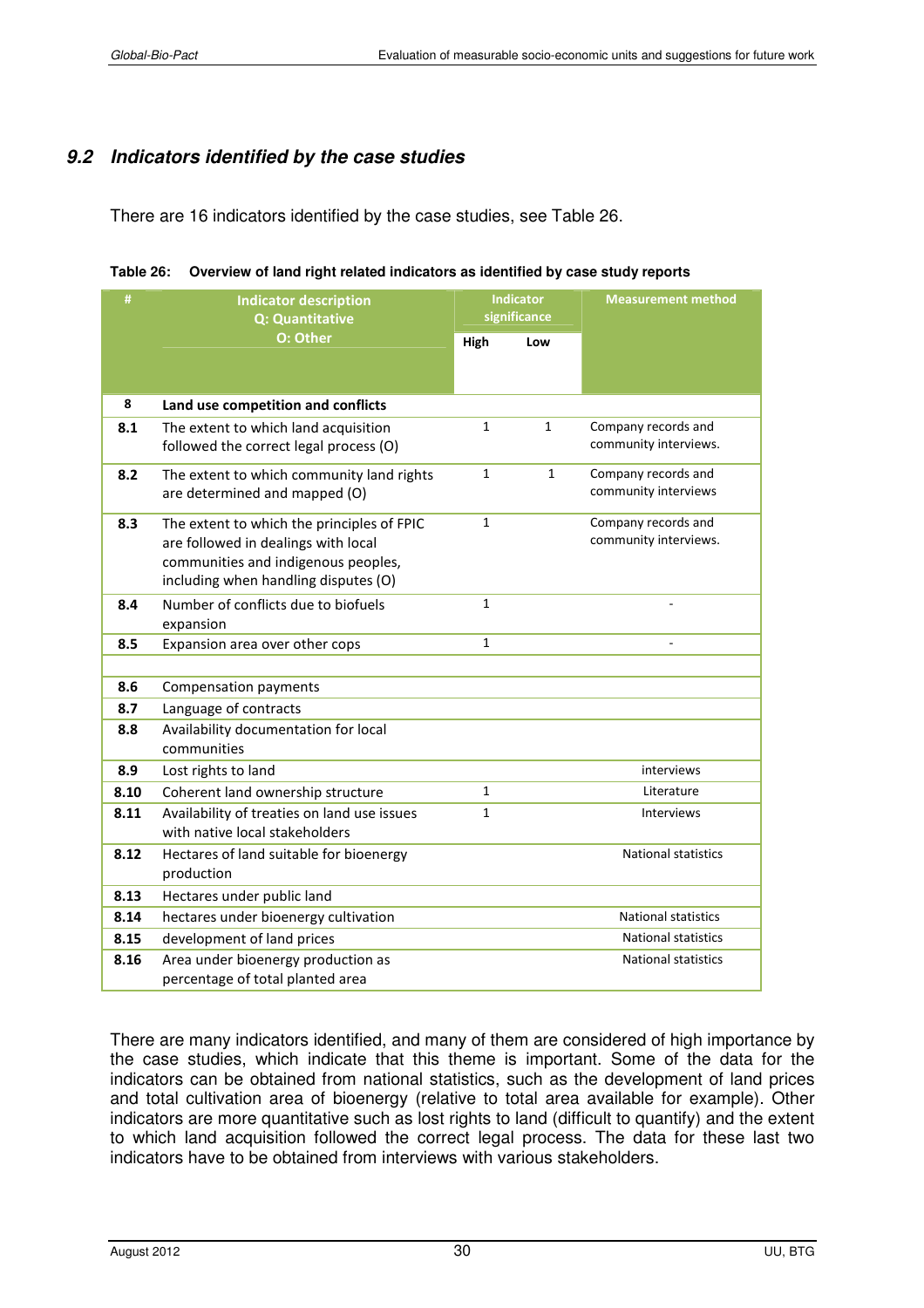## *9.2 Indicators identified by the case studies*

There are 16 indicators identified by the case studies, see Table 26.

| #    | <b>Indicator description</b><br>Q: Quantitative     | <b>Indicator</b><br>significance |              | <b>Measurement method</b>  |  |
|------|-----------------------------------------------------|----------------------------------|--------------|----------------------------|--|
|      | O: Other                                            | High                             | Low          |                            |  |
|      |                                                     |                                  |              |                            |  |
| 8    | Land use competition and conflicts                  |                                  |              |                            |  |
| 8.1  | The extent to which land acquisition                | $\mathbf{1}$                     | $\mathbf{1}$ | Company records and        |  |
|      | followed the correct legal process (O)              |                                  |              | community interviews.      |  |
| 8.2  | The extent to which community land rights           | 1                                | $\mathbf{1}$ | Company records and        |  |
|      | are determined and mapped (O)                       |                                  |              | community interviews       |  |
| 8.3  | The extent to which the principles of FPIC          | $\mathbf{1}$                     |              | Company records and        |  |
|      | are followed in dealings with local                 |                                  |              | community interviews.      |  |
|      | communities and indigenous peoples,                 |                                  |              |                            |  |
|      | including when handling disputes (O)                |                                  |              |                            |  |
| 8.4  | Number of conflicts due to biofuels                 |                                  | $\mathbf{1}$ |                            |  |
|      | expansion                                           |                                  |              |                            |  |
| 8.5  | Expansion area over other cops                      | $\mathbf{1}$                     |              |                            |  |
|      |                                                     |                                  |              |                            |  |
| 8.6  | Compensation payments                               |                                  |              |                            |  |
| 8.7  | Language of contracts                               |                                  |              |                            |  |
| 8.8  | Availability documentation for local<br>communities |                                  |              |                            |  |
| 8.9  | Lost rights to land                                 |                                  |              | interviews                 |  |
| 8.10 | Coherent land ownership structure                   | $\mathbf{1}$                     |              | Literature                 |  |
| 8.11 | Availability of treaties on land use issues         | 1                                |              | Interviews                 |  |
|      | with native local stakeholders                      |                                  |              |                            |  |
| 8.12 | Hectares of land suitable for bioenergy             |                                  |              | <b>National statistics</b> |  |
|      | production                                          |                                  |              |                            |  |
| 8.13 | Hectares under public land                          |                                  |              |                            |  |
| 8.14 | hectares under bioenergy cultivation                |                                  |              | National statistics        |  |
| 8.15 | development of land prices                          |                                  |              | <b>National statistics</b> |  |
| 8.16 | Area under bioenergy production as                  |                                  |              | <b>National statistics</b> |  |
|      | percentage of total planted area                    |                                  |              |                            |  |

|  | Table 26: Overview of land right related indicators as identified by case study reports |
|--|-----------------------------------------------------------------------------------------|
|--|-----------------------------------------------------------------------------------------|

There are many indicators identified, and many of them are considered of high importance by the case studies, which indicate that this theme is important. Some of the data for the indicators can be obtained from national statistics, such as the development of land prices and total cultivation area of bioenergy (relative to total area available for example). Other indicators are more quantitative such as lost rights to land (difficult to quantify) and the extent to which land acquisition followed the correct legal process. The data for these last two indicators have to be obtained from interviews with various stakeholders.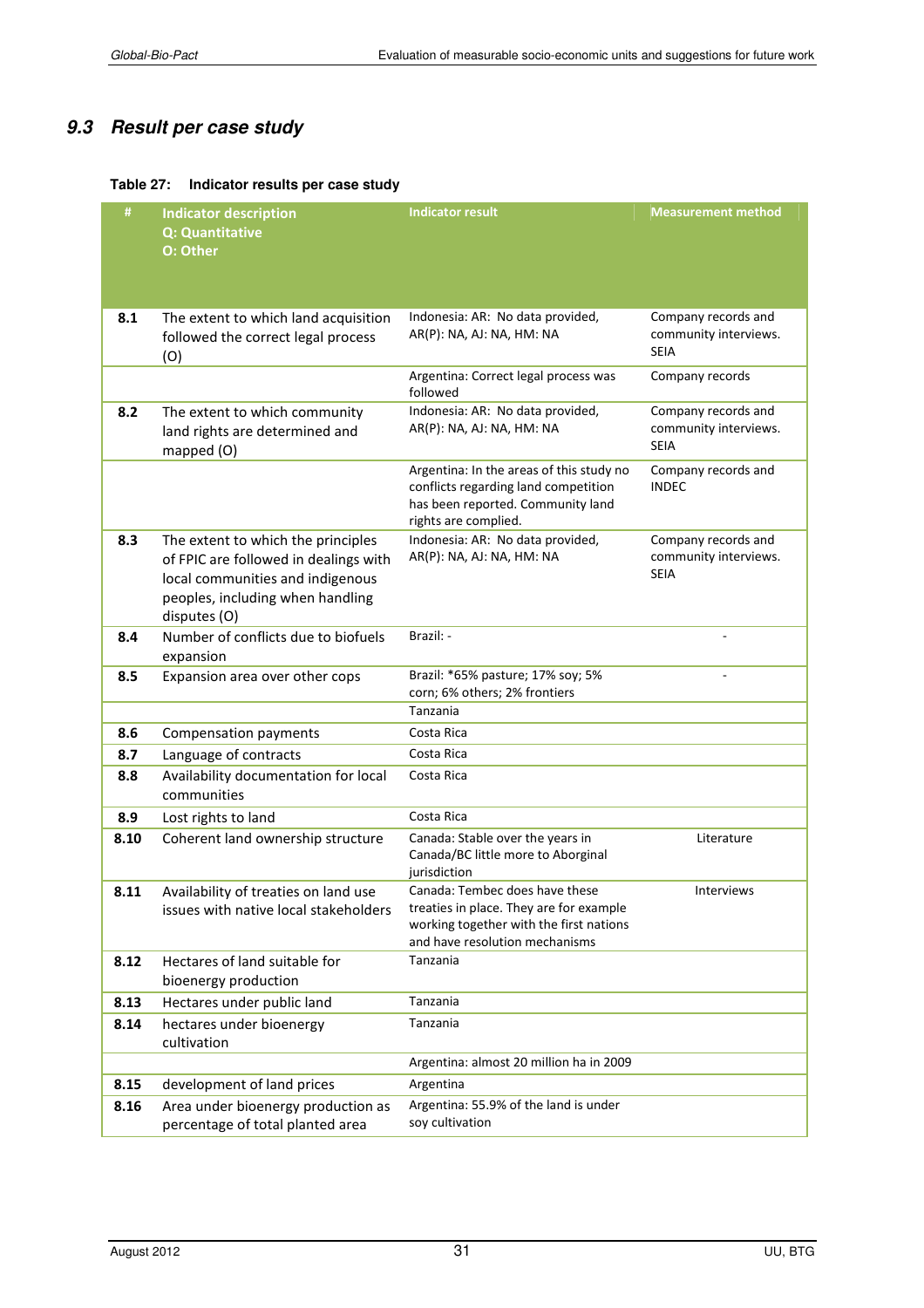# *9.3 Result per case study*

#### **Table 27: Indicator results per case study**

| #    | <b>Indicator description</b><br><b>Q: Quantitative</b><br>O: Other                                                                                                  | <b>Indicator result</b>                                                                                                                                | <b>Measurement method</b>                                   |
|------|---------------------------------------------------------------------------------------------------------------------------------------------------------------------|--------------------------------------------------------------------------------------------------------------------------------------------------------|-------------------------------------------------------------|
| 8.1  | The extent to which land acquisition<br>followed the correct legal process<br>(O)                                                                                   | Indonesia: AR: No data provided,<br>AR(P): NA, AJ: NA, HM: NA                                                                                          | Company records and<br>community interviews.<br><b>SEIA</b> |
|      |                                                                                                                                                                     | Argentina: Correct legal process was<br>followed                                                                                                       | Company records                                             |
| 8.2  | The extent to which community<br>land rights are determined and<br>mapped (O)                                                                                       | Indonesia: AR: No data provided,<br>AR(P): NA, AJ: NA, HM: NA                                                                                          | Company records and<br>community interviews.<br><b>SEIA</b> |
|      |                                                                                                                                                                     | Argentina: In the areas of this study no<br>conflicts regarding land competition<br>has been reported. Community land<br>rights are complied.          | Company records and<br><b>INDEC</b>                         |
| 8.3  | The extent to which the principles<br>of FPIC are followed in dealings with<br>local communities and indigenous<br>peoples, including when handling<br>disputes (O) | Indonesia: AR: No data provided,<br>AR(P): NA, AJ: NA, HM: NA                                                                                          | Company records and<br>community interviews.<br><b>SEIA</b> |
| 8.4  | Number of conflicts due to biofuels<br>expansion                                                                                                                    | Brazil: -                                                                                                                                              |                                                             |
| 8.5  | Expansion area over other cops                                                                                                                                      | Brazil: *65% pasture; 17% soy; 5%<br>corn; 6% others; 2% frontiers                                                                                     |                                                             |
|      |                                                                                                                                                                     | Tanzania                                                                                                                                               |                                                             |
| 8.6  | Compensation payments                                                                                                                                               | Costa Rica                                                                                                                                             |                                                             |
| 8.7  | Language of contracts                                                                                                                                               | Costa Rica                                                                                                                                             |                                                             |
| 8.8  | Availability documentation for local<br>communities                                                                                                                 | Costa Rica                                                                                                                                             |                                                             |
| 8.9  | Lost rights to land                                                                                                                                                 | Costa Rica                                                                                                                                             |                                                             |
| 8.10 | Coherent land ownership structure                                                                                                                                   | Canada: Stable over the years in<br>Canada/BC little more to Aborginal<br>jurisdiction                                                                 | Literature                                                  |
| 8.11 | Availability of treaties on land use<br>issues with native local stakeholders                                                                                       | Canada: Tembec does have these<br>treaties in place. They are for example<br>working together with the first nations<br>and have resolution mechanisms | Interviews                                                  |
| 8.12 | Hectares of land suitable for<br>bioenergy production                                                                                                               | Tanzania                                                                                                                                               |                                                             |
| 8.13 | Hectares under public land                                                                                                                                          | Tanzania                                                                                                                                               |                                                             |
| 8.14 | hectares under bioenergy<br>cultivation                                                                                                                             | Tanzania                                                                                                                                               |                                                             |
|      |                                                                                                                                                                     | Argentina: almost 20 million ha in 2009                                                                                                                |                                                             |
| 8.15 | development of land prices                                                                                                                                          | Argentina                                                                                                                                              |                                                             |
| 8.16 | Area under bioenergy production as<br>percentage of total planted area                                                                                              | Argentina: 55.9% of the land is under<br>soy cultivation                                                                                               |                                                             |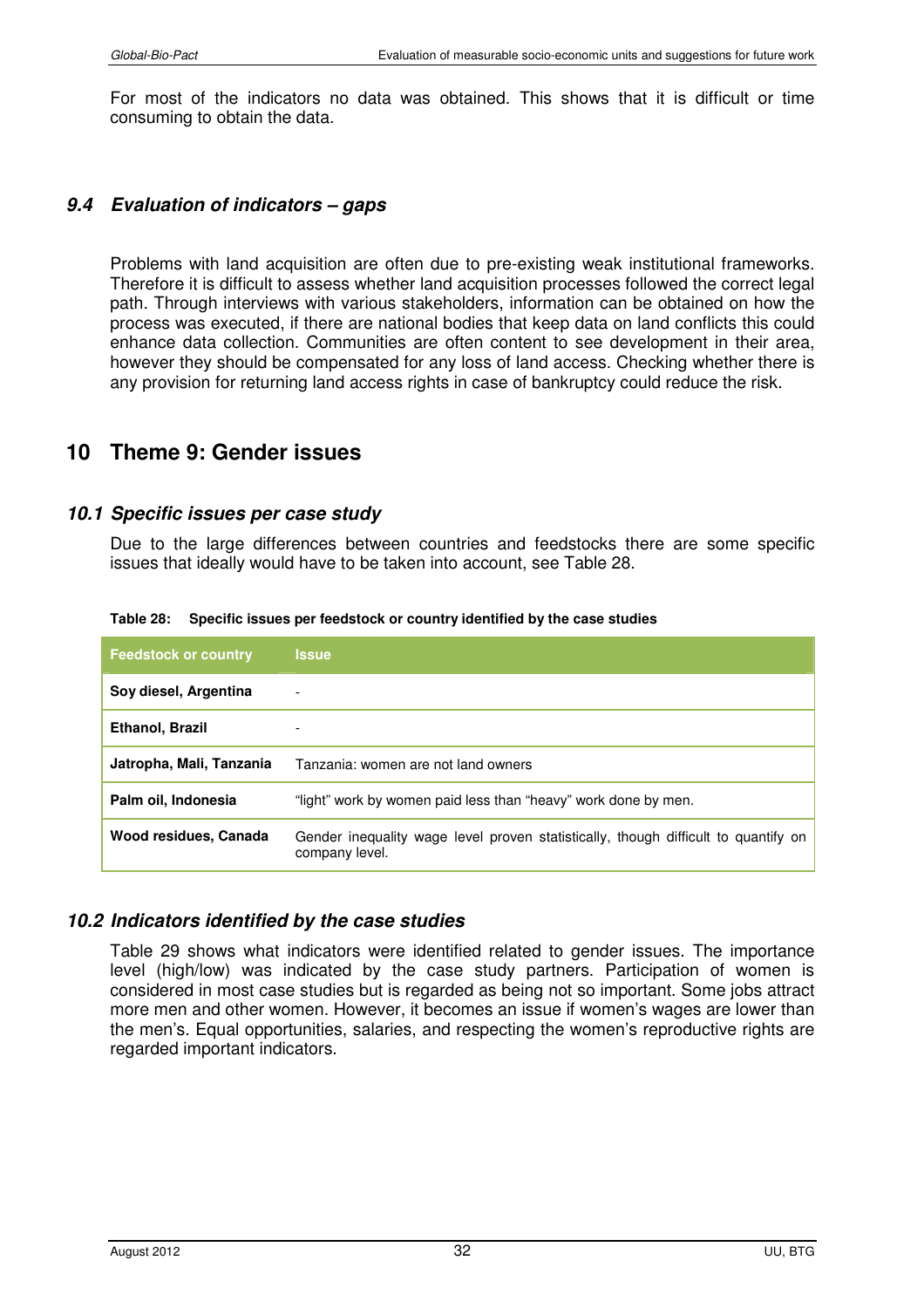For most of the indicators no data was obtained. This shows that it is difficult or time consuming to obtain the data.

#### *9.4 Evaluation of indicators – gaps*

Problems with land acquisition are often due to pre-existing weak institutional frameworks. Therefore it is difficult to assess whether land acquisition processes followed the correct legal path. Through interviews with various stakeholders, information can be obtained on how the process was executed, if there are national bodies that keep data on land conflicts this could enhance data collection. Communities are often content to see development in their area, however they should be compensated for any loss of land access. Checking whether there is any provision for returning land access rights in case of bankruptcy could reduce the risk.

# **10 Theme 9: Gender issues**

#### *10.1 Specific issues per case study*

Due to the large differences between countries and feedstocks there are some specific issues that ideally would have to be taken into account, see Table 28.

| <b>Feedstock or country</b> | <b>Issue</b>                                                                                         |
|-----------------------------|------------------------------------------------------------------------------------------------------|
| Soy diesel, Argentina       | $\overline{\phantom{a}}$                                                                             |
| Ethanol, Brazil             | $\overline{\phantom{0}}$                                                                             |
| Jatropha, Mali, Tanzania    | Tanzania: women are not land owners                                                                  |
| Palm oil, Indonesia         | "light" work by women paid less than "heavy" work done by men.                                       |
| Wood residues, Canada       | Gender inequality wage level proven statistically, though difficult to quantify on<br>company level. |

**Table 28: Specific issues per feedstock or country identified by the case studies** 

#### *10.2 Indicators identified by the case studies*

Table 29 shows what indicators were identified related to gender issues. The importance level (high/low) was indicated by the case study partners. Participation of women is considered in most case studies but is regarded as being not so important. Some jobs attract more men and other women. However, it becomes an issue if women's wages are lower than the men's. Equal opportunities, salaries, and respecting the women's reproductive rights are regarded important indicators.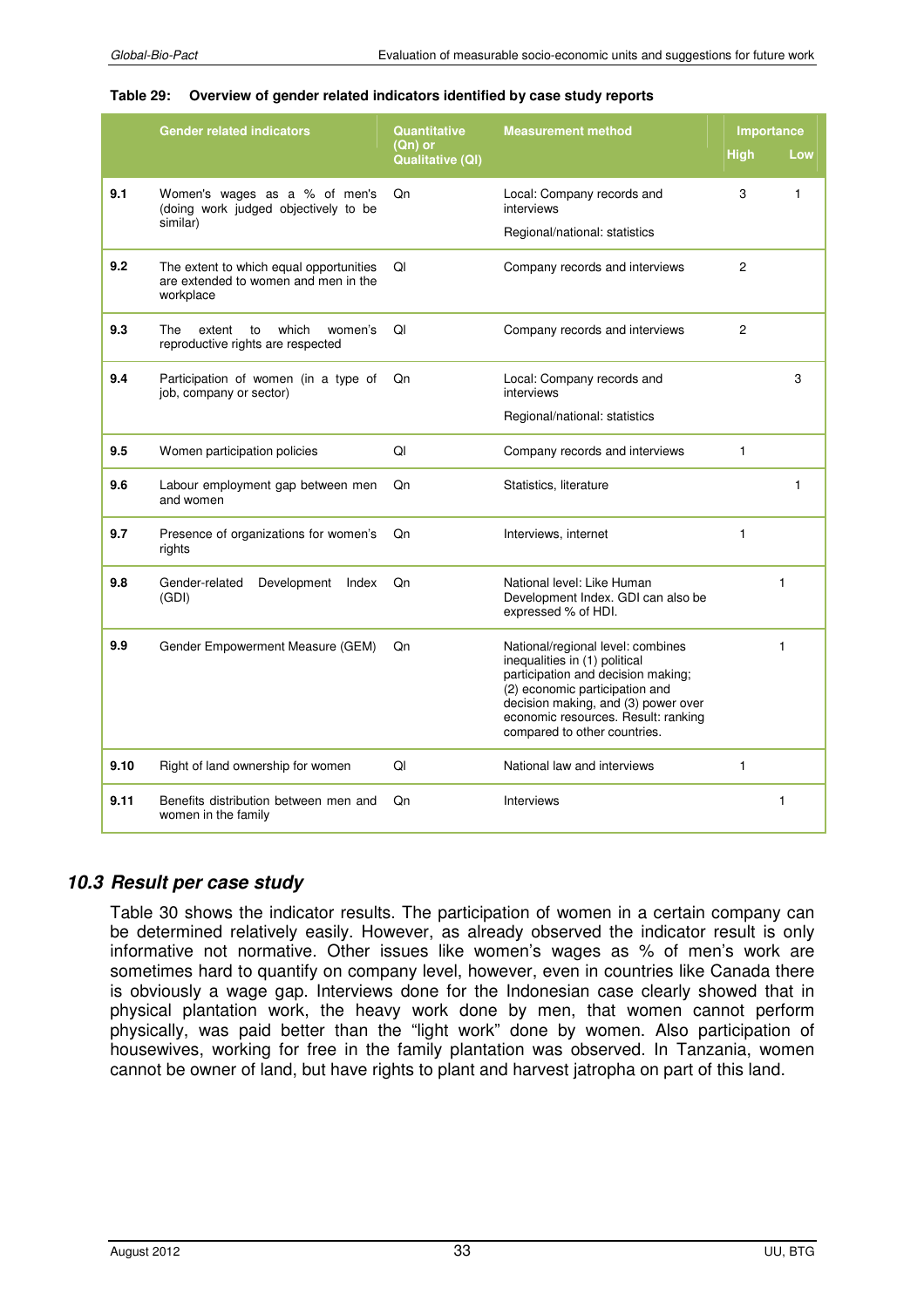#### **Table 29: Overview of gender related indicators identified by case study reports**

|      | <b>Gender related indicators</b>                                                             | <b>Quantitative</b><br>(Qn) or | <b>Measurement method</b>                                                                                                                                                                                                                                | Importance     |              |
|------|----------------------------------------------------------------------------------------------|--------------------------------|----------------------------------------------------------------------------------------------------------------------------------------------------------------------------------------------------------------------------------------------------------|----------------|--------------|
|      |                                                                                              | <b>Qualitative (QI)</b>        |                                                                                                                                                                                                                                                          | <b>High</b>    | Low          |
| 9.1  | Women's wages as a % of men's<br>(doing work judged objectively to be<br>similar)            | Qn                             | Local: Company records and<br>interviews<br>Regional/national: statistics                                                                                                                                                                                | 3              | 1            |
| 9.2  | The extent to which equal opportunities<br>are extended to women and men in the<br>workplace | QI                             | Company records and interviews                                                                                                                                                                                                                           | $\overline{2}$ |              |
| 9.3  | <b>The</b><br>which<br>extent<br>to<br>women's<br>reproductive rights are respected          | QI                             | Company records and interviews                                                                                                                                                                                                                           | $\overline{c}$ |              |
| 9.4  | Participation of women (in a type of<br>job, company or sector)                              | Qn                             | Local: Company records and<br>interviews                                                                                                                                                                                                                 |                | 3            |
|      |                                                                                              |                                | Regional/national: statistics                                                                                                                                                                                                                            |                |              |
| 9.5  | Women participation policies                                                                 | QI                             | Company records and interviews                                                                                                                                                                                                                           | $\mathbf{1}$   |              |
| 9.6  | Labour employment gap between men<br>and women                                               | Qn                             | Statistics, literature                                                                                                                                                                                                                                   |                | 1            |
| 9.7  | Presence of organizations for women's<br>rights                                              | Qn                             | Interviews, internet                                                                                                                                                                                                                                     | $\mathbf{1}$   |              |
| 9.8  | Gender-related<br>Development<br>Index<br>(GDI)                                              | Qn                             | National level: Like Human<br>Development Index. GDI can also be<br>expressed % of HDI.                                                                                                                                                                  |                | $\mathbf{1}$ |
| 9.9  | Gender Empowerment Measure (GEM)                                                             | Qn                             | National/regional level: combines<br>inequalities in (1) political<br>participation and decision making;<br>(2) economic participation and<br>decision making, and (3) power over<br>economic resources. Result: ranking<br>compared to other countries. |                | $\mathbf{1}$ |
| 9.10 | Right of land ownership for women                                                            | QI                             | National law and interviews                                                                                                                                                                                                                              | $\mathbf{1}$   |              |
| 9.11 | Benefits distribution between men and<br>women in the family                                 | Qn                             | Interviews                                                                                                                                                                                                                                               |                | 1            |

#### *10.3 Result per case study*

Table 30 shows the indicator results. The participation of women in a certain company can be determined relatively easily. However, as already observed the indicator result is only informative not normative. Other issues like women's wages as % of men's work are sometimes hard to quantify on company level, however, even in countries like Canada there is obviously a wage gap. Interviews done for the Indonesian case clearly showed that in physical plantation work, the heavy work done by men, that women cannot perform physically, was paid better than the "light work" done by women. Also participation of housewives, working for free in the family plantation was observed. In Tanzania, women cannot be owner of land, but have rights to plant and harvest jatropha on part of this land.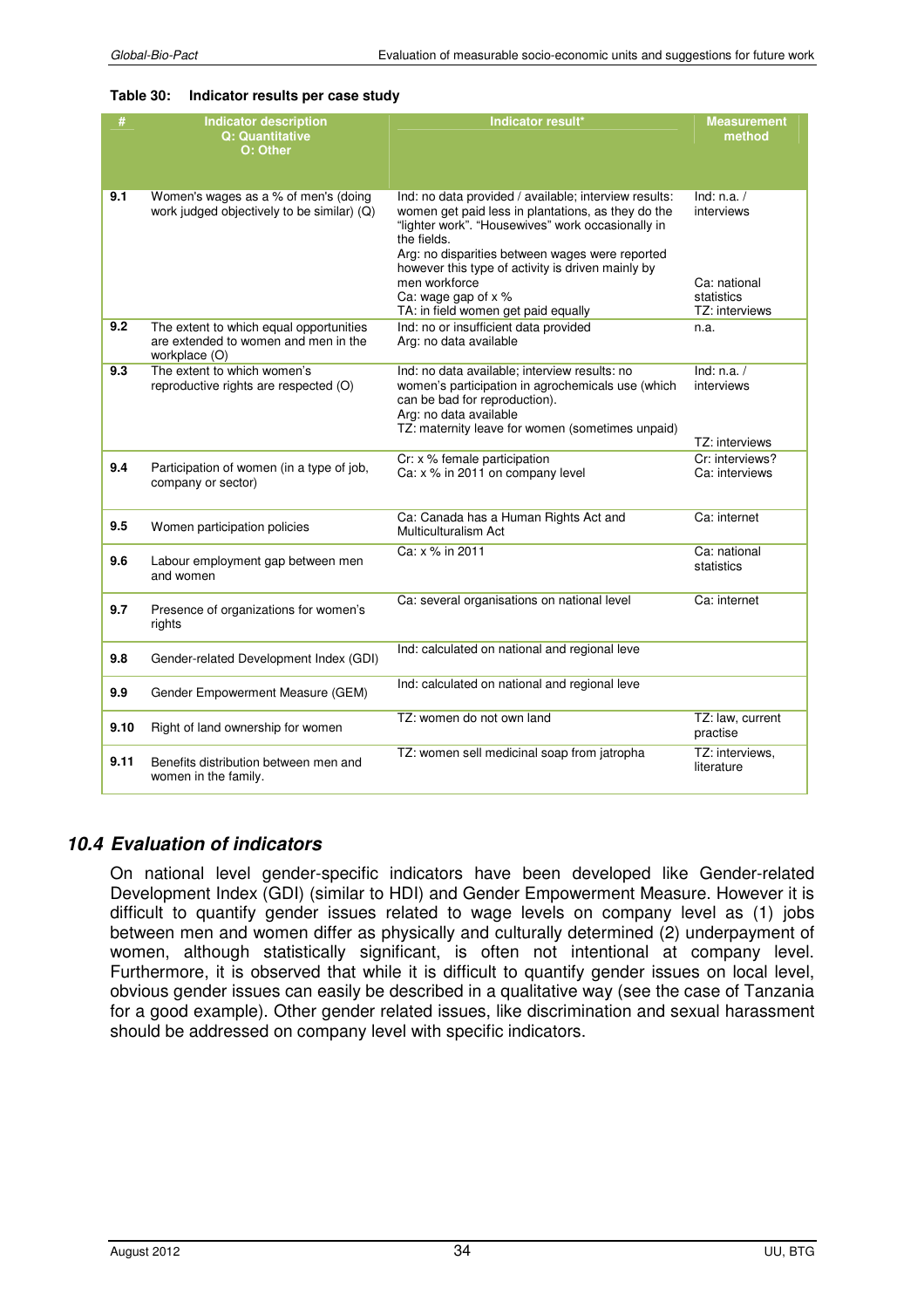#### **Table 30: Indicator results per case study**

| #    | <b>Indicator description</b><br><b>Q: Quantitative</b><br>O: Other                               | Indicator result*                                                                                                                                                                                                                                                                                                               | <b>Measurement</b><br>method                              |
|------|--------------------------------------------------------------------------------------------------|---------------------------------------------------------------------------------------------------------------------------------------------------------------------------------------------------------------------------------------------------------------------------------------------------------------------------------|-----------------------------------------------------------|
| 9.1  | Women's wages as a % of men's (doing<br>work judged objectively to be similar) (Q)               | Ind: no data provided / available; interview results:<br>women get paid less in plantations, as they do the<br>"lighter work". "Housewives" work occasionally in<br>the fields.<br>Arg: no disparities between wages were reported<br>however this type of activity is driven mainly by<br>men workforce<br>Ca: wage gap of x % | Ind: $n.a. /$<br>interviews<br>Ca: national<br>statistics |
| 9.2  | The extent to which equal opportunities<br>are extended to women and men in the<br>workplace (O) | TA: in field women get paid equally<br>Ind: no or insufficient data provided<br>Arg: no data available                                                                                                                                                                                                                          | TZ: interviews<br>n.a.                                    |
| 9.3  | The extent to which women's<br>reproductive rights are respected (O)                             | Ind: no data available; interview results: no<br>women's participation in agrochemicals use (which<br>can be bad for reproduction).<br>Arg: no data available<br>TZ: maternity leave for women (sometimes unpaid)                                                                                                               | Ind: $n.a. /$<br>interviews<br>TZ: interviews             |
| 9.4  | Participation of women (in a type of job,<br>company or sector)                                  | Cr: x % female participation<br>Ca: x % in 2011 on company level                                                                                                                                                                                                                                                                | Cr: interviews?<br>Ca: interviews                         |
| 9.5  | Women participation policies                                                                     | Ca: Canada has a Human Rights Act and<br>Multiculturalism Act                                                                                                                                                                                                                                                                   | Ca: internet                                              |
| 9.6  | Labour employment gap between men<br>and women                                                   | Ca: x % in 2011                                                                                                                                                                                                                                                                                                                 | Ca: national<br>statistics                                |
| 9.7  | Presence of organizations for women's<br>rights                                                  | Ca: several organisations on national level                                                                                                                                                                                                                                                                                     | Ca: internet                                              |
| 9.8  | Gender-related Development Index (GDI)                                                           | Ind: calculated on national and regional leve                                                                                                                                                                                                                                                                                   |                                                           |
| 9.9  | Gender Empowerment Measure (GEM)                                                                 | Ind: calculated on national and regional leve                                                                                                                                                                                                                                                                                   |                                                           |
| 9.10 | Right of land ownership for women                                                                | TZ: women do not own land                                                                                                                                                                                                                                                                                                       | TZ: law, current<br>practise                              |
| 9.11 | Benefits distribution between men and<br>women in the family.                                    | TZ: women sell medicinal soap from jatropha                                                                                                                                                                                                                                                                                     | TZ: interviews,<br>literature                             |

#### *10.4 Evaluation of indicators*

On national level gender-specific indicators have been developed like Gender-related Development Index (GDI) (similar to HDI) and Gender Empowerment Measure. However it is difficult to quantify gender issues related to wage levels on company level as (1) jobs between men and women differ as physically and culturally determined (2) underpayment of women, although statistically significant, is often not intentional at company level. Furthermore, it is observed that while it is difficult to quantify gender issues on local level, obvious gender issues can easily be described in a qualitative way (see the case of Tanzania for a good example). Other gender related issues, like discrimination and sexual harassment should be addressed on company level with specific indicators.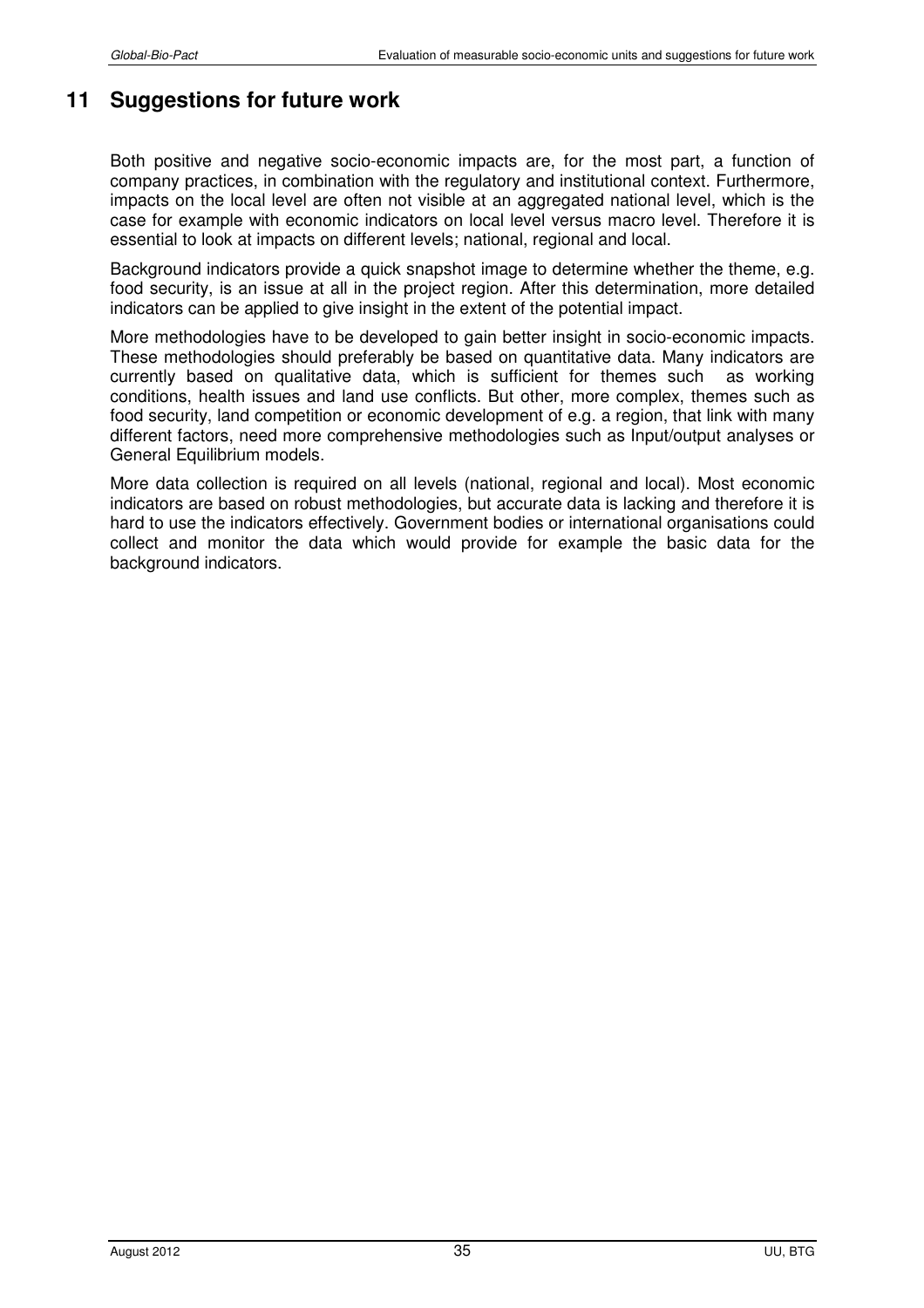# **11 Suggestions for future work**

Both positive and negative socio-economic impacts are, for the most part, a function of company practices, in combination with the regulatory and institutional context. Furthermore, impacts on the local level are often not visible at an aggregated national level, which is the case for example with economic indicators on local level versus macro level. Therefore it is essential to look at impacts on different levels; national, regional and local.

Background indicators provide a quick snapshot image to determine whether the theme, e.g. food security, is an issue at all in the project region. After this determination, more detailed indicators can be applied to give insight in the extent of the potential impact.

More methodologies have to be developed to gain better insight in socio-economic impacts. These methodologies should preferably be based on quantitative data. Many indicators are currently based on qualitative data, which is sufficient for themes such as working conditions, health issues and land use conflicts. But other, more complex, themes such as food security, land competition or economic development of e.g. a region, that link with many different factors, need more comprehensive methodologies such as Input/output analyses or General Equilibrium models.

More data collection is required on all levels (national, regional and local). Most economic indicators are based on robust methodologies, but accurate data is lacking and therefore it is hard to use the indicators effectively. Government bodies or international organisations could collect and monitor the data which would provide for example the basic data for the background indicators.